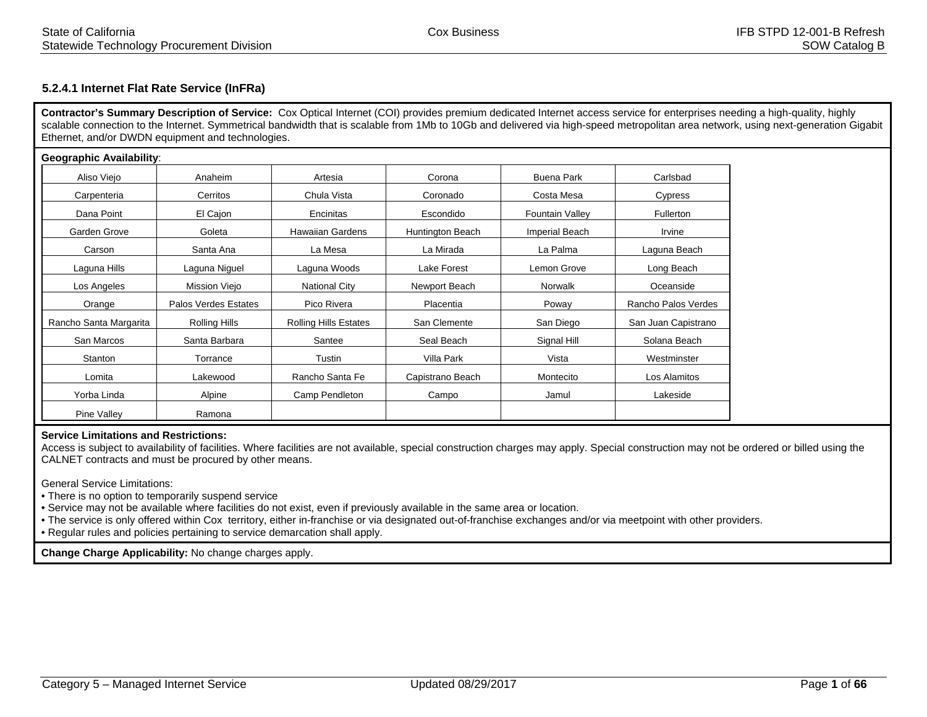# **5.2.4.1 Internet Flat Rate Service (InFRa)**

**Contractor's Summary Description of Service:** Cox Optical Internet (COI) provides premium dedicated Internet access service for enterprises needing a high-quality, highly scalable connection to the Internet. Symmetrical bandwidth that is scalable from 1Mb to 10Gb and delivered via high-speed metropolitan area network, using next-generation Gigabit Ethernet, and/or DWDN equipment and technologies.

| <b>Geographic Availability:</b> |                      |                              |                  |                        |                     |
|---------------------------------|----------------------|------------------------------|------------------|------------------------|---------------------|
| Aliso Viejo                     | Anaheim              | Artesia                      | Corona           | Buena Park             | Carlsbad            |
| Carpenteria                     | Cerritos             | Chula Vista                  | Coronado         | Costa Mesa             | Cypress             |
| Dana Point                      | El Cajon             | Encinitas                    | Escondido        | <b>Fountain Valley</b> | <b>Fullerton</b>    |
| Garden Grove                    | Goleta               | <b>Hawaiian Gardens</b>      | Huntington Beach | <b>Imperial Beach</b>  | Irvine              |
| Carson                          | Santa Ana            | La Mesa                      | La Mirada        | La Palma               | Laguna Beach        |
| Laguna Hills                    | Laguna Niguel        | Laguna Woods                 | Lake Forest      | Lemon Grove            | Long Beach          |
| Los Angeles                     | Mission Viejo        | <b>National City</b>         | Newport Beach    | Norwalk                | Oceanside           |
| Orange                          | Palos Verdes Estates | Pico Rivera                  | Placentia        | Poway                  | Rancho Palos Verdes |
| Rancho Santa Margarita          | Rolling Hills        | <b>Rolling Hills Estates</b> | San Clemente     | San Diego              | San Juan Capistrano |
| San Marcos                      | Santa Barbara        | Santee                       | Seal Beach       | Signal Hill            | Solana Beach        |
| Stanton                         | Torrance             | Tustin                       | Villa Park       | Vista                  | Westminster         |
| Lomita                          | Lakewood             | Rancho Santa Fe              | Capistrano Beach | Montecito              | Los Alamitos        |
| Yorba Linda                     | Alpine               | Camp Pendleton               | Campo            | Jamul                  | Lakeside            |
| Pine Valley                     | Ramona               |                              |                  |                        |                     |

#### **Service Limitations and Restrictions:**

 Access is subject to availability of facilities. Where facilities are not available, special construction charges may apply. Special construction may not be ordered or billed using the CALNET contracts and must be procured by other means.

General Service Limitations:

• There is no option to temporarily suspend service

• Service may not be available where facilities do not exist, even if previously available in the same area or location.

• The service is only offered within Cox territory, either in-franchise or via designated out-of-franchise exchanges and/or via meetpoint with other providers.

• Regular rules and policies pertaining to service demarcation shall apply.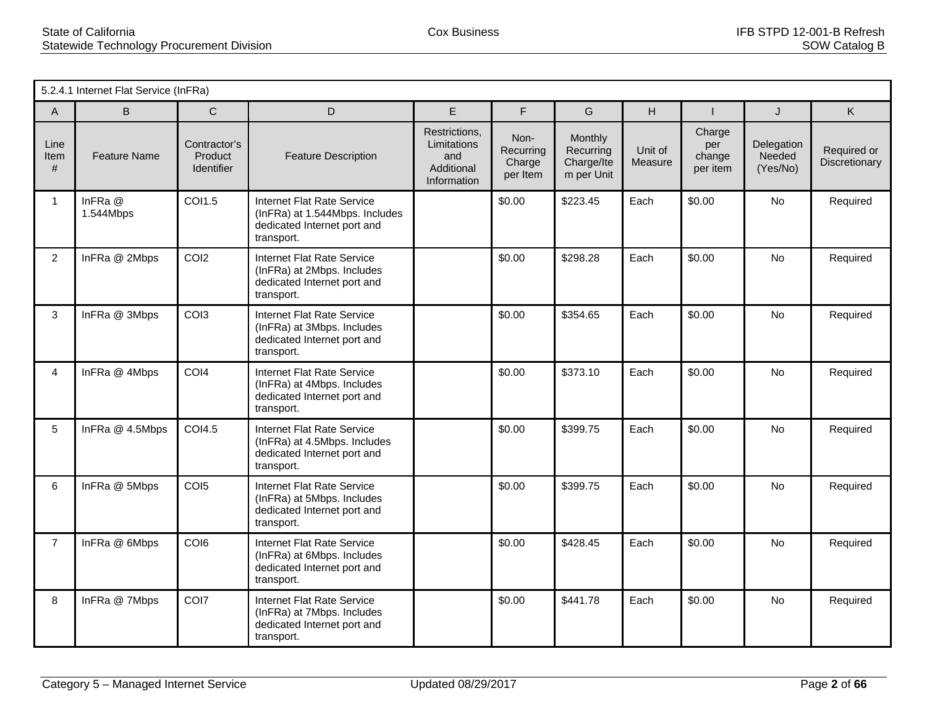|                   | 5.2.4.1 Internet Flat Service (InFRa) |                                       |                                                                                                                  |                                                                  |                                         |                                                  |                    |                                     |                                  |                              |
|-------------------|---------------------------------------|---------------------------------------|------------------------------------------------------------------------------------------------------------------|------------------------------------------------------------------|-----------------------------------------|--------------------------------------------------|--------------------|-------------------------------------|----------------------------------|------------------------------|
| A                 | B                                     | $\mathsf{C}$                          | D                                                                                                                | E.                                                               | F                                       | G                                                | H                  |                                     | J                                | K                            |
| Line<br>Item<br># | <b>Feature Name</b>                   | Contractor's<br>Product<br>Identifier | <b>Feature Description</b>                                                                                       | Restrictions,<br>Limitations<br>and<br>Additional<br>Information | Non-<br>Recurring<br>Charge<br>per Item | Monthly<br>Recurring<br>Charge/Ite<br>m per Unit | Unit of<br>Measure | Charge<br>per<br>change<br>per item | Delegation<br>Needed<br>(Yes/No) | Required or<br>Discretionary |
| $\mathbf{1}$      | InFRa @<br>1.544Mbps                  | COI1.5                                | <b>Internet Flat Rate Service</b><br>(InFRa) at 1.544Mbps. Includes<br>dedicated Internet port and<br>transport. |                                                                  | \$0.00                                  | \$223.45                                         | Each               | \$0.00                              | <b>No</b>                        | Required                     |
| $\overline{2}$    | InFRa @ 2Mbps                         | COI <sub>2</sub>                      | Internet Flat Rate Service<br>(InFRa) at 2Mbps. Includes<br>dedicated Internet port and<br>transport.            |                                                                  | \$0.00                                  | \$298.28                                         | Each               | \$0.00                              | No                               | Required                     |
| 3                 | InFRa @ 3Mbps                         | COI3                                  | <b>Internet Flat Rate Service</b><br>(InFRa) at 3Mbps. Includes<br>dedicated Internet port and<br>transport.     |                                                                  | \$0.00                                  | \$354.65                                         | Each               | \$0.00                              | No                               | Required                     |
| $\overline{4}$    | InFRa @ 4Mbps                         | COI4                                  | Internet Flat Rate Service<br>(InFRa) at 4Mbps. Includes<br>dedicated Internet port and<br>transport.            |                                                                  | \$0.00                                  | \$373.10                                         | Each               | \$0.00                              | <b>No</b>                        | Required                     |
| 5                 | InFRa @ 4.5Mbps                       | COI4.5                                | Internet Flat Rate Service<br>(InFRa) at 4.5Mbps. Includes<br>dedicated Internet port and<br>transport.          |                                                                  | \$0.00                                  | \$399.75                                         | Each               | \$0.00                              | <b>No</b>                        | Required                     |
| 6                 | InFRa @ 5Mbps                         | COI <sub>5</sub>                      | <b>Internet Flat Rate Service</b><br>(InFRa) at 5Mbps. Includes<br>dedicated Internet port and<br>transport.     |                                                                  | \$0.00                                  | \$399.75                                         | Each               | \$0.00                              | <b>No</b>                        | Required                     |
| $\overline{7}$    | InFRa @ 6Mbps                         | COI6                                  | <b>Internet Flat Rate Service</b><br>(InFRa) at 6Mbps. Includes<br>dedicated Internet port and<br>transport.     |                                                                  | \$0.00                                  | \$428.45                                         | Each               | \$0.00                              | <b>No</b>                        | Required                     |
| 8                 | InFRa @ 7Mbps                         | COI7                                  | <b>Internet Flat Rate Service</b><br>(InFRa) at 7Mbps. Includes<br>dedicated Internet port and<br>transport.     |                                                                  | \$0.00                                  | \$441.78                                         | Each               | \$0.00                              | No                               | Required                     |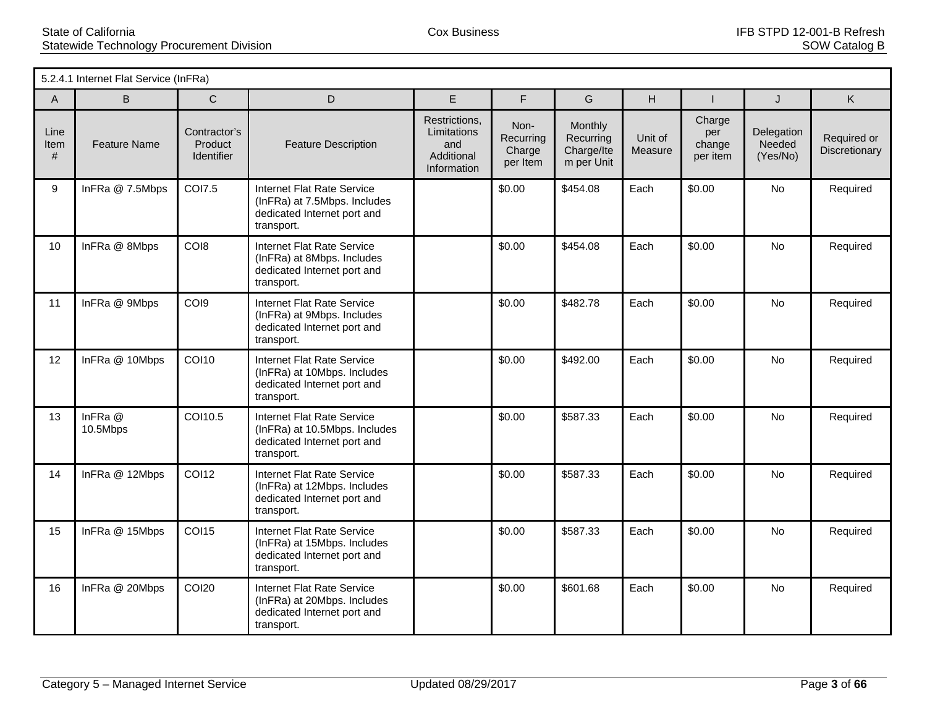|                   | 5.2.4.1 Internet Flat Service (InFRa) |                                       |                                                                                                                 |                                                                  |                                         |                                                  |                    |                                     |                                  |                              |
|-------------------|---------------------------------------|---------------------------------------|-----------------------------------------------------------------------------------------------------------------|------------------------------------------------------------------|-----------------------------------------|--------------------------------------------------|--------------------|-------------------------------------|----------------------------------|------------------------------|
| A                 | <sub>B</sub>                          | $\mathsf{C}$                          | D                                                                                                               | E.                                                               | F                                       | G                                                | H                  |                                     | J                                | K.                           |
| Line<br>Item<br># | <b>Feature Name</b>                   | Contractor's<br>Product<br>Identifier | <b>Feature Description</b>                                                                                      | Restrictions,<br>Limitations<br>and<br>Additional<br>Information | Non-<br>Recurring<br>Charge<br>per Item | Monthly<br>Recurring<br>Charge/Ite<br>m per Unit | Unit of<br>Measure | Charge<br>per<br>change<br>per item | Delegation<br>Needed<br>(Yes/No) | Required or<br>Discretionary |
| 9                 | InFRa @ 7.5Mbps                       | <b>COI7.5</b>                         | <b>Internet Flat Rate Service</b><br>(InFRa) at 7.5Mbps. Includes<br>dedicated Internet port and<br>transport.  |                                                                  | \$0.00                                  | \$454.08                                         | Each               | \$0.00                              | No                               | Required                     |
| 10                | InFRa @ 8Mbps                         | CO <sub>18</sub>                      | Internet Flat Rate Service<br>(InFRa) at 8Mbps. Includes<br>dedicated Internet port and<br>transport.           |                                                                  | \$0.00                                  | \$454.08                                         | Each               | \$0.00                              | No                               | Required                     |
| 11                | InFRa @ 9Mbps                         | COI9                                  | Internet Flat Rate Service<br>(InFRa) at 9Mbps. Includes<br>dedicated Internet port and<br>transport.           |                                                                  | \$0.00                                  | \$482.78                                         | Each               | \$0.00                              | No                               | Required                     |
| 12                | InFRa @ 10Mbps                        | <b>COI10</b>                          | <b>Internet Flat Rate Service</b><br>(InFRa) at 10Mbps. Includes<br>dedicated Internet port and<br>transport.   |                                                                  | \$0.00                                  | \$492.00                                         | Each               | \$0.00                              | <b>No</b>                        | Required                     |
| 13                | InFRa @<br>10.5Mbps                   | COI10.5                               | <b>Internet Flat Rate Service</b><br>(InFRa) at 10.5Mbps. Includes<br>dedicated Internet port and<br>transport. |                                                                  | \$0.00                                  | \$587.33                                         | Each               | \$0.00                              | No                               | Required                     |
| 14                | InFRa @ 12Mbps                        | <b>COI12</b>                          | <b>Internet Flat Rate Service</b><br>(InFRa) at 12Mbps. Includes<br>dedicated Internet port and<br>transport.   |                                                                  | \$0.00                                  | \$587.33                                         | Each               | \$0.00                              | <b>No</b>                        | Required                     |
| 15                | InFRa @ 15Mbps                        | <b>COI15</b>                          | Internet Flat Rate Service<br>(InFRa) at 15Mbps. Includes<br>dedicated Internet port and<br>transport.          |                                                                  | \$0.00                                  | \$587.33                                         | Each               | \$0.00                              | No                               | Required                     |
| 16                | InFRa @ 20Mbps                        | <b>COI20</b>                          | <b>Internet Flat Rate Service</b><br>(InFRa) at 20Mbps. Includes<br>dedicated Internet port and<br>transport.   |                                                                  | \$0.00                                  | \$601.68                                         | Each               | \$0.00                              | <b>No</b>                        | Required                     |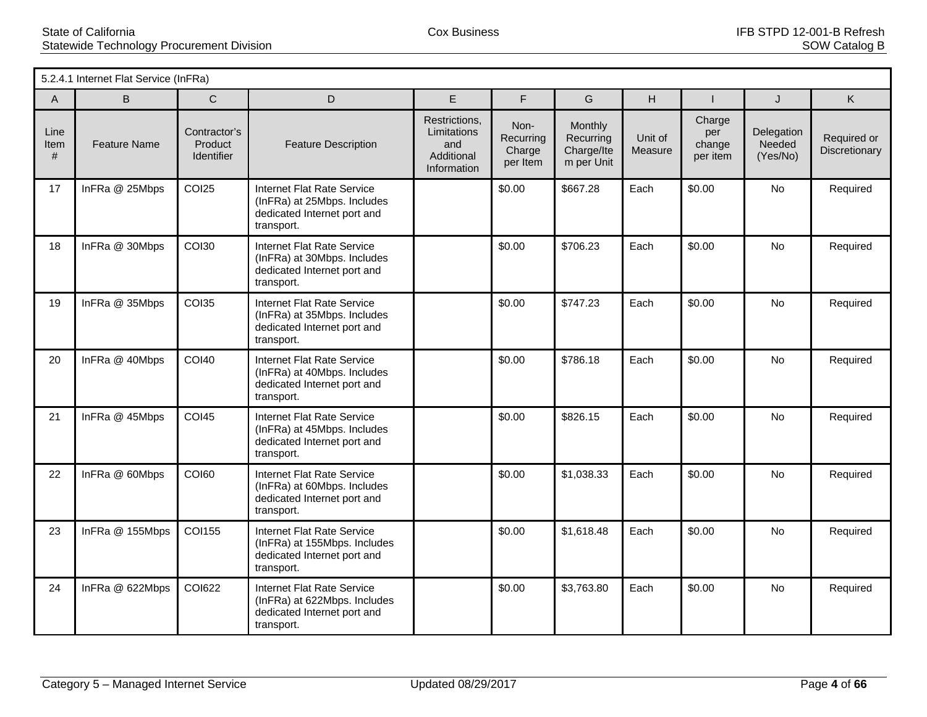|                      | 5.2.4.1 Internet Flat Service (InFRa) |                                              |                                                                                                                |                                                                  |                                         |                                                  |                    |                                     |                                  |                              |
|----------------------|---------------------------------------|----------------------------------------------|----------------------------------------------------------------------------------------------------------------|------------------------------------------------------------------|-----------------------------------------|--------------------------------------------------|--------------------|-------------------------------------|----------------------------------|------------------------------|
| A                    | B.                                    | C                                            | D                                                                                                              | E.                                                               | F                                       | G                                                | H                  |                                     | J                                | K                            |
| Line<br>Item<br>$\#$ | <b>Feature Name</b>                   | Contractor's<br>Product<br><b>Identifier</b> | <b>Feature Description</b>                                                                                     | Restrictions,<br>Limitations<br>and<br>Additional<br>Information | Non-<br>Recurring<br>Charge<br>per Item | Monthly<br>Recurring<br>Charge/Ite<br>m per Unit | Unit of<br>Measure | Charge<br>per<br>change<br>per item | Delegation<br>Needed<br>(Yes/No) | Required or<br>Discretionary |
| 17                   | InFRa @ 25Mbps                        | <b>COI25</b>                                 | <b>Internet Flat Rate Service</b><br>(InFRa) at 25Mbps. Includes<br>dedicated Internet port and<br>transport.  |                                                                  | \$0.00                                  | \$667.28                                         | Each               | \$0.00                              | No                               | Required                     |
| 18                   | InFRa @ 30Mbps                        | <b>COI30</b>                                 | <b>Internet Flat Rate Service</b><br>(InFRa) at 30Mbps. Includes<br>dedicated Internet port and<br>transport.  |                                                                  | \$0.00                                  | \$706.23                                         | Each               | \$0.00                              | No                               | Required                     |
| 19                   | InFRa @ 35Mbps                        | <b>COI35</b>                                 | <b>Internet Flat Rate Service</b><br>(InFRa) at 35Mbps. Includes<br>dedicated Internet port and<br>transport.  |                                                                  | \$0.00                                  | \$747.23                                         | Each               | \$0.00                              | No                               | Required                     |
| 20                   | InFRa @ 40Mbps                        | <b>COI40</b>                                 | <b>Internet Flat Rate Service</b><br>(InFRa) at 40Mbps. Includes<br>dedicated Internet port and<br>transport.  |                                                                  | \$0.00                                  | \$786.18                                         | Each               | \$0.00                              | <b>No</b>                        | Required                     |
| 21                   | InFRa @ 45Mbps                        | <b>COI45</b>                                 | <b>Internet Flat Rate Service</b><br>(InFRa) at 45Mbps. Includes<br>dedicated Internet port and<br>transport.  |                                                                  | \$0.00                                  | \$826.15                                         | Each               | \$0.00                              | <b>No</b>                        | Required                     |
| 22                   | InFRa @ 60Mbps                        | <b>COI60</b>                                 | <b>Internet Flat Rate Service</b><br>(InFRa) at 60Mbps. Includes<br>dedicated Internet port and<br>transport.  |                                                                  | \$0.00                                  | \$1,038.33                                       | Each               | \$0.00                              | No                               | Required                     |
| 23                   | InFRa @ 155Mbps                       | <b>COI155</b>                                | <b>Internet Flat Rate Service</b><br>(InFRa) at 155Mbps. Includes<br>dedicated Internet port and<br>transport. |                                                                  | \$0.00                                  | \$1,618.48                                       | Each               | \$0.00                              | <b>No</b>                        | Required                     |
| 24                   | InFRa @ 622Mbps                       | <b>COI622</b>                                | <b>Internet Flat Rate Service</b><br>(InFRa) at 622Mbps. Includes<br>dedicated Internet port and<br>transport. |                                                                  | \$0.00                                  | \$3,763.80                                       | Each               | \$0.00                              | No                               | Required                     |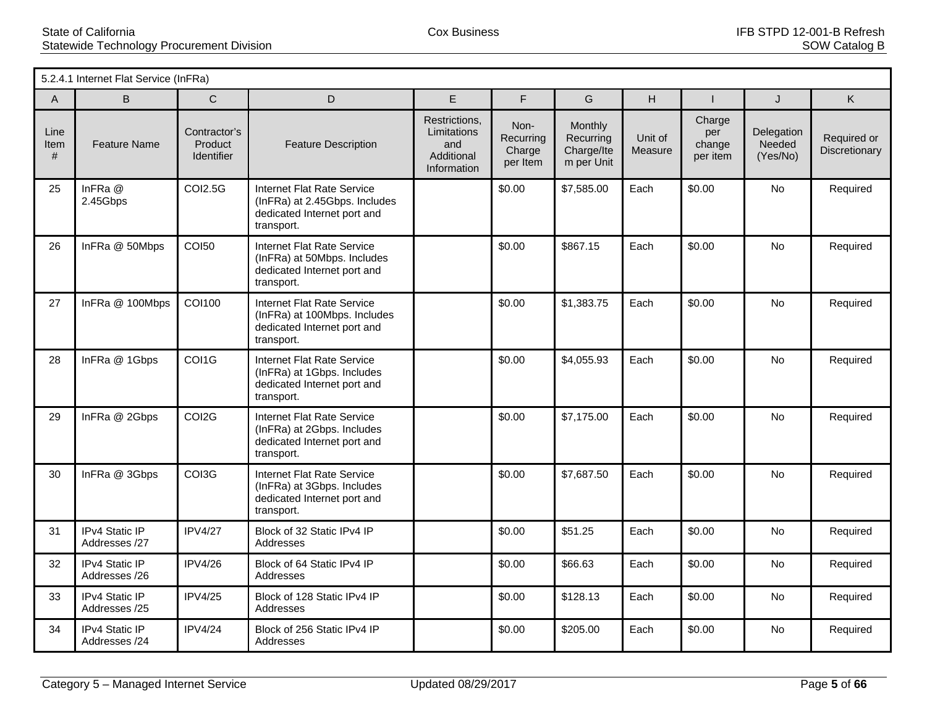|                   | 5.2.4.1 Internet Flat Service (InFRa) |                                              |                                                                                                                 |                                                                  |                                         |                                                  |                    |                                     |                                  |                              |
|-------------------|---------------------------------------|----------------------------------------------|-----------------------------------------------------------------------------------------------------------------|------------------------------------------------------------------|-----------------------------------------|--------------------------------------------------|--------------------|-------------------------------------|----------------------------------|------------------------------|
| A                 | B                                     | $\mathsf{C}$                                 | D                                                                                                               | E                                                                | F                                       | G                                                | H                  |                                     | J                                | K.                           |
| Line<br>Item<br># | <b>Feature Name</b>                   | Contractor's<br>Product<br><b>Identifier</b> | <b>Feature Description</b>                                                                                      | Restrictions,<br>Limitations<br>and<br>Additional<br>Information | Non-<br>Recurring<br>Charge<br>per Item | Monthly<br>Recurring<br>Charge/Ite<br>m per Unit | Unit of<br>Measure | Charge<br>per<br>change<br>per item | Delegation<br>Needed<br>(Yes/No) | Required or<br>Discretionary |
| 25                | InFRa @<br>2.45Gbps                   | <b>COI2.5G</b>                               | <b>Internet Flat Rate Service</b><br>(InFRa) at 2.45Gbps. Includes<br>dedicated Internet port and<br>transport. |                                                                  | \$0.00                                  | \$7,585.00                                       | Each               | \$0.00                              | No                               | Required                     |
| 26                | InFRa @ 50Mbps                        | <b>COI50</b>                                 | <b>Internet Flat Rate Service</b><br>(InFRa) at 50Mbps. Includes<br>dedicated Internet port and<br>transport.   |                                                                  | \$0.00                                  | \$867.15                                         | Each               | \$0.00                              | <b>No</b>                        | Required                     |
| 27                | InFRa @ 100Mbps                       | COI100                                       | <b>Internet Flat Rate Service</b><br>(InFRa) at 100Mbps. Includes<br>dedicated Internet port and<br>transport.  |                                                                  | \$0.00                                  | \$1,383.75                                       | Each               | \$0.00                              | <b>No</b>                        | Required                     |
| 28                | InFRa @ 1Gbps                         | COI1G                                        | Internet Flat Rate Service<br>(InFRa) at 1Gbps. Includes<br>dedicated Internet port and<br>transport.           |                                                                  | \$0.00                                  | \$4,055.93                                       | Each               | \$0.00                              | <b>No</b>                        | Required                     |
| 29                | InFRa @ 2Gbps                         | COI2G                                        | Internet Flat Rate Service<br>(InFRa) at 2Gbps. Includes<br>dedicated Internet port and<br>transport.           |                                                                  | \$0.00                                  | \$7,175.00                                       | Each               | \$0.00                              | <b>No</b>                        | Required                     |
| 30                | InFRa @ 3Gbps                         | COI3G                                        | <b>Internet Flat Rate Service</b><br>(InFRa) at 3Gbps. Includes<br>dedicated Internet port and<br>transport.    |                                                                  | \$0.00                                  | \$7,687.50                                       | Each               | \$0.00                              | <b>No</b>                        | Required                     |
| 31                | IPv4 Static IP<br>Addresses /27       | <b>IPV4/27</b>                               | Block of 32 Static IPv4 IP<br>Addresses                                                                         |                                                                  | \$0.00                                  | \$51.25                                          | Each               | \$0.00                              | No.                              | Required                     |
| 32                | IPv4 Static IP<br>Addresses /26       | <b>IPV4/26</b>                               | Block of 64 Static IPv4 IP<br>Addresses                                                                         |                                                                  | \$0.00                                  | \$66.63                                          | Each               | \$0.00                              | No                               | Required                     |
| 33                | IPv4 Static IP<br>Addresses /25       | <b>IPV4/25</b>                               | Block of 128 Static IPv4 IP<br>Addresses                                                                        |                                                                  | \$0.00                                  | \$128.13                                         | Each               | \$0.00                              | No                               | Required                     |
| 34                | IPv4 Static IP<br>Addresses /24       | <b>IPV4/24</b>                               | Block of 256 Static IPv4 IP<br>Addresses                                                                        |                                                                  | \$0.00                                  | \$205.00                                         | Each               | \$0.00                              | No.                              | Required                     |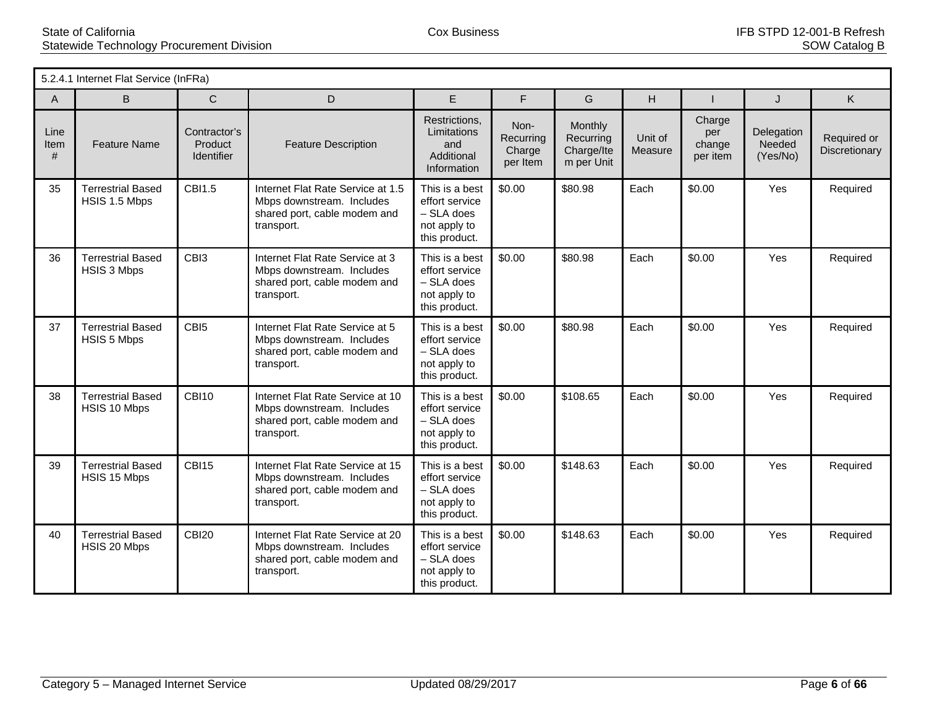|                   | 5.2.4.1 Internet Flat Service (InFRa)     |                                              |                                                                                                              |                                                                                   |                                         |                                                  |                    |                                     |                                  |                              |
|-------------------|-------------------------------------------|----------------------------------------------|--------------------------------------------------------------------------------------------------------------|-----------------------------------------------------------------------------------|-----------------------------------------|--------------------------------------------------|--------------------|-------------------------------------|----------------------------------|------------------------------|
| A                 | B                                         | $\mathsf{C}$                                 | D                                                                                                            | E                                                                                 | F                                       | G                                                | H                  |                                     | J                                | K.                           |
| Line<br>Item<br># | <b>Feature Name</b>                       | Contractor's<br>Product<br><b>Identifier</b> | <b>Feature Description</b>                                                                                   | Restrictions,<br>Limitations<br>and<br>Additional<br>Information                  | Non-<br>Recurring<br>Charge<br>per Item | Monthly<br>Recurring<br>Charge/Ite<br>m per Unit | Unit of<br>Measure | Charge<br>per<br>change<br>per item | Delegation<br>Needed<br>(Yes/No) | Required or<br>Discretionary |
| 35                | <b>Terrestrial Based</b><br>HSIS 1.5 Mbps | CBI1.5                                       | Internet Flat Rate Service at 1.5<br>Mbps downstream. Includes<br>shared port, cable modem and<br>transport. | This is a best<br>effort service<br>- SLA does<br>not apply to<br>this product.   | \$0.00                                  | \$80.98                                          | Each               | \$0.00                              | Yes                              | Required                     |
| 36                | <b>Terrestrial Based</b><br>HSIS 3 Mbps   | CBI3                                         | Internet Flat Rate Service at 3<br>Mbps downstream. Includes<br>shared port, cable modem and<br>transport.   | This is a best<br>effort service<br>$-$ SLA does<br>not apply to<br>this product. | \$0.00                                  | \$80.98                                          | Each               | \$0.00                              | Yes                              | Required                     |
| 37                | <b>Terrestrial Based</b><br>HSIS 5 Mbps   | CBI <sub>5</sub>                             | Internet Flat Rate Service at 5<br>Mbps downstream. Includes<br>shared port, cable modem and<br>transport.   | This is a best<br>effort service<br>- SLA does<br>not apply to<br>this product.   | \$0.00                                  | \$80.98                                          | Each               | \$0.00                              | Yes                              | Required                     |
| 38                | <b>Terrestrial Based</b><br>HSIS 10 Mbps  | CBI10                                        | Internet Flat Rate Service at 10<br>Mbps downstream. Includes<br>shared port, cable modem and<br>transport.  | This is a best<br>effort service<br>$-$ SLA does<br>not apply to<br>this product. | \$0.00                                  | \$108.65                                         | Each               | \$0.00                              | <b>Yes</b>                       | Required                     |
| 39                | <b>Terrestrial Based</b><br>HSIS 15 Mbps  | CBI15                                        | Internet Flat Rate Service at 15<br>Mbps downstream. Includes<br>shared port, cable modem and<br>transport.  | This is a best<br>effort service<br>$-$ SLA does<br>not apply to<br>this product. | \$0.00                                  | \$148.63                                         | Each               | \$0.00                              | Yes                              | Required                     |
| 40                | <b>Terrestrial Based</b><br>HSIS 20 Mbps  | CBI <sub>20</sub>                            | Internet Flat Rate Service at 20<br>Mbps downstream. Includes<br>shared port, cable modem and<br>transport.  | This is a best<br>effort service<br>$-$ SLA does<br>not apply to<br>this product. | \$0.00                                  | \$148.63                                         | Each               | \$0.00                              | <b>Yes</b>                       | Required                     |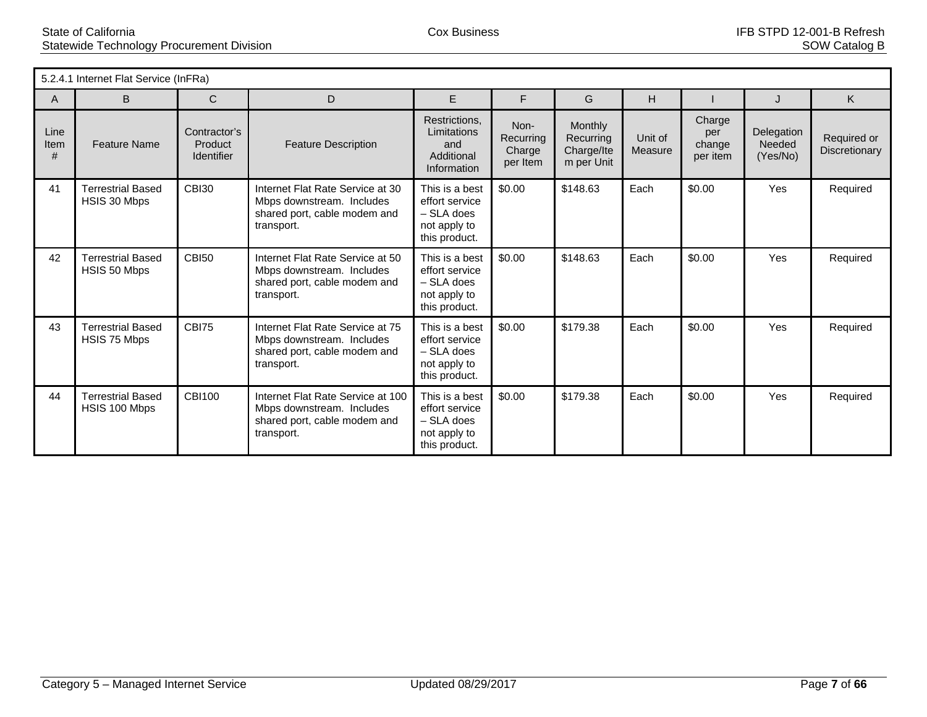|                   | 5.2.4.1 Internet Flat Service (InFRa)     |                                              |                                                                                                              |                                                                                   |                                         |                                                  |                    |                                     |                                  |                              |
|-------------------|-------------------------------------------|----------------------------------------------|--------------------------------------------------------------------------------------------------------------|-----------------------------------------------------------------------------------|-----------------------------------------|--------------------------------------------------|--------------------|-------------------------------------|----------------------------------|------------------------------|
| A                 | B.                                        | $\mathsf{C}$                                 | D                                                                                                            | E                                                                                 | F                                       | G                                                | H                  |                                     | $\cdot$                          | K                            |
| Line<br>Item<br># | <b>Feature Name</b>                       | Contractor's<br>Product<br><b>Identifier</b> | <b>Feature Description</b>                                                                                   | Restrictions.<br>Limitations<br>and<br>Additional<br>Information                  | Non-<br>Recurring<br>Charge<br>per Item | Monthly<br>Recurring<br>Charge/Ite<br>m per Unit | Unit of<br>Measure | Charge<br>per<br>change<br>per item | Delegation<br>Needed<br>(Yes/No) | Required or<br>Discretionary |
| 41                | <b>Terrestrial Based</b><br>HSIS 30 Mbps  | <b>CBI30</b>                                 | Internet Flat Rate Service at 30<br>Mbps downstream. Includes<br>shared port, cable modem and<br>transport.  | This is a best<br>effort service<br>$-$ SLA does<br>not apply to<br>this product. | \$0.00                                  | \$148.63                                         | Each               | \$0.00                              | Yes                              | Required                     |
| 42                | <b>Terrestrial Based</b><br>HSIS 50 Mbps  | <b>CBI50</b>                                 | Internet Flat Rate Service at 50<br>Mbps downstream. Includes<br>shared port, cable modem and<br>transport.  | This is a best<br>effort service<br>$-$ SLA does<br>not apply to<br>this product. | \$0.00                                  | \$148.63                                         | Each               | \$0.00                              | Yes                              | Required                     |
| 43                | <b>Terrestrial Based</b><br>HSIS 75 Mbps  | CBI75                                        | Internet Flat Rate Service at 75<br>Mbps downstream. Includes<br>shared port, cable modem and<br>transport.  | This is a best<br>effort service<br>$-$ SLA does<br>not apply to<br>this product. | \$0.00                                  | \$179.38                                         | Each               | \$0.00                              | Yes                              | Required                     |
| 44                | <b>Terrestrial Based</b><br>HSIS 100 Mbps | <b>CBI100</b>                                | Internet Flat Rate Service at 100<br>Mbps downstream. Includes<br>shared port, cable modem and<br>transport. | This is a best<br>effort service<br>$-$ SLA does<br>not apply to<br>this product. | \$0.00                                  | \$179.38                                         | Each               | \$0.00                              | Yes                              | Required                     |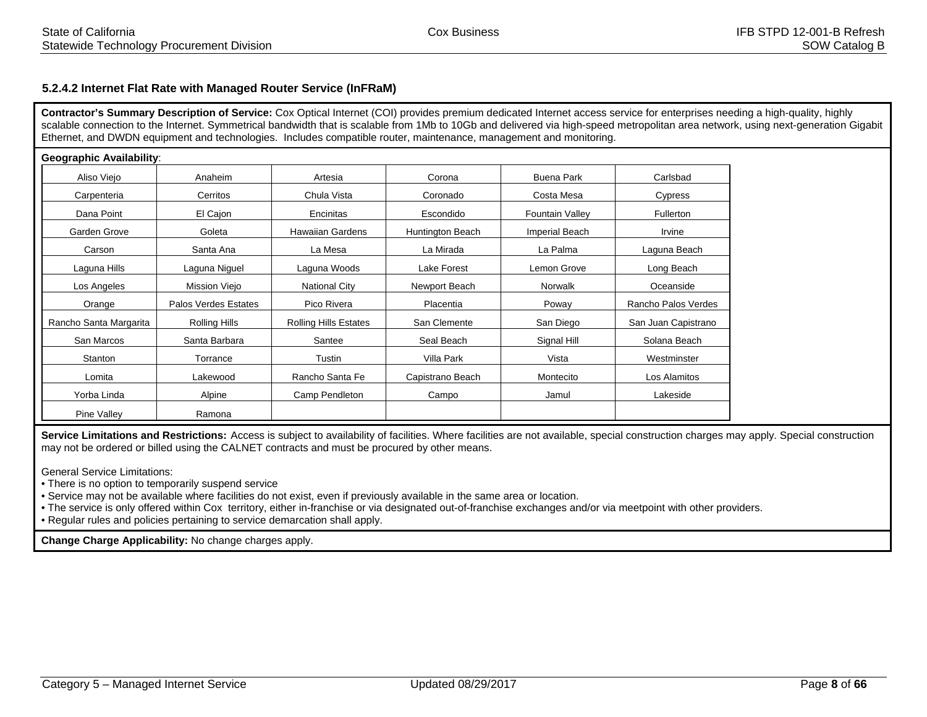# **5.2.4.2 Internet Flat Rate with Managed Router Service (InFRaM)**

**Contractor's Summary Description of Service:** Cox Optical Internet (COI) provides premium dedicated Internet access service for enterprises needing a high-quality, highly scalable connection to the Internet. Symmetrical bandwidth that is scalable from 1Mb to 10Gb and delivered via high-speed metropolitan area network, using next-generation Gigabit Ethernet, and DWDN equipment and technologies. Includes compatible router, maintenance, management and monitoring.

| <b>Geographic Availability:</b> |                      |                              |                  |                        |                     |
|---------------------------------|----------------------|------------------------------|------------------|------------------------|---------------------|
| Aliso Viejo                     | Anaheim              | Artesia                      | Corona           | <b>Buena Park</b>      | Carlsbad            |
| Carpenteria                     | Cerritos             | Chula Vista                  | Coronado         | Costa Mesa             | Cypress             |
| Dana Point                      | El Cajon             | Encinitas                    | Escondido        | <b>Fountain Valley</b> | Fullerton           |
| Garden Grove                    | Goleta               | <b>Hawaiian Gardens</b>      | Huntington Beach | Imperial Beach         | Irvine              |
| Carson                          | Santa Ana            | La Mesa                      | La Mirada        | La Palma               | Laguna Beach        |
| Laguna Hills                    | Laguna Niguel        | Laguna Woods                 | Lake Forest      | Lemon Grove            | Long Beach          |
| Los Angeles                     | Mission Viejo        | <b>National City</b>         | Newport Beach    | Norwalk                | Oceanside           |
| Orange                          | Palos Verdes Estates | Pico Rivera                  | Placentia        | Poway                  | Rancho Palos Verdes |
| Rancho Santa Margarita          | Rolling Hills        | <b>Rolling Hills Estates</b> | San Clemente     | San Diego              | San Juan Capistrano |
| San Marcos                      | Santa Barbara        | Santee                       | Seal Beach       | Signal Hill            | Solana Beach        |
| Stanton                         | Torrance             | Tustin                       | Villa Park       | Vista                  | Westminster         |
| Lomita                          | Lakewood             | Rancho Santa Fe              | Capistrano Beach | Montecito              | Los Alamitos        |
| Yorba Linda                     | Alpine               | Camp Pendleton               | Campo            | Jamul                  | Lakeside            |
| Pine Valley                     | Ramona               |                              |                  |                        |                     |

**Service Limitations and Restrictions:** Access is subject to availability of facilities. Where facilities are not available, special construction charges may apply. Special construction may not be ordered or billed using the CALNET contracts and must be procured by other means.

General Service Limitations:

• There is no option to temporarily suspend service

• Service may not be available where facilities do not exist, even if previously available in the same area or location.

• The service is only offered within Cox territory, either in-franchise or via designated out-of-franchise exchanges and/or via meetpoint with other providers.

• Regular rules and policies pertaining to service demarcation shall apply.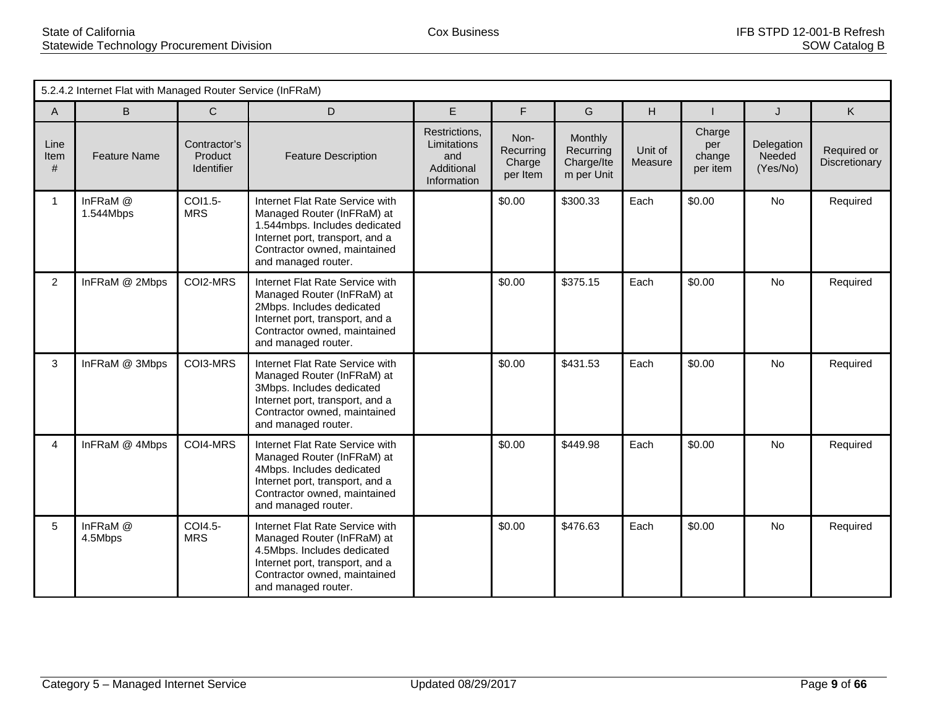|                   | 5.2.4.2 Internet Flat with Managed Router Service (InFRaM) |                                              |                                                                                                                                                                                          |                                                                  |                                         |                                                  |                    |                                     |                                  |                              |  |  |
|-------------------|------------------------------------------------------------|----------------------------------------------|------------------------------------------------------------------------------------------------------------------------------------------------------------------------------------------|------------------------------------------------------------------|-----------------------------------------|--------------------------------------------------|--------------------|-------------------------------------|----------------------------------|------------------------------|--|--|
| A                 | B                                                          | $\mathsf{C}$                                 | D                                                                                                                                                                                        | E                                                                | F                                       | G                                                | H                  |                                     | J                                | K                            |  |  |
| Line<br>Item<br># | <b>Feature Name</b>                                        | Contractor's<br>Product<br><b>Identifier</b> | <b>Feature Description</b>                                                                                                                                                               | Restrictions,<br>Limitations<br>and<br>Additional<br>Information | Non-<br>Recurring<br>Charge<br>per Item | Monthly<br>Recurring<br>Charge/Ite<br>m per Unit | Unit of<br>Measure | Charge<br>per<br>change<br>per item | Delegation<br>Needed<br>(Yes/No) | Required or<br>Discretionary |  |  |
| $\mathbf{1}$      | InFRaM @<br>1.544Mbps                                      | COI1.5-<br><b>MRS</b>                        | Internet Flat Rate Service with<br>Managed Router (InFRaM) at<br>1.544mbps. Includes dedicated<br>Internet port, transport, and a<br>Contractor owned, maintained<br>and managed router. |                                                                  | \$0.00                                  | \$300.33                                         | Each               | \$0.00                              | No                               | Required                     |  |  |
| $\overline{c}$    | InFRaM @ 2Mbps                                             | COI2-MRS                                     | Internet Flat Rate Service with<br>Managed Router (InFRaM) at<br>2Mbps. Includes dedicated<br>Internet port, transport, and a<br>Contractor owned, maintained<br>and managed router.     |                                                                  | \$0.00                                  | \$375.15                                         | Each               | \$0.00                              | <b>No</b>                        | Required                     |  |  |
| 3                 | InFRaM @ 3Mbps                                             | COI3-MRS                                     | Internet Flat Rate Service with<br>Managed Router (InFRaM) at<br>3Mbps. Includes dedicated<br>Internet port, transport, and a<br>Contractor owned, maintained<br>and managed router.     |                                                                  | \$0.00                                  | \$431.53                                         | Each               | \$0.00                              | <b>No</b>                        | Required                     |  |  |
| 4                 | InFRaM @ 4Mbps                                             | COI4-MRS                                     | Internet Flat Rate Service with<br>Managed Router (InFRaM) at<br>4Mbps. Includes dedicated<br>Internet port, transport, and a<br>Contractor owned, maintained<br>and managed router.     |                                                                  | \$0.00                                  | \$449.98                                         | Each               | \$0.00                              | <b>No</b>                        | Required                     |  |  |
| 5                 | InFRaM @<br>4.5Mbps                                        | COI4.5-<br><b>MRS</b>                        | Internet Flat Rate Service with<br>Managed Router (InFRaM) at<br>4.5Mbps. Includes dedicated<br>Internet port, transport, and a<br>Contractor owned, maintained<br>and managed router.   |                                                                  | \$0.00                                  | \$476.63                                         | Each               | \$0.00                              | <b>No</b>                        | Required                     |  |  |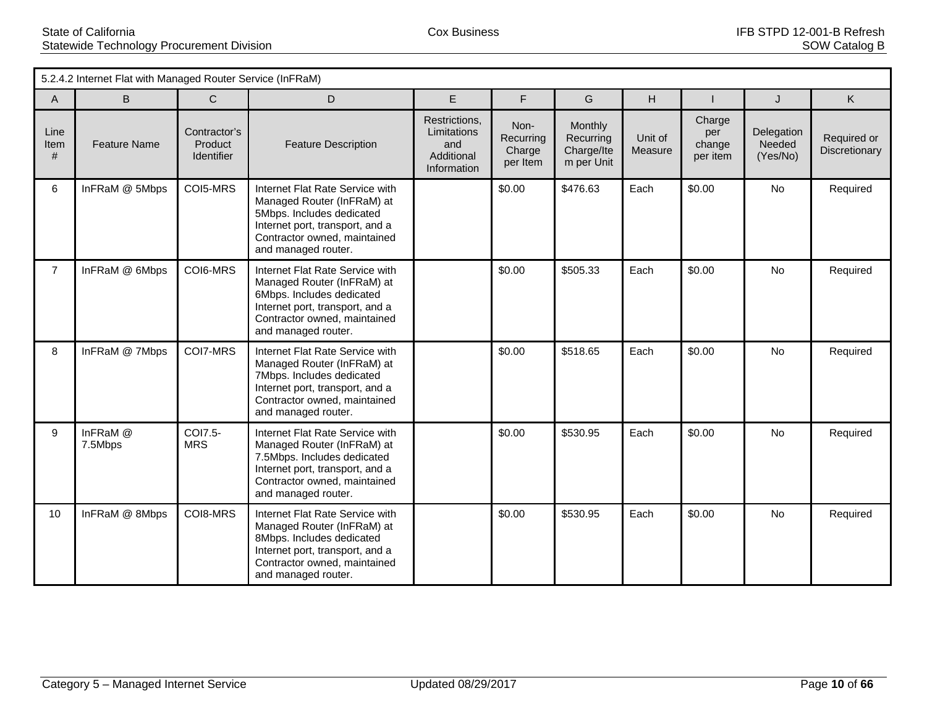|                   | 5.2.4.2 Internet Flat with Managed Router Service (InFRaM) |                                              |                                                                                                                                                                                        |                                                                  |                                         |                                                  |                    |                                     |                                  |                              |  |
|-------------------|------------------------------------------------------------|----------------------------------------------|----------------------------------------------------------------------------------------------------------------------------------------------------------------------------------------|------------------------------------------------------------------|-----------------------------------------|--------------------------------------------------|--------------------|-------------------------------------|----------------------------------|------------------------------|--|
| A                 | B                                                          | $\mathsf{C}$                                 | D                                                                                                                                                                                      | E                                                                | F                                       | G                                                | H                  |                                     | J                                | K                            |  |
| Line<br>Item<br># | <b>Feature Name</b>                                        | Contractor's<br>Product<br><b>Identifier</b> | <b>Feature Description</b>                                                                                                                                                             | Restrictions,<br>Limitations<br>and<br>Additional<br>Information | Non-<br>Recurring<br>Charge<br>per Item | Monthly<br>Recurring<br>Charge/Ite<br>m per Unit | Unit of<br>Measure | Charge<br>per<br>change<br>per item | Delegation<br>Needed<br>(Yes/No) | Required or<br>Discretionary |  |
| 6                 | InFRaM @ 5Mbps                                             | COI5-MRS                                     | Internet Flat Rate Service with<br>Managed Router (InFRaM) at<br>5Mbps. Includes dedicated<br>Internet port, transport, and a<br>Contractor owned, maintained<br>and managed router.   |                                                                  | \$0.00                                  | \$476.63                                         | Each               | \$0.00                              | No                               | Required                     |  |
| $\overline{7}$    | InFRaM @ 6Mbps                                             | COI6-MRS                                     | Internet Flat Rate Service with<br>Managed Router (InFRaM) at<br>6Mbps. Includes dedicated<br>Internet port, transport, and a<br>Contractor owned, maintained<br>and managed router.   |                                                                  | \$0.00                                  | \$505.33                                         | Each               | \$0.00                              | <b>No</b>                        | Required                     |  |
| 8                 | InFRaM @ 7Mbps                                             | COI7-MRS                                     | Internet Flat Rate Service with<br>Managed Router (InFRaM) at<br>7Mbps. Includes dedicated<br>Internet port, transport, and a<br>Contractor owned, maintained<br>and managed router.   |                                                                  | \$0.00                                  | \$518.65                                         | Each               | \$0.00                              | <b>No</b>                        | Required                     |  |
| 9                 | InFRaM @<br>7.5Mbps                                        | COI7.5-<br><b>MRS</b>                        | Internet Flat Rate Service with<br>Managed Router (InFRaM) at<br>7.5Mbps. Includes dedicated<br>Internet port, transport, and a<br>Contractor owned, maintained<br>and managed router. |                                                                  | \$0.00                                  | \$530.95                                         | Each               | \$0.00                              | No                               | Required                     |  |
| 10                | InFRaM @ 8Mbps                                             | COI8-MRS                                     | Internet Flat Rate Service with<br>Managed Router (InFRaM) at<br>8Mbps. Includes dedicated<br>Internet port, transport, and a<br>Contractor owned, maintained<br>and managed router.   |                                                                  | \$0.00                                  | \$530.95                                         | Each               | \$0.00                              | No                               | Required                     |  |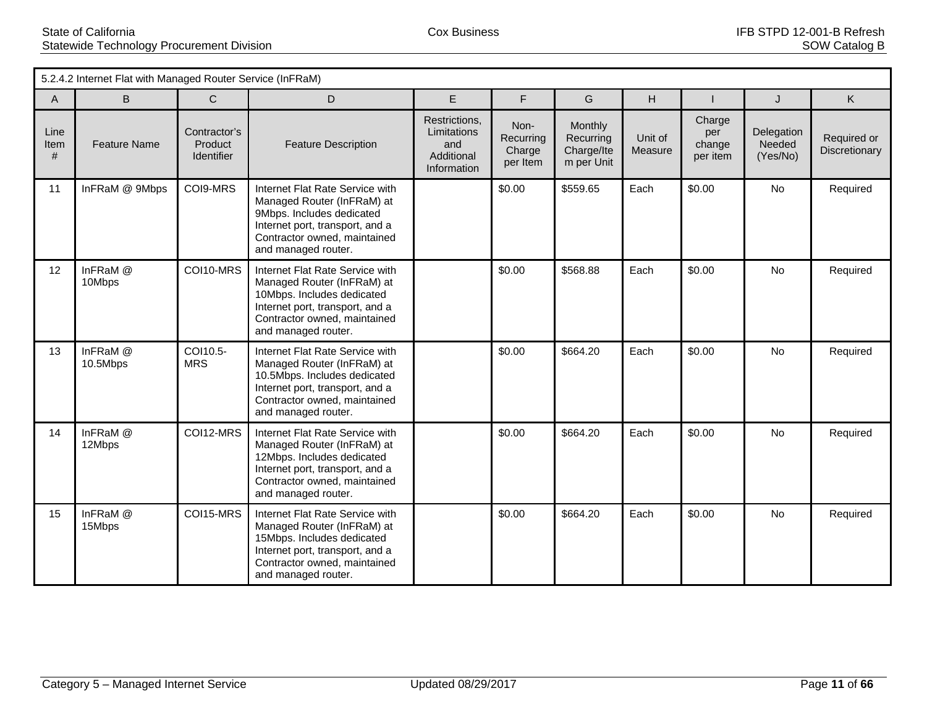|                   | 5.2.4.2 Internet Flat with Managed Router Service (InFRaM) |                                              |                                                                                                                                                                                         |                                                                  |                                         |                                                         |                    |                                     |                                  |                              |  |
|-------------------|------------------------------------------------------------|----------------------------------------------|-----------------------------------------------------------------------------------------------------------------------------------------------------------------------------------------|------------------------------------------------------------------|-----------------------------------------|---------------------------------------------------------|--------------------|-------------------------------------|----------------------------------|------------------------------|--|
| A                 | B.                                                         | C                                            | D                                                                                                                                                                                       | E                                                                | F.                                      | G                                                       | H                  |                                     | J                                | K                            |  |
| Line<br>Item<br># | <b>Feature Name</b>                                        | Contractor's<br>Product<br><b>Identifier</b> | <b>Feature Description</b>                                                                                                                                                              | Restrictions,<br>Limitations<br>and<br>Additional<br>Information | Non-<br>Recurring<br>Charge<br>per Item | <b>Monthly</b><br>Recurring<br>Charge/Ite<br>m per Unit | Unit of<br>Measure | Charge<br>per<br>change<br>per item | Delegation<br>Needed<br>(Yes/No) | Required or<br>Discretionary |  |
| 11                | InFRaM @ 9Mbps                                             | COI9-MRS                                     | Internet Flat Rate Service with<br>Managed Router (InFRaM) at<br>9Mbps. Includes dedicated<br>Internet port, transport, and a<br>Contractor owned, maintained<br>and managed router.    |                                                                  | \$0.00                                  | \$559.65                                                | Each               | \$0.00                              | No                               | Required                     |  |
| 12                | InFRaM @<br>10Mbps                                         | COI10-MRS                                    | Internet Flat Rate Service with<br>Managed Router (InFRaM) at<br>10Mbps. Includes dedicated<br>Internet port, transport, and a<br>Contractor owned, maintained<br>and managed router.   |                                                                  | \$0.00                                  | \$568.88                                                | Each               | \$0.00                              | <b>No</b>                        | Required                     |  |
| 13                | InFRaM @<br>10.5Mbps                                       | COI10.5-<br><b>MRS</b>                       | Internet Flat Rate Service with<br>Managed Router (InFRaM) at<br>10.5Mbps. Includes dedicated<br>Internet port, transport, and a<br>Contractor owned, maintained<br>and managed router. |                                                                  | \$0.00                                  | \$664.20                                                | Each               | \$0.00                              | No                               | Required                     |  |
| 14                | InFRaM @<br>12Mbps                                         | COI12-MRS                                    | Internet Flat Rate Service with<br>Managed Router (InFRaM) at<br>12Mbps. Includes dedicated<br>Internet port, transport, and a<br>Contractor owned, maintained<br>and managed router.   |                                                                  | \$0.00                                  | \$664.20                                                | Each               | \$0.00                              | No                               | Required                     |  |
| 15                | InFRaM @<br>15Mbps                                         | COI15-MRS                                    | Internet Flat Rate Service with<br>Managed Router (InFRaM) at<br>15Mbps. Includes dedicated<br>Internet port, transport, and a<br>Contractor owned, maintained<br>and managed router.   |                                                                  | \$0.00                                  | \$664.20                                                | Each               | \$0.00                              | <b>No</b>                        | Required                     |  |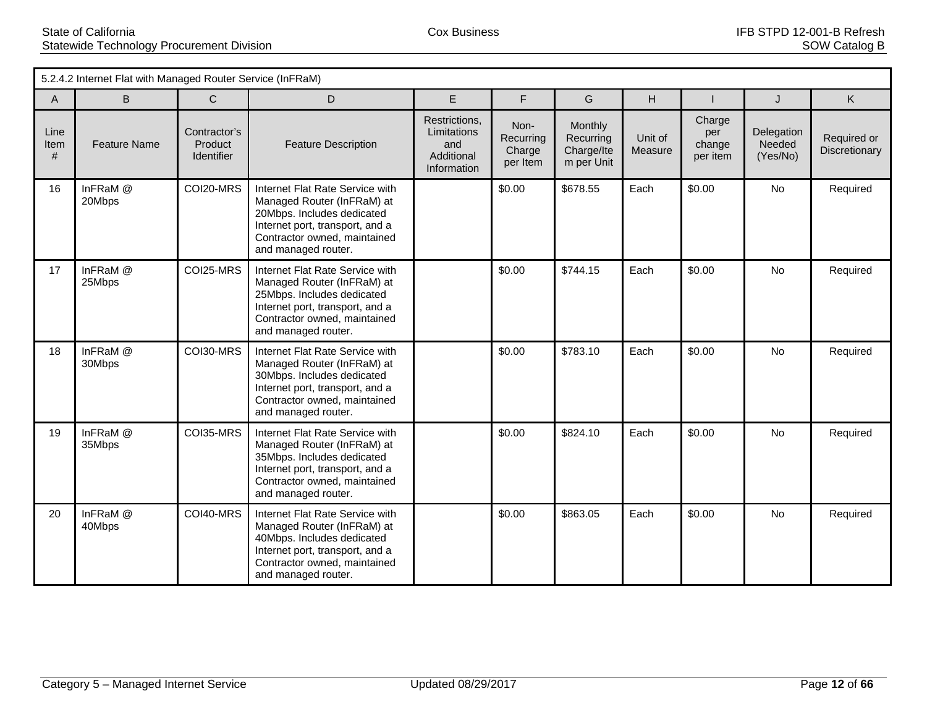|                   | 5.2.4.2 Internet Flat with Managed Router Service (InFRaM) |                                              |                                                                                                                                                                                       |                                                                  |                                         |                                                         |                    |                                     |                                  |                              |  |
|-------------------|------------------------------------------------------------|----------------------------------------------|---------------------------------------------------------------------------------------------------------------------------------------------------------------------------------------|------------------------------------------------------------------|-----------------------------------------|---------------------------------------------------------|--------------------|-------------------------------------|----------------------------------|------------------------------|--|
| A                 | B.                                                         | C                                            | D                                                                                                                                                                                     | E                                                                | F.                                      | G                                                       | H                  |                                     | J                                | K                            |  |
| Line<br>Item<br># | <b>Feature Name</b>                                        | Contractor's<br>Product<br><b>Identifier</b> | <b>Feature Description</b>                                                                                                                                                            | Restrictions,<br>Limitations<br>and<br>Additional<br>Information | Non-<br>Recurring<br>Charge<br>per Item | <b>Monthly</b><br>Recurring<br>Charge/Ite<br>m per Unit | Unit of<br>Measure | Charge<br>per<br>change<br>per item | Delegation<br>Needed<br>(Yes/No) | Required or<br>Discretionary |  |
| 16                | InFRaM @<br>20Mbps                                         | COI20-MRS                                    | Internet Flat Rate Service with<br>Managed Router (InFRaM) at<br>20Mbps. Includes dedicated<br>Internet port, transport, and a<br>Contractor owned, maintained<br>and managed router. |                                                                  | \$0.00                                  | \$678.55                                                | Each               | \$0.00                              | No                               | Required                     |  |
| 17                | InFRaM @<br>25Mbps                                         | COI25-MRS                                    | Internet Flat Rate Service with<br>Managed Router (InFRaM) at<br>25Mbps. Includes dedicated<br>Internet port, transport, and a<br>Contractor owned, maintained<br>and managed router. |                                                                  | \$0.00                                  | \$744.15                                                | Each               | \$0.00                              | No                               | Required                     |  |
| 18                | InFRaM @<br>30Mbps                                         | COI30-MRS                                    | Internet Flat Rate Service with<br>Managed Router (InFRaM) at<br>30Mbps. Includes dedicated<br>Internet port, transport, and a<br>Contractor owned, maintained<br>and managed router. |                                                                  | \$0.00                                  | \$783.10                                                | Each               | \$0.00                              | No                               | Required                     |  |
| 19                | InFRaM @<br>35Mbps                                         | COI35-MRS                                    | Internet Flat Rate Service with<br>Managed Router (InFRaM) at<br>35Mbps. Includes dedicated<br>Internet port, transport, and a<br>Contractor owned, maintained<br>and managed router. |                                                                  | \$0.00                                  | \$824.10                                                | Each               | \$0.00                              | No                               | Required                     |  |
| 20                | InFRaM @<br>40Mbps                                         | COI40-MRS                                    | Internet Flat Rate Service with<br>Managed Router (InFRaM) at<br>40Mbps. Includes dedicated<br>Internet port, transport, and a<br>Contractor owned, maintained<br>and managed router. |                                                                  | \$0.00                                  | \$863.05                                                | Each               | \$0.00                              | No                               | Required                     |  |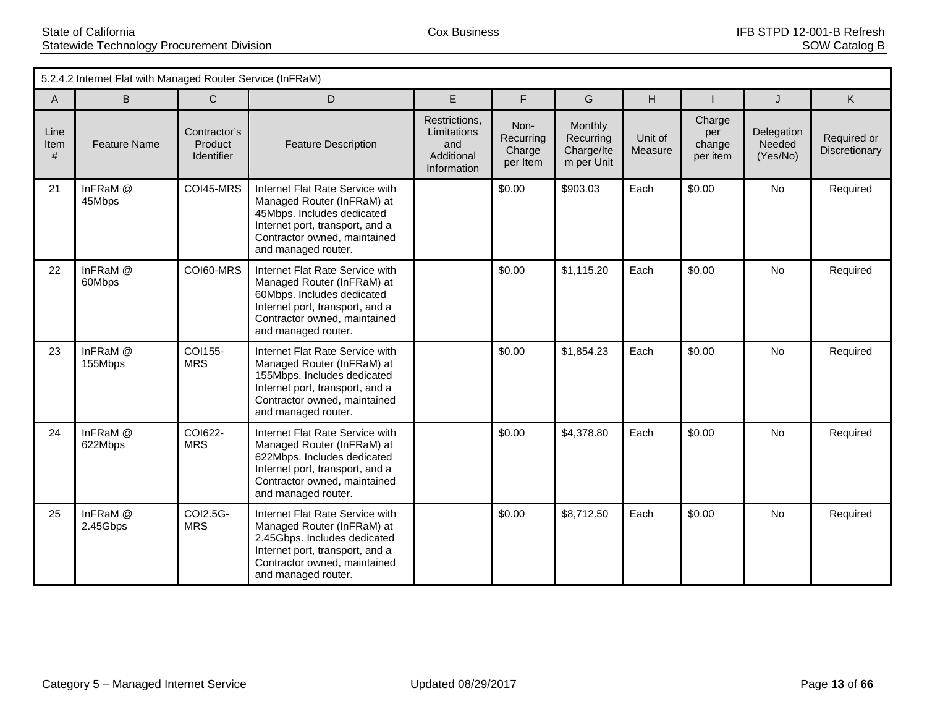5.2.4.2 Internet Flat with Managed Router Service (InFRaM) A B C D E F G H I J K Line Item # Feature Name Contractor's **Product** Identifier Feature Description Restrictions, Limitations and Additional Information Non-**Recurring Charge** per Item Monthly Recurring Charge/Ite m per Unit Unit of Measure **Charge** per change per item **Delegation Needed** (Yes/No) Required or **Discretionary** 21 InFRaM @ 45Mbps COI45-MRS Internet Flat Rate Service with Managed Router (InFRaM) at 45Mbps. Includes dedicated Internet port, transport, and a Contractor owned, maintained and managed router. \$0.00 \$903.03 Each \$0.00 No Required 22 | InFRaM @ 60Mbps COI60-MRS Internet Flat Rate Service with Managed Router (InFRaM) at 60Mbps. Includes dedicated Internet port, transport, and a Contractor owned, maintained and managed router. \$0.00 \$1,115.20 Each \$0.00 No Required 23 | InFRaM @ 155Mbps COI155-MRS Internet Flat Rate Service with Managed Router (InFRaM) at 155Mbps. Includes dedicated Internet port, transport, and a Contractor owned, maintained and managed router. \$0.00 \$1,854.23 Each \$0.00 No Required 24 | InFRaM @ 622Mbps COI622-**MRS** Internet Flat Rate Service with Managed Router (InFRaM) at 622Mbps. Includes dedicated Internet port, transport, and a Contractor owned, maintained and managed router. \$0.00 \$4,378.80 Each \$0.00 No Required 25 InFRaM @ 2.45Gbps COI2.5G-MRS Internet Flat Rate Service with Managed Router (InFRaM) at 2.45Gbps. Includes dedicated Internet port, transport, and a Contractor owned, maintained and managed router. \$0.00 \$8,712.50 Each \$0.00 No Required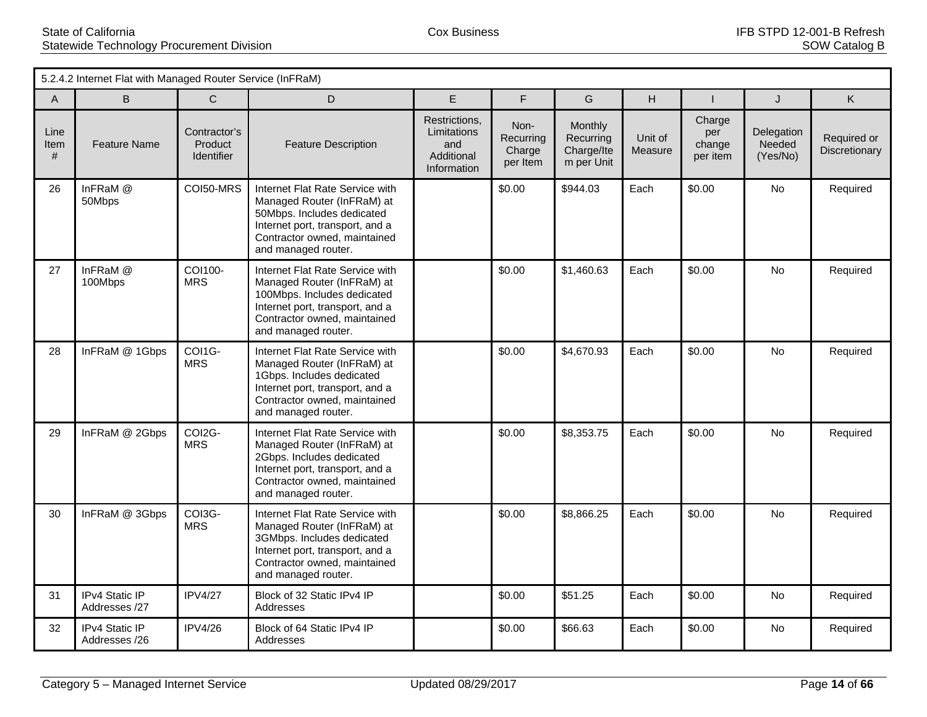|                   | 5.2.4.2 Internet Flat with Managed Router Service (InFRaM) |                                              |                                                                                                                                                                                        |                                                                  |                                         |                                                  |                    |                                     |                                  |                              |
|-------------------|------------------------------------------------------------|----------------------------------------------|----------------------------------------------------------------------------------------------------------------------------------------------------------------------------------------|------------------------------------------------------------------|-----------------------------------------|--------------------------------------------------|--------------------|-------------------------------------|----------------------------------|------------------------------|
| $\overline{A}$    | B                                                          | $\mathsf{C}$                                 | D                                                                                                                                                                                      | E                                                                | F                                       | G                                                | H.                 |                                     | J                                | K                            |
| Line<br>Item<br># | <b>Feature Name</b>                                        | Contractor's<br>Product<br><b>Identifier</b> | <b>Feature Description</b>                                                                                                                                                             | Restrictions,<br>Limitations<br>and<br>Additional<br>Information | Non-<br>Recurring<br>Charge<br>per Item | Monthly<br>Recurring<br>Charge/Ite<br>m per Unit | Unit of<br>Measure | Charge<br>per<br>change<br>per item | Delegation<br>Needed<br>(Yes/No) | Required or<br>Discretionary |
| 26                | InFRaM @<br>50Mbps                                         | COI50-MRS                                    | Internet Flat Rate Service with<br>Managed Router (InFRaM) at<br>50Mbps. Includes dedicated<br>Internet port, transport, and a<br>Contractor owned, maintained<br>and managed router.  |                                                                  | \$0.00                                  | \$944.03                                         | Each               | \$0.00                              | No                               | Required                     |
| 27                | InFRaM @<br>100Mbps                                        | COI100-<br><b>MRS</b>                        | Internet Flat Rate Service with<br>Managed Router (InFRaM) at<br>100Mbps. Includes dedicated<br>Internet port, transport, and a<br>Contractor owned, maintained<br>and managed router. |                                                                  | \$0.00                                  | \$1,460.63                                       | Each               | \$0.00                              | <b>No</b>                        | Required                     |
| 28                | InFRaM @ 1Gbps                                             | COI1G-<br><b>MRS</b>                         | Internet Flat Rate Service with<br>Managed Router (InFRaM) at<br>1Gbps. Includes dedicated<br>Internet port, transport, and a<br>Contractor owned, maintained<br>and managed router.   |                                                                  | \$0.00                                  | \$4,670.93                                       | Each               | \$0.00                              | No.                              | Required                     |
| 29                | InFRaM @ 2Gbps                                             | COI2G-<br><b>MRS</b>                         | Internet Flat Rate Service with<br>Managed Router (InFRaM) at<br>2Gbps. Includes dedicated<br>Internet port, transport, and a<br>Contractor owned, maintained<br>and managed router.   |                                                                  | \$0.00                                  | \$8,353.75                                       | Each               | \$0.00                              | No.                              | Required                     |
| 30                | InFRaM @ 3Gbps                                             | COI3G-<br><b>MRS</b>                         | Internet Flat Rate Service with<br>Managed Router (InFRaM) at<br>3GMbps. Includes dedicated<br>Internet port, transport, and a<br>Contractor owned, maintained<br>and managed router.  |                                                                  | \$0.00                                  | \$8,866.25                                       | Each               | \$0.00                              | <b>No</b>                        | Required                     |
| 31                | IPv4 Static IP<br>Addresses /27                            | <b>IPV4/27</b>                               | Block of 32 Static IPv4 IP<br>Addresses                                                                                                                                                |                                                                  | \$0.00                                  | \$51.25                                          | Each               | \$0.00                              | No                               | Required                     |
| 32                | IPv4 Static IP<br>Addresses /26                            | <b>IPV4/26</b>                               | Block of 64 Static IPv4 IP<br>Addresses                                                                                                                                                |                                                                  | \$0.00                                  | \$66.63                                          | Each               | \$0.00                              | No                               | Required                     |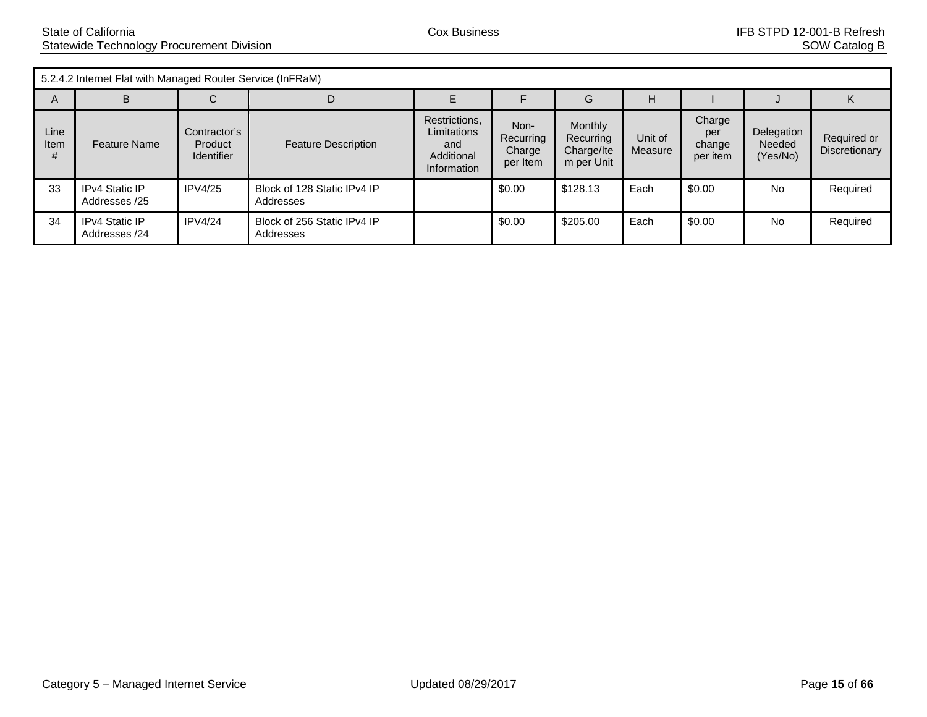5.2.4.2 Internet Flat with Managed Router Service (InFRaM)

|              | 0.2.1.2 millon follows mill managed ricator corrico (mm riam) |                                              |                                          |                                                                  |                                         |                                                         |                    |                                     |                                  |                              |  |  |
|--------------|---------------------------------------------------------------|----------------------------------------------|------------------------------------------|------------------------------------------------------------------|-----------------------------------------|---------------------------------------------------------|--------------------|-------------------------------------|----------------------------------|------------------------------|--|--|
| A            | B                                                             | ◡                                            | D                                        |                                                                  |                                         | G                                                       | H                  |                                     |                                  |                              |  |  |
| Line<br>Item | <b>Feature Name</b>                                           | Contractor's<br>Product<br><b>Identifier</b> | <b>Feature Description</b>               | Restrictions,<br>Limitations<br>and<br>Additional<br>Information | Non-<br>Recurring<br>Charge<br>per Item | <b>Monthly</b><br>Recurring<br>Charge/Ite<br>m per Unit | Unit of<br>Measure | Charge<br>per<br>change<br>per item | Delegation<br>Needed<br>(Yes/No) | Required or<br>Discretionary |  |  |
| 33           | <b>IPv4 Static IP</b><br>Addresses /25                        | IPV4/25                                      | Block of 128 Static IPv4 IP<br>Addresses |                                                                  | \$0.00                                  | \$128.13                                                | Each               | \$0.00                              | <b>No</b>                        | Required                     |  |  |
| 34           | <b>IPv4 Static IP</b><br>Addresses /24                        | IPV4/24                                      | Block of 256 Static IPv4 IP<br>Addresses |                                                                  | \$0.00                                  | \$205.00                                                | Each               | \$0.00                              | <b>No</b>                        | Required                     |  |  |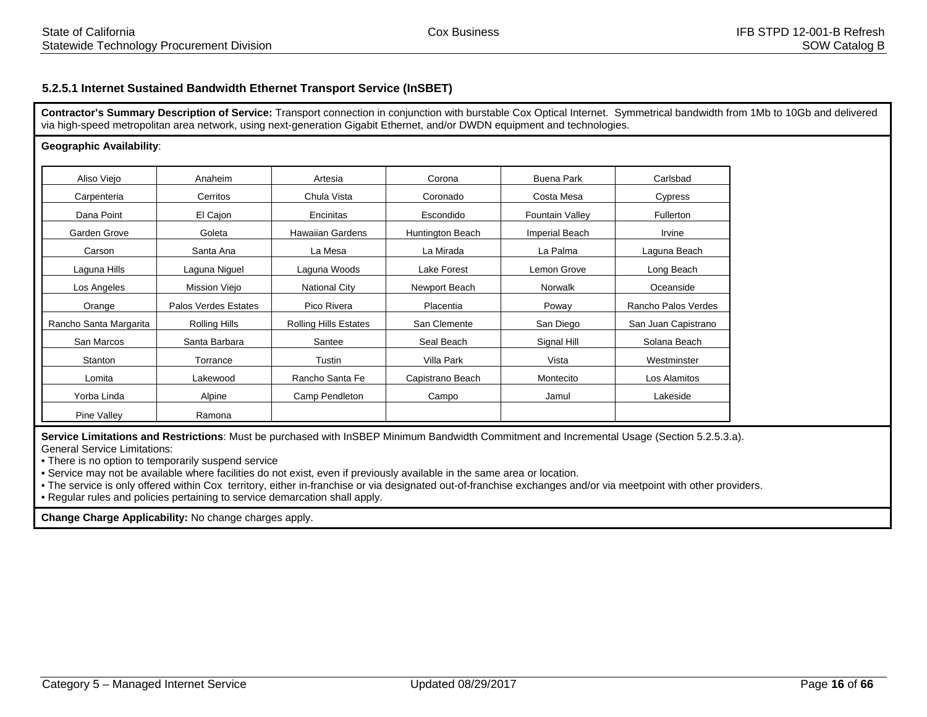## **5.2.5.1 Internet Sustained Bandwidth Ethernet Transport Service (InSBET)**

**Contractor's Summary Description of Service:** Transport connection in conjunction with burstable Cox Optical Internet. Symmetrical bandwidth from 1Mb to 10Gb and delivered via high-speed metropolitan area network, using next-generation Gigabit Ethernet, and/or DWDN equipment and technologies.

#### **Geographic Availability**:

| Aliso Viejo            | Anaheim                     | Artesia                      | Corona           | <b>Buena Park</b>      | Carlsbad            |
|------------------------|-----------------------------|------------------------------|------------------|------------------------|---------------------|
| Carpenteria            | Cerritos                    | Chula Vista                  | Coronado         | Costa Mesa             | Cypress             |
| Dana Point             | El Cajon                    | Encinitas                    | Escondido        | <b>Fountain Valley</b> | <b>Fullerton</b>    |
| Garden Grove           | Goleta                      | <b>Hawaiian Gardens</b>      | Huntington Beach | <b>Imperial Beach</b>  | Irvine              |
| Carson                 | Santa Ana                   | La Mesa                      | La Mirada        | La Palma               | Laguna Beach        |
| Laguna Hills           | Laguna Niguel               | Laguna Woods                 | Lake Forest      | Lemon Grove            | Long Beach          |
| Los Angeles            | Mission Viejo               | <b>National City</b>         | Newport Beach    | Norwalk                | Oceanside           |
| Orange                 | <b>Palos Verdes Estates</b> | Pico Rivera                  | Placentia        | Poway                  | Rancho Palos Verdes |
| Rancho Santa Margarita | Rolling Hills               | <b>Rolling Hills Estates</b> | San Clemente     | San Diego              | San Juan Capistrano |
| San Marcos             | Santa Barbara               | Santee                       | Seal Beach       | Signal Hill            | Solana Beach        |
| Stanton                | Torrance                    | Tustin                       | Villa Park       | Vista                  | Westminster         |
| Lomita                 | Lakewood                    | Rancho Santa Fe              | Capistrano Beach | Montecito              | Los Alamitos        |
| Yorba Linda            | Alpine                      | Camp Pendleton               | Campo            | Jamul                  | Lakeside            |
| <b>Pine Valley</b>     | Ramona                      |                              |                  |                        |                     |

**Service Limitations and Restrictions**: Must be purchased with InSBEP Minimum Bandwidth Commitment and Incremental Usage (Section 5.2.5.3.a). General Service Limitations:

• There is no option to temporarily suspend service

• Service may not be available where facilities do not exist, even if previously available in the same area or location.

• The service is only offered within Cox territory, either in-franchise or via designated out-of-franchise exchanges and/or via meetpoint with other providers.

• Regular rules and policies pertaining to service demarcation shall apply.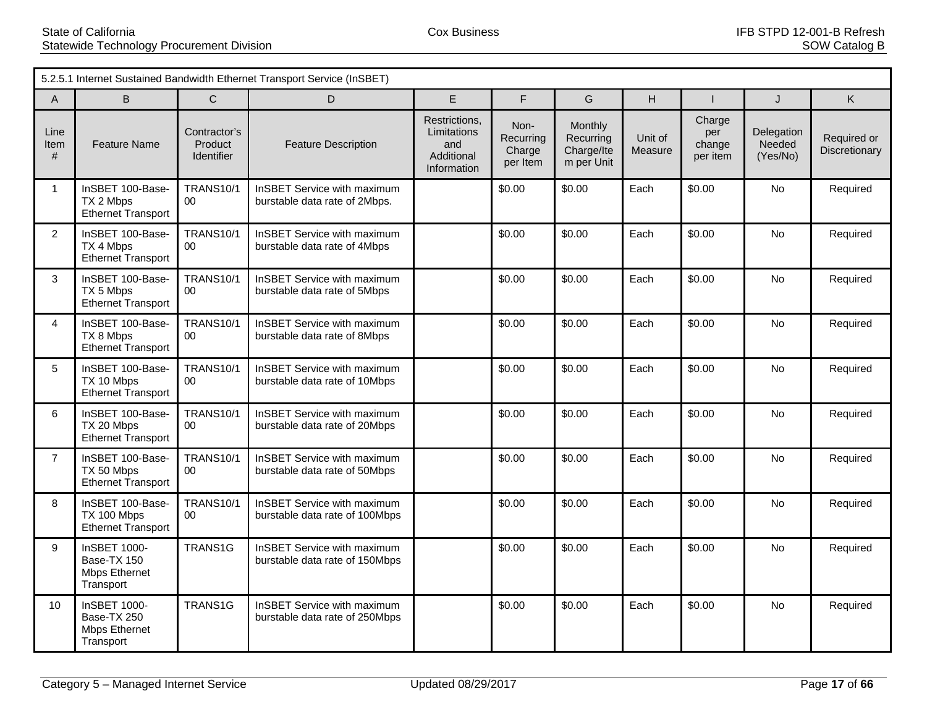|                   | 5.2.5.1 Internet Sustained Bandwidth Ethernet Transport Service (InSBET) |                                              |                                                               |                                                                  |                                         |                                                  |                    |                                     |                                  |                              |  |
|-------------------|--------------------------------------------------------------------------|----------------------------------------------|---------------------------------------------------------------|------------------------------------------------------------------|-----------------------------------------|--------------------------------------------------|--------------------|-------------------------------------|----------------------------------|------------------------------|--|
| $\overline{A}$    | B                                                                        | $\overline{C}$                               | D                                                             | E                                                                | F                                       | G                                                | H                  |                                     | J                                | K.                           |  |
| Line<br>Item<br># | <b>Feature Name</b>                                                      | Contractor's<br>Product<br><b>Identifier</b> | <b>Feature Description</b>                                    | Restrictions.<br>Limitations<br>and<br>Additional<br>Information | Non-<br>Recurring<br>Charge<br>per Item | Monthly<br>Recurring<br>Charge/Ite<br>m per Unit | Unit of<br>Measure | Charge<br>per<br>change<br>per item | Delegation<br>Needed<br>(Yes/No) | Required or<br>Discretionary |  |
| $\mathbf{1}$      | InSBET 100-Base-<br>TX 2 Mbps<br><b>Ethernet Transport</b>               | <b>TRANS10/1</b><br>$00\,$                   | InSBET Service with maximum<br>burstable data rate of 2Mbps.  |                                                                  | \$0.00                                  | \$0.00                                           | Each               | \$0.00                              | <b>No</b>                        | Required                     |  |
| $\overline{c}$    | InSBET 100-Base-<br>TX 4 Mbps<br><b>Ethernet Transport</b>               | <b>TRANS10/1</b><br>00 <sup>1</sup>          | InSBET Service with maximum<br>burstable data rate of 4Mbps   |                                                                  | \$0.00                                  | \$0.00                                           | Each               | \$0.00                              | No                               | Required                     |  |
| 3                 | InSBET 100-Base-<br>TX 5 Mbps<br><b>Ethernet Transport</b>               | <b>TRANS10/1</b><br>$00\,$                   | InSBET Service with maximum<br>burstable data rate of 5Mbps   |                                                                  | \$0.00                                  | \$0.00                                           | Each               | \$0.00                              | <b>No</b>                        | Required                     |  |
| $\overline{4}$    | InSBET 100-Base-<br>TX 8 Mbps<br><b>Ethernet Transport</b>               | <b>TRANS10/1</b><br>$00\,$                   | InSBET Service with maximum<br>burstable data rate of 8Mbps   |                                                                  | \$0.00                                  | \$0.00                                           | Each               | \$0.00                              | <b>No</b>                        | Required                     |  |
| 5                 | InSBET 100-Base-<br>TX 10 Mbps<br><b>Ethernet Transport</b>              | <b>TRANS10/1</b><br>$00\,$                   | InSBET Service with maximum<br>burstable data rate of 10Mbps  |                                                                  | \$0.00                                  | \$0.00                                           | Each               | \$0.00                              | <b>No</b>                        | Required                     |  |
| 6                 | InSBET 100-Base-<br>TX 20 Mbps<br><b>Ethernet Transport</b>              | <b>TRANS10/1</b><br>$00\,$                   | InSBET Service with maximum<br>burstable data rate of 20Mbps  |                                                                  | \$0.00                                  | \$0.00                                           | Each               | \$0.00                              | <b>No</b>                        | Required                     |  |
| $\overline{7}$    | InSBET 100-Base-<br>TX 50 Mbps<br><b>Ethernet Transport</b>              | <b>TRANS10/1</b><br>$00\,$                   | InSBET Service with maximum<br>burstable data rate of 50Mbps  |                                                                  | \$0.00                                  | \$0.00                                           | Each               | \$0.00                              | No                               | Required                     |  |
| 8                 | InSBET 100-Base-<br>TX 100 Mbps<br><b>Ethernet Transport</b>             | <b>TRANS10/1</b><br>00 <sup>1</sup>          | InSBET Service with maximum<br>burstable data rate of 100Mbps |                                                                  | \$0.00                                  | \$0.00                                           | Each               | \$0.00                              | <b>No</b>                        | Required                     |  |
| 9                 | InSBET 1000-<br>Base-TX 150<br><b>Mbps Ethernet</b><br>Transport         | TRANS1G                                      | InSBET Service with maximum<br>burstable data rate of 150Mbps |                                                                  | \$0.00                                  | \$0.00                                           | Each               | \$0.00                              | <b>No</b>                        | Required                     |  |
| 10                | InSBET 1000-<br>Base-TX 250<br><b>Mbps Ethernet</b><br>Transport         | TRANS1G                                      | InSBET Service with maximum<br>burstable data rate of 250Mbps |                                                                  | \$0.00                                  | \$0.00                                           | Each               | \$0.00                              | No                               | Required                     |  |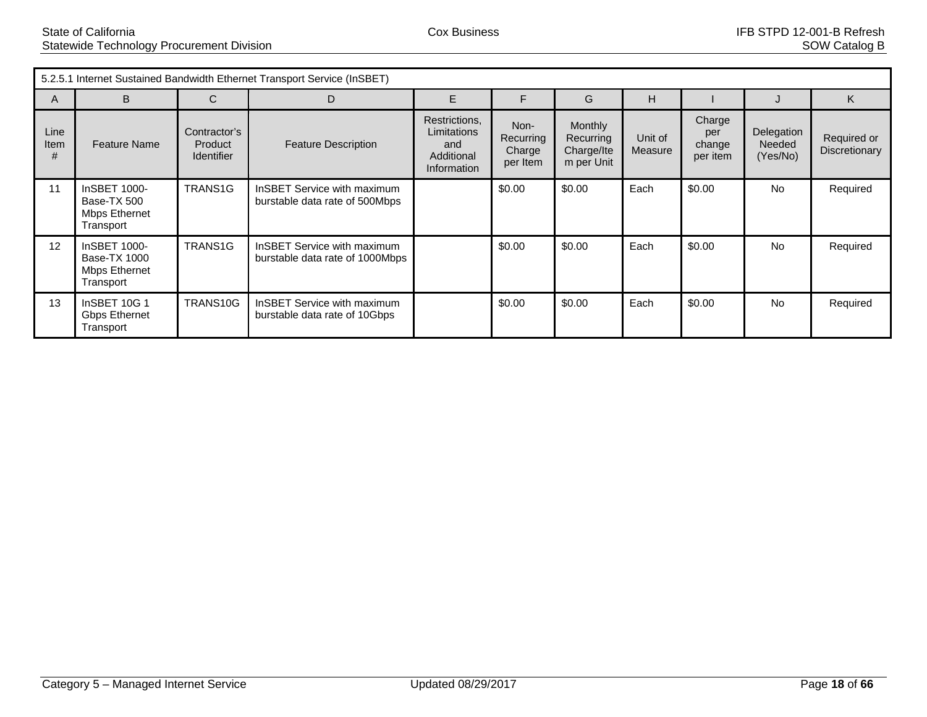|                   | 5.2.5.1 Internet Sustained Bandwidth Ethernet Transport Service (InSBET) |                                                     |                                                                       |                                                                  |                                         |                                                  |                    |                                     |                                  |                              |
|-------------------|--------------------------------------------------------------------------|-----------------------------------------------------|-----------------------------------------------------------------------|------------------------------------------------------------------|-----------------------------------------|--------------------------------------------------|--------------------|-------------------------------------|----------------------------------|------------------------------|
| A                 | B                                                                        | C                                                   | D                                                                     | E                                                                | F                                       | G                                                | н                  |                                     |                                  | K                            |
| Line<br>Item<br># | <b>Feature Name</b>                                                      | Contractor's<br><b>Product</b><br><b>Identifier</b> | <b>Feature Description</b>                                            | Restrictions,<br>Limitations<br>and<br>Additional<br>Information | Non-<br>Recurring<br>Charge<br>per Item | Monthly<br>Recurring<br>Charge/Ite<br>m per Unit | Unit of<br>Measure | Charge<br>per<br>change<br>per item | Delegation<br>Needed<br>(Yes/No) | Required or<br>Discretionary |
| 11                | InSBET 1000-<br>Base-TX 500<br><b>Mbps Ethernet</b><br>Transport         | TRANS <sub>1G</sub>                                 | InSBET Service with maximum<br>burstable data rate of 500Mbps         |                                                                  | \$0.00                                  | \$0.00                                           | Each               | \$0.00                              | <b>No</b>                        | Required                     |
| 12                | InSBET 1000-<br><b>Base-TX 1000</b><br>Mbps Ethernet<br>Transport        | TRANS <sub>1G</sub>                                 | <b>InSBET Service with maximum</b><br>burstable data rate of 1000Mbps |                                                                  | \$0.00                                  | \$0.00                                           | Each               | \$0.00                              | <b>No</b>                        | Required                     |
| 13                | <b>InSBET 10G 1</b><br><b>Gbps Ethernet</b><br>Transport                 | TRANS <sub>10G</sub>                                | <b>InSBET Service with maximum</b><br>burstable data rate of 10Gbps   |                                                                  | \$0.00                                  | \$0.00                                           | Each               | \$0.00                              | No                               | Required                     |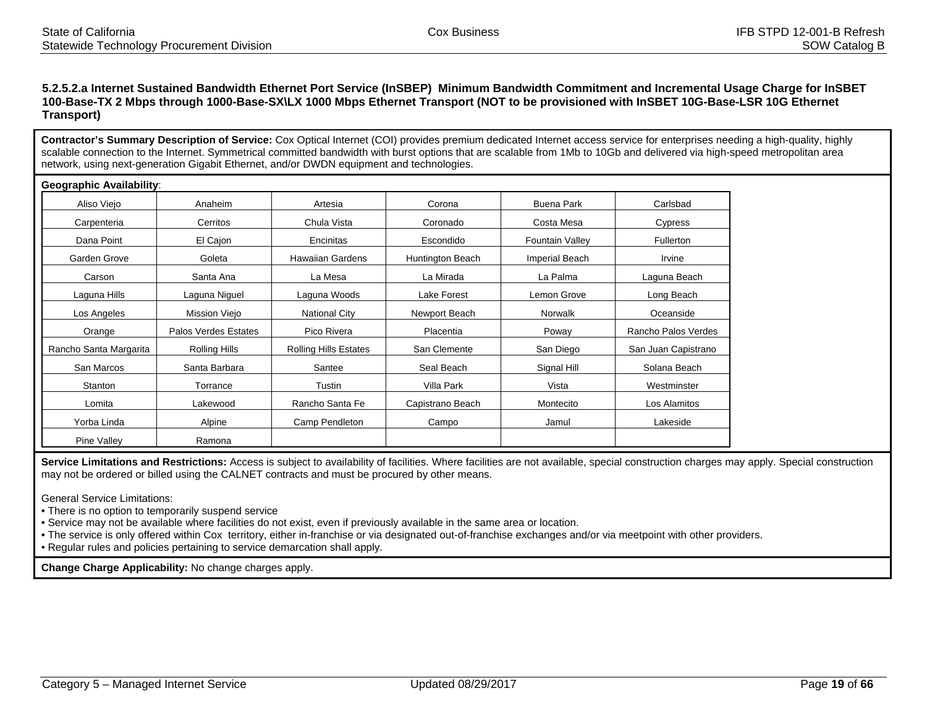#### **5.2.5.2.a Internet Sustained Bandwidth Ethernet Port Service (InSBEP) Minimum Bandwidth Commitment and Incremental Usage Charge for InSBET 100-Base-TX 2 Mbps through 1000-Base-SX\LX 1000 Mbps Ethernet Transport (NOT to be provisioned with InSBET 10G-Base-LSR 10G Ethernet Transport)**

**Contractor's Summary Description of Service:** Cox Optical Internet (COI) provides premium dedicated Internet access service for enterprises needing a high-quality, highly scalable connection to the Internet. Symmetrical committed bandwidth with burst options that are scalable from 1Mb to 10Gb and delivered via high-speed metropolitan area network, using next-generation Gigabit Ethernet, and/or DWDN equipment and technologies.

| <b>Geographic Availability:</b> |                      |                              |                  |                        |                     |
|---------------------------------|----------------------|------------------------------|------------------|------------------------|---------------------|
| Aliso Viejo                     | Anaheim              | Artesia                      | Corona           | <b>Buena Park</b>      | Carlsbad            |
| Carpenteria                     | Cerritos             | Chula Vista                  | Coronado         | Costa Mesa             | Cypress             |
| Dana Point                      | El Cajon             | Encinitas                    | Escondido        | <b>Fountain Valley</b> | Fullerton           |
| Garden Grove                    | Goleta               | <b>Hawaiian Gardens</b>      | Huntington Beach | Imperial Beach         | Irvine              |
| Carson                          | Santa Ana            | La Mesa                      | La Mirada        | La Palma               | Laguna Beach        |
| Laguna Hills                    | Laguna Niguel        | Laguna Woods                 | Lake Forest      | Lemon Grove            | Long Beach          |
| Los Angeles                     | Mission Viejo        | <b>National City</b>         | Newport Beach    | <b>Norwalk</b>         | Oceanside           |
| Orange                          | Palos Verdes Estates | Pico Rivera                  | <b>Placentia</b> | Poway                  | Rancho Palos Verdes |
| Rancho Santa Margarita          | Rolling Hills        | <b>Rolling Hills Estates</b> | San Clemente     | San Diego              | San Juan Capistrano |
| San Marcos                      | Santa Barbara        | Santee                       | Seal Beach       | Signal Hill            | Solana Beach        |
| Stanton                         | Torrance             | Tustin                       | Villa Park       | Vista                  | Westminster         |
| Lomita                          | Lakewood             | Rancho Santa Fe              | Capistrano Beach | Montecito              | Los Alamitos        |
| Yorba Linda                     | Alpine               | Camp Pendleton               | Campo            | Jamul                  | Lakeside            |
| <b>Pine Valley</b>              | Ramona               |                              |                  |                        |                     |

Service Limitations and Restrictions: Access is subject to availability of facilities. Where facilities are not available, special construction charges may apply. Special construction may not be ordered or billed using the CALNET contracts and must be procured by other means.

General Service Limitations:

• There is no option to temporarily suspend service

• Service may not be available where facilities do not exist, even if previously available in the same area or location.

• The service is only offered within Cox territory, either in-franchise or via designated out-of-franchise exchanges and/or via meetpoint with other providers.

• Regular rules and policies pertaining to service demarcation shall apply.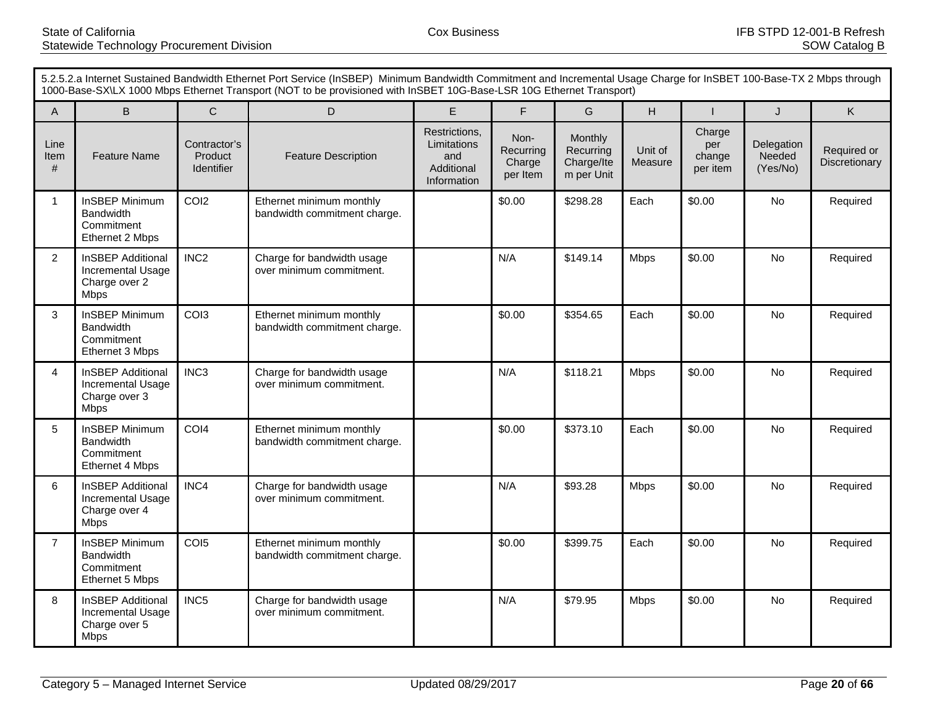|                   | 5.2.5.2.a Internet Sustained Bandwidth Ethernet Port Service (InSBEP) Minimum Bandwidth Commitment and Incremental Usage Charge for InSBET 100-Base-TX 2 Mbps through<br>1000-Base-SX\LX 1000 Mbps Ethernet Transport (NOT to be provisioned with InSBET 10G-Base-LSR 10G Ethernet Transport) |                                              |                                                          |                                                                  |                                         |                                                  |                    |                                     |                                  |                              |  |
|-------------------|-----------------------------------------------------------------------------------------------------------------------------------------------------------------------------------------------------------------------------------------------------------------------------------------------|----------------------------------------------|----------------------------------------------------------|------------------------------------------------------------------|-----------------------------------------|--------------------------------------------------|--------------------|-------------------------------------|----------------------------------|------------------------------|--|
| $\mathsf{A}$      | $\sf B$                                                                                                                                                                                                                                                                                       | $\mathsf{C}$                                 | D                                                        | E                                                                | $\mathsf{F}$                            | G                                                | H                  |                                     | J                                | Κ                            |  |
| Line<br>Item<br># | <b>Feature Name</b>                                                                                                                                                                                                                                                                           | Contractor's<br>Product<br><b>Identifier</b> | <b>Feature Description</b>                               | Restrictions,<br>Limitations<br>and<br>Additional<br>Information | Non-<br>Recurring<br>Charge<br>per Item | Monthly<br>Recurring<br>Charge/Ite<br>m per Unit | Unit of<br>Measure | Charge<br>per<br>change<br>per item | Delegation<br>Needed<br>(Yes/No) | Required or<br>Discretionary |  |
| $\mathbf{1}$      | <b>InSBEP Minimum</b><br>Bandwidth<br>Commitment<br>Ethernet 2 Mbps                                                                                                                                                                                                                           | COI <sub>2</sub>                             | Ethernet minimum monthly<br>bandwidth commitment charge. |                                                                  | \$0.00                                  | \$298.28                                         | Each               | \$0.00                              | No                               | Required                     |  |
| $\overline{c}$    | <b>InSBEP Additional</b><br>Incremental Usage<br>Charge over 2<br><b>Mbps</b>                                                                                                                                                                                                                 | INC <sub>2</sub>                             | Charge for bandwidth usage<br>over minimum commitment.   |                                                                  | N/A                                     | \$149.14                                         | <b>Mbps</b>        | \$0.00                              | <b>No</b>                        | Required                     |  |
| 3                 | InSBEP Minimum<br><b>Bandwidth</b><br>Commitment<br>Ethernet 3 Mbps                                                                                                                                                                                                                           | COI3                                         | Ethernet minimum monthly<br>bandwidth commitment charge. |                                                                  | \$0.00                                  | \$354.65                                         | Each               | \$0.00                              | <b>No</b>                        | Required                     |  |
| 4                 | <b>InSBEP Additional</b><br>Incremental Usage<br>Charge over 3<br><b>Mbps</b>                                                                                                                                                                                                                 | INC <sub>3</sub>                             | Charge for bandwidth usage<br>over minimum commitment.   |                                                                  | N/A                                     | \$118.21                                         | <b>Mbps</b>        | \$0.00                              | <b>No</b>                        | Required                     |  |
| 5                 | <b>InSBEP Minimum</b><br><b>Bandwidth</b><br>Commitment<br>Ethernet 4 Mbps                                                                                                                                                                                                                    | COI4                                         | Ethernet minimum monthly<br>bandwidth commitment charge. |                                                                  | \$0.00                                  | \$373.10                                         | Each               | \$0.00                              | <b>No</b>                        | Required                     |  |
| 6                 | <b>InSBEP Additional</b><br><b>Incremental Usage</b><br>Charge over 4<br><b>Mbps</b>                                                                                                                                                                                                          | INC4                                         | Charge for bandwidth usage<br>over minimum commitment.   |                                                                  | N/A                                     | \$93.28                                          | <b>Mbps</b>        | \$0.00                              | <b>No</b>                        | Required                     |  |
| $\overline{7}$    | <b>InSBEP Minimum</b><br><b>Bandwidth</b><br>Commitment<br>Ethernet 5 Mbps                                                                                                                                                                                                                    | COI5                                         | Ethernet minimum monthly<br>bandwidth commitment charge. |                                                                  | \$0.00                                  | \$399.75                                         | Each               | \$0.00                              | <b>No</b>                        | Required                     |  |
| 8                 | <b>InSBEP Additional</b><br>Incremental Usage<br>Charge over 5<br><b>Mbps</b>                                                                                                                                                                                                                 | INC5                                         | Charge for bandwidth usage<br>over minimum commitment.   |                                                                  | N/A                                     | \$79.95                                          | <b>Mbps</b>        | \$0.00                              | <b>No</b>                        | Required                     |  |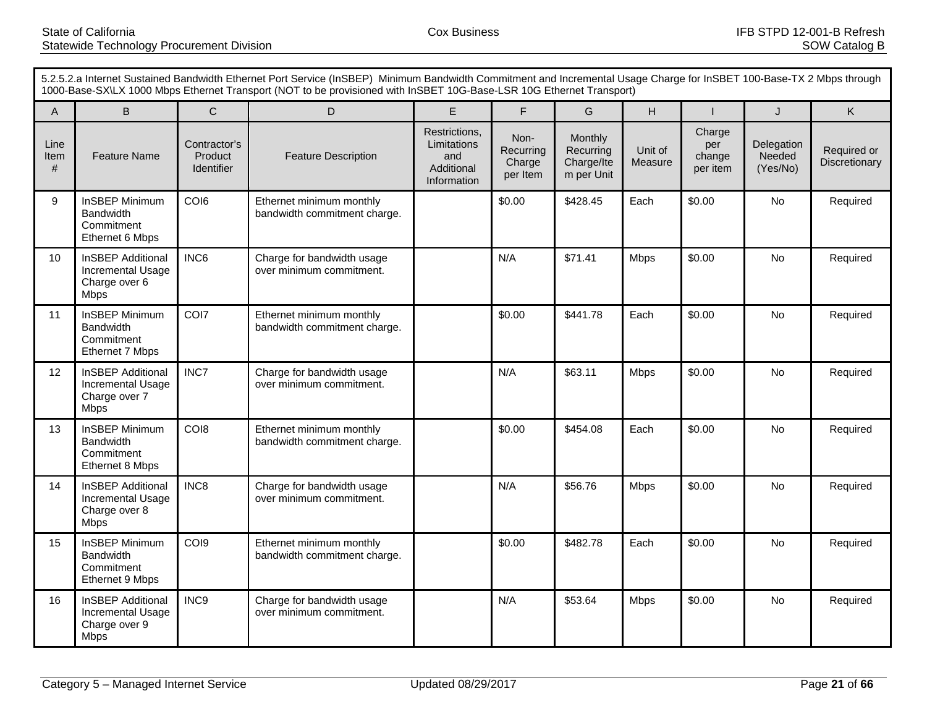|                   | 5.2.5.2.a Internet Sustained Bandwidth Ethernet Port Service (InSBEP) Minimum Bandwidth Commitment and Incremental Usage Charge for InSBET 100-Base-TX 2 Mbps through<br>1000-Base-SX\LX 1000 Mbps Ethernet Transport (NOT to be provisioned with InSBET 10G-Base-LSR 10G Ethernet Transport) |                                              |                                                          |                                                                  |                                         |                                                  |                    |                                     |                                  |                              |  |
|-------------------|-----------------------------------------------------------------------------------------------------------------------------------------------------------------------------------------------------------------------------------------------------------------------------------------------|----------------------------------------------|----------------------------------------------------------|------------------------------------------------------------------|-----------------------------------------|--------------------------------------------------|--------------------|-------------------------------------|----------------------------------|------------------------------|--|
| $\mathsf{A}$      | $\sf B$                                                                                                                                                                                                                                                                                       | $\mathsf{C}$                                 | D                                                        | E                                                                | $\mathsf{F}$                            | G                                                | H                  |                                     | J                                | Κ                            |  |
| Line<br>Item<br># | <b>Feature Name</b>                                                                                                                                                                                                                                                                           | Contractor's<br>Product<br><b>Identifier</b> | <b>Feature Description</b>                               | Restrictions,<br>Limitations<br>and<br>Additional<br>Information | Non-<br>Recurring<br>Charge<br>per Item | Monthly<br>Recurring<br>Charge/Ite<br>m per Unit | Unit of<br>Measure | Charge<br>per<br>change<br>per item | Delegation<br>Needed<br>(Yes/No) | Required or<br>Discretionary |  |
| 9                 | <b>InSBEP Minimum</b><br>Bandwidth<br>Commitment<br>Ethernet 6 Mbps                                                                                                                                                                                                                           | COI6                                         | Ethernet minimum monthly<br>bandwidth commitment charge. |                                                                  | \$0.00                                  | \$428.45                                         | Each               | \$0.00                              | <b>No</b>                        | Required                     |  |
| 10                | <b>InSBEP Additional</b><br>Incremental Usage<br>Charge over 6<br><b>Mbps</b>                                                                                                                                                                                                                 | INC6                                         | Charge for bandwidth usage<br>over minimum commitment.   |                                                                  | N/A                                     | \$71.41                                          | <b>Mbps</b>        | \$0.00                              | <b>No</b>                        | Required                     |  |
| 11                | InSBEP Minimum<br><b>Bandwidth</b><br>Commitment<br>Ethernet 7 Mbps                                                                                                                                                                                                                           | COI7                                         | Ethernet minimum monthly<br>bandwidth commitment charge. |                                                                  | \$0.00                                  | \$441.78                                         | Each               | \$0.00                              | <b>No</b>                        | Required                     |  |
| 12                | <b>InSBEP Additional</b><br>Incremental Usage<br>Charge over 7<br><b>Mbps</b>                                                                                                                                                                                                                 | INC7                                         | Charge for bandwidth usage<br>over minimum commitment.   |                                                                  | N/A                                     | \$63.11                                          | <b>Mbps</b>        | \$0.00                              | <b>No</b>                        | Required                     |  |
| 13                | <b>InSBEP Minimum</b><br><b>Bandwidth</b><br>Commitment<br>Ethernet 8 Mbps                                                                                                                                                                                                                    | CO <sub>18</sub>                             | Ethernet minimum monthly<br>bandwidth commitment charge. |                                                                  | \$0.00                                  | \$454.08                                         | Each               | \$0.00                              | <b>No</b>                        | Required                     |  |
| 14                | <b>InSBEP Additional</b><br><b>Incremental Usage</b><br>Charge over 8<br><b>Mbps</b>                                                                                                                                                                                                          | INC8                                         | Charge for bandwidth usage<br>over minimum commitment.   |                                                                  | N/A                                     | \$56.76                                          | <b>Mbps</b>        | \$0.00                              | <b>No</b>                        | Required                     |  |
| 15                | <b>InSBEP Minimum</b><br><b>Bandwidth</b><br>Commitment<br>Ethernet 9 Mbps                                                                                                                                                                                                                    | COI9                                         | Ethernet minimum monthly<br>bandwidth commitment charge. |                                                                  | \$0.00                                  | \$482.78                                         | Each               | \$0.00                              | <b>No</b>                        | Required                     |  |
| 16                | <b>InSBEP Additional</b><br>Incremental Usage<br>Charge over 9<br><b>Mbps</b>                                                                                                                                                                                                                 | INC9                                         | Charge for bandwidth usage<br>over minimum commitment.   |                                                                  | N/A                                     | \$53.64                                          | <b>Mbps</b>        | \$0.00                              | <b>No</b>                        | Required                     |  |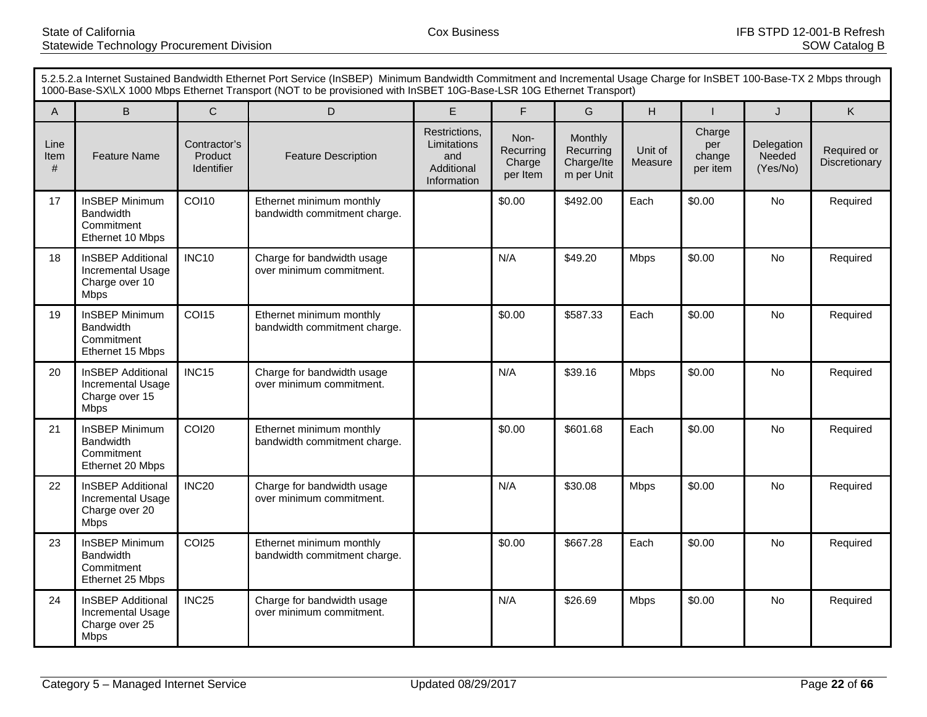|                   | 5.2.5.2.a Internet Sustained Bandwidth Ethernet Port Service (InSBEP) Minimum Bandwidth Commitment and Incremental Usage Charge for InSBET 100-Base-TX 2 Mbps through<br>1000-Base-SX\LX 1000 Mbps Ethernet Transport (NOT to be provisioned with InSBET 10G-Base-LSR 10G Ethernet Transport) |                                              |                                                          |                                                                  |                                         |                                                  |                    |                                     |                                  |                              |  |
|-------------------|-----------------------------------------------------------------------------------------------------------------------------------------------------------------------------------------------------------------------------------------------------------------------------------------------|----------------------------------------------|----------------------------------------------------------|------------------------------------------------------------------|-----------------------------------------|--------------------------------------------------|--------------------|-------------------------------------|----------------------------------|------------------------------|--|
| A                 | $\sf B$                                                                                                                                                                                                                                                                                       | $\mathsf{C}$                                 | D                                                        | E                                                                | $\mathsf{F}$                            | G                                                | H                  |                                     | J                                | Κ                            |  |
| Line<br>Item<br># | <b>Feature Name</b>                                                                                                                                                                                                                                                                           | Contractor's<br>Product<br><b>Identifier</b> | <b>Feature Description</b>                               | Restrictions,<br>Limitations<br>and<br>Additional<br>Information | Non-<br>Recurring<br>Charge<br>per Item | Monthly<br>Recurring<br>Charge/Ite<br>m per Unit | Unit of<br>Measure | Charge<br>per<br>change<br>per item | Delegation<br>Needed<br>(Yes/No) | Required or<br>Discretionary |  |
| 17                | <b>InSBEP Minimum</b><br>Bandwidth<br>Commitment<br>Ethernet 10 Mbps                                                                                                                                                                                                                          | <b>COI10</b>                                 | Ethernet minimum monthly<br>bandwidth commitment charge. |                                                                  | \$0.00                                  | \$492.00                                         | Each               | \$0.00                              | <b>No</b>                        | Required                     |  |
| 18                | <b>InSBEP Additional</b><br>Incremental Usage<br>Charge over 10<br><b>Mbps</b>                                                                                                                                                                                                                | <b>INC10</b>                                 | Charge for bandwidth usage<br>over minimum commitment.   |                                                                  | N/A                                     | \$49.20                                          | <b>Mbps</b>        | \$0.00                              | <b>No</b>                        | Required                     |  |
| 19                | InSBEP Minimum<br><b>Bandwidth</b><br>Commitment<br>Ethernet 15 Mbps                                                                                                                                                                                                                          | <b>COI15</b>                                 | Ethernet minimum monthly<br>bandwidth commitment charge. |                                                                  | \$0.00                                  | \$587.33                                         | Each               | \$0.00                              | <b>No</b>                        | Required                     |  |
| 20                | <b>InSBEP Additional</b><br>Incremental Usage<br>Charge over 15<br><b>Mbps</b>                                                                                                                                                                                                                | <b>INC15</b>                                 | Charge for bandwidth usage<br>over minimum commitment.   |                                                                  | N/A                                     | \$39.16                                          | <b>Mbps</b>        | \$0.00                              | <b>No</b>                        | Required                     |  |
| 21                | <b>InSBEP Minimum</b><br><b>Bandwidth</b><br>Commitment<br>Ethernet 20 Mbps                                                                                                                                                                                                                   | <b>COI20</b>                                 | Ethernet minimum monthly<br>bandwidth commitment charge. |                                                                  | \$0.00                                  | \$601.68                                         | Each               | \$0.00                              | <b>No</b>                        | Required                     |  |
| 22                | <b>InSBEP Additional</b><br>Incremental Usage<br>Charge over 20<br><b>Mbps</b>                                                                                                                                                                                                                | <b>INC20</b>                                 | Charge for bandwidth usage<br>over minimum commitment.   |                                                                  | N/A                                     | \$30.08                                          | <b>Mbps</b>        | \$0.00                              | <b>No</b>                        | Required                     |  |
| 23                | <b>InSBEP Minimum</b><br><b>Bandwidth</b><br>Commitment<br>Ethernet 25 Mbps                                                                                                                                                                                                                   | <b>COI25</b>                                 | Ethernet minimum monthly<br>bandwidth commitment charge. |                                                                  | \$0.00                                  | \$667.28                                         | Each               | \$0.00                              | <b>No</b>                        | Required                     |  |
| 24                | <b>InSBEP Additional</b><br>Incremental Usage<br>Charge over 25<br><b>Mbps</b>                                                                                                                                                                                                                | INC <sub>25</sub>                            | Charge for bandwidth usage<br>over minimum commitment.   |                                                                  | N/A                                     | \$26.69                                          | <b>Mbps</b>        | \$0.00                              | <b>No</b>                        | Required                     |  |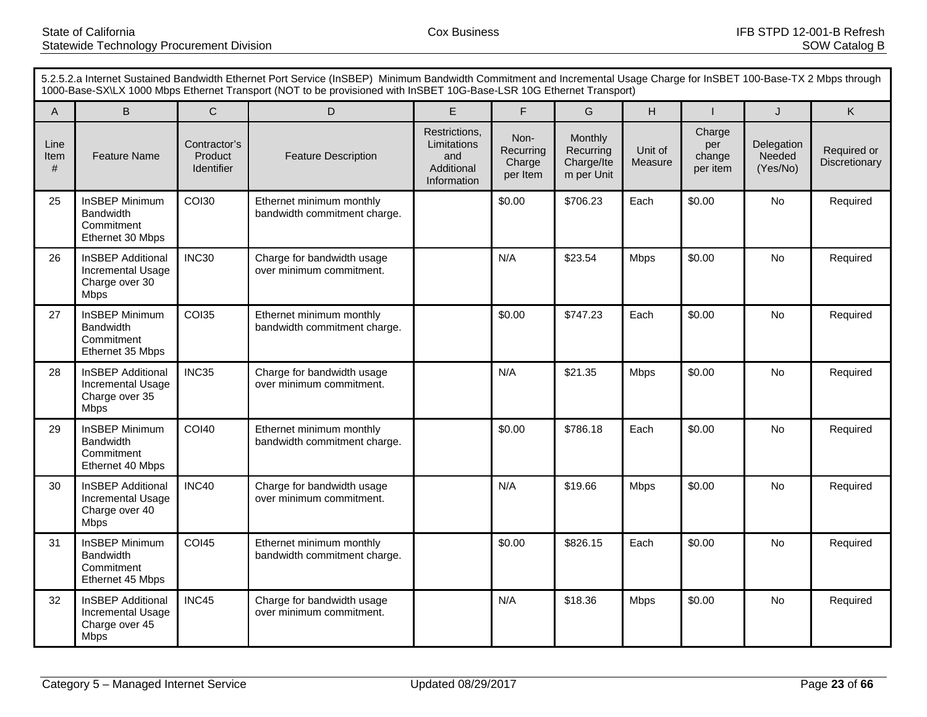|                   | 5.2.5.2.a Internet Sustained Bandwidth Ethernet Port Service (InSBEP) Minimum Bandwidth Commitment and Incremental Usage Charge for InSBET 100-Base-TX 2 Mbps through<br>1000-Base-SX\LX 1000 Mbps Ethernet Transport (NOT to be provisioned with InSBET 10G-Base-LSR 10G Ethernet Transport) |                                              |                                                          |                                                                  |                                         |                                                  |                    |                                     |                                  |                              |  |
|-------------------|-----------------------------------------------------------------------------------------------------------------------------------------------------------------------------------------------------------------------------------------------------------------------------------------------|----------------------------------------------|----------------------------------------------------------|------------------------------------------------------------------|-----------------------------------------|--------------------------------------------------|--------------------|-------------------------------------|----------------------------------|------------------------------|--|
| A                 | $\sf B$                                                                                                                                                                                                                                                                                       | $\mathsf{C}$                                 | D                                                        | E                                                                | $\mathsf{F}$                            | G                                                | H                  |                                     | J                                | Κ                            |  |
| Line<br>Item<br># | <b>Feature Name</b>                                                                                                                                                                                                                                                                           | Contractor's<br>Product<br><b>Identifier</b> | <b>Feature Description</b>                               | Restrictions,<br>Limitations<br>and<br>Additional<br>Information | Non-<br>Recurring<br>Charge<br>per Item | Monthly<br>Recurring<br>Charge/Ite<br>m per Unit | Unit of<br>Measure | Charge<br>per<br>change<br>per item | Delegation<br>Needed<br>(Yes/No) | Required or<br>Discretionary |  |
| 25                | <b>InSBEP Minimum</b><br><b>Bandwidth</b><br>Commitment<br>Ethernet 30 Mbps                                                                                                                                                                                                                   | <b>COI30</b>                                 | Ethernet minimum monthly<br>bandwidth commitment charge. |                                                                  | \$0.00                                  | \$706.23                                         | Each               | \$0.00                              | No                               | Required                     |  |
| 26                | <b>InSBEP Additional</b><br>Incremental Usage<br>Charge over 30<br><b>Mbps</b>                                                                                                                                                                                                                | <b>INC30</b>                                 | Charge for bandwidth usage<br>over minimum commitment.   |                                                                  | N/A                                     | \$23.54                                          | <b>Mbps</b>        | \$0.00                              | <b>No</b>                        | Required                     |  |
| 27                | <b>InSBEP Minimum</b><br><b>Bandwidth</b><br>Commitment<br>Ethernet 35 Mbps                                                                                                                                                                                                                   | <b>COI35</b>                                 | Ethernet minimum monthly<br>bandwidth commitment charge. |                                                                  | \$0.00                                  | \$747.23                                         | Each               | \$0.00                              | <b>No</b>                        | Required                     |  |
| 28                | <b>InSBEP Additional</b><br>Incremental Usage<br>Charge over 35<br><b>Mbps</b>                                                                                                                                                                                                                | INC35                                        | Charge for bandwidth usage<br>over minimum commitment.   |                                                                  | N/A                                     | \$21.35                                          | <b>Mbps</b>        | \$0.00                              | <b>No</b>                        | Required                     |  |
| 29                | <b>InSBEP Minimum</b><br><b>Bandwidth</b><br>Commitment<br>Ethernet 40 Mbps                                                                                                                                                                                                                   | <b>COI40</b>                                 | Ethernet minimum monthly<br>bandwidth commitment charge. |                                                                  | \$0.00                                  | \$786.18                                         | Each               | \$0.00                              | <b>No</b>                        | Required                     |  |
| 30                | <b>InSBEP Additional</b><br>Incremental Usage<br>Charge over 40<br><b>Mbps</b>                                                                                                                                                                                                                | INC40                                        | Charge for bandwidth usage<br>over minimum commitment.   |                                                                  | N/A                                     | \$19.66                                          | <b>Mbps</b>        | \$0.00                              | <b>No</b>                        | Required                     |  |
| 31                | <b>InSBEP Minimum</b><br><b>Bandwidth</b><br>Commitment<br>Ethernet 45 Mbps                                                                                                                                                                                                                   | <b>COI45</b>                                 | Ethernet minimum monthly<br>bandwidth commitment charge. |                                                                  | \$0.00                                  | \$826.15                                         | Each               | \$0.00                              | <b>No</b>                        | Required                     |  |
| 32                | <b>InSBEP Additional</b><br>Incremental Usage<br>Charge over 45<br><b>Mbps</b>                                                                                                                                                                                                                | INC45                                        | Charge for bandwidth usage<br>over minimum commitment.   |                                                                  | N/A                                     | \$18.36                                          | <b>Mbps</b>        | \$0.00                              | No                               | Required                     |  |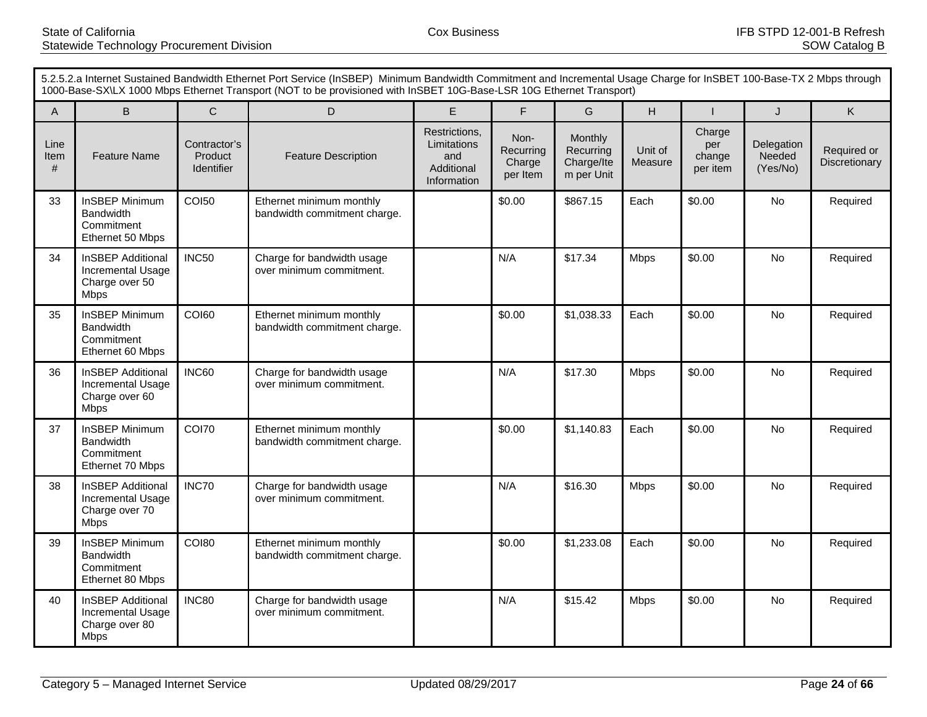|                   | 5.2.5.2.a Internet Sustained Bandwidth Ethernet Port Service (InSBEP) Minimum Bandwidth Commitment and Incremental Usage Charge for InSBET 100-Base-TX 2 Mbps through<br>1000-Base-SX\LX 1000 Mbps Ethernet Transport (NOT to be provisioned with InSBET 10G-Base-LSR 10G Ethernet Transport) |                                              |                                                          |                                                                  |                                         |                                                  |                    |                                     |                                  |                              |  |
|-------------------|-----------------------------------------------------------------------------------------------------------------------------------------------------------------------------------------------------------------------------------------------------------------------------------------------|----------------------------------------------|----------------------------------------------------------|------------------------------------------------------------------|-----------------------------------------|--------------------------------------------------|--------------------|-------------------------------------|----------------------------------|------------------------------|--|
| A                 | $\sf B$                                                                                                                                                                                                                                                                                       | $\mathsf{C}$                                 | D                                                        | E                                                                | $\mathsf{F}$                            | G                                                | H                  |                                     | J                                | Κ                            |  |
| Line<br>Item<br># | <b>Feature Name</b>                                                                                                                                                                                                                                                                           | Contractor's<br>Product<br><b>Identifier</b> | <b>Feature Description</b>                               | Restrictions,<br>Limitations<br>and<br>Additional<br>Information | Non-<br>Recurring<br>Charge<br>per Item | Monthly<br>Recurring<br>Charge/Ite<br>m per Unit | Unit of<br>Measure | Charge<br>per<br>change<br>per item | Delegation<br>Needed<br>(Yes/No) | Required or<br>Discretionary |  |
| 33                | <b>InSBEP Minimum</b><br><b>Bandwidth</b><br>Commitment<br>Ethernet 50 Mbps                                                                                                                                                                                                                   | <b>COI50</b>                                 | Ethernet minimum monthly<br>bandwidth commitment charge. |                                                                  | \$0.00                                  | \$867.15                                         | Each               | \$0.00                              | No                               | Required                     |  |
| 34                | <b>InSBEP Additional</b><br>Incremental Usage<br>Charge over 50<br><b>Mbps</b>                                                                                                                                                                                                                | <b>INC50</b>                                 | Charge for bandwidth usage<br>over minimum commitment.   |                                                                  | N/A                                     | \$17.34                                          | <b>Mbps</b>        | \$0.00                              | <b>No</b>                        | Required                     |  |
| 35                | <b>InSBEP Minimum</b><br><b>Bandwidth</b><br>Commitment<br>Ethernet 60 Mbps                                                                                                                                                                                                                   | <b>COI60</b>                                 | Ethernet minimum monthly<br>bandwidth commitment charge. |                                                                  | \$0.00                                  | \$1,038.33                                       | Each               | \$0.00                              | <b>No</b>                        | Required                     |  |
| 36                | <b>InSBEP Additional</b><br>Incremental Usage<br>Charge over 60<br><b>Mbps</b>                                                                                                                                                                                                                | INC60                                        | Charge for bandwidth usage<br>over minimum commitment.   |                                                                  | N/A                                     | \$17.30                                          | <b>Mbps</b>        | \$0.00                              | <b>No</b>                        | Required                     |  |
| 37                | <b>InSBEP Minimum</b><br><b>Bandwidth</b><br>Commitment<br>Ethernet 70 Mbps                                                                                                                                                                                                                   | <b>COI70</b>                                 | Ethernet minimum monthly<br>bandwidth commitment charge. |                                                                  | \$0.00                                  | \$1,140.83                                       | Each               | \$0.00                              | <b>No</b>                        | Required                     |  |
| 38                | <b>InSBEP Additional</b><br>Incremental Usage<br>Charge over 70<br><b>Mbps</b>                                                                                                                                                                                                                | INC70                                        | Charge for bandwidth usage<br>over minimum commitment.   |                                                                  | N/A                                     | \$16.30                                          | <b>Mbps</b>        | \$0.00                              | <b>No</b>                        | Required                     |  |
| 39                | <b>InSBEP Minimum</b><br><b>Bandwidth</b><br>Commitment<br>Ethernet 80 Mbps                                                                                                                                                                                                                   | <b>COI80</b>                                 | Ethernet minimum monthly<br>bandwidth commitment charge. |                                                                  | \$0.00                                  | \$1,233.08                                       | Each               | \$0.00                              | <b>No</b>                        | Required                     |  |
| 40                | <b>InSBEP Additional</b><br>Incremental Usage<br>Charge over 80<br><b>Mbps</b>                                                                                                                                                                                                                | <b>INC80</b>                                 | Charge for bandwidth usage<br>over minimum commitment.   |                                                                  | N/A                                     | \$15.42                                          | <b>Mbps</b>        | \$0.00                              | No                               | Required                     |  |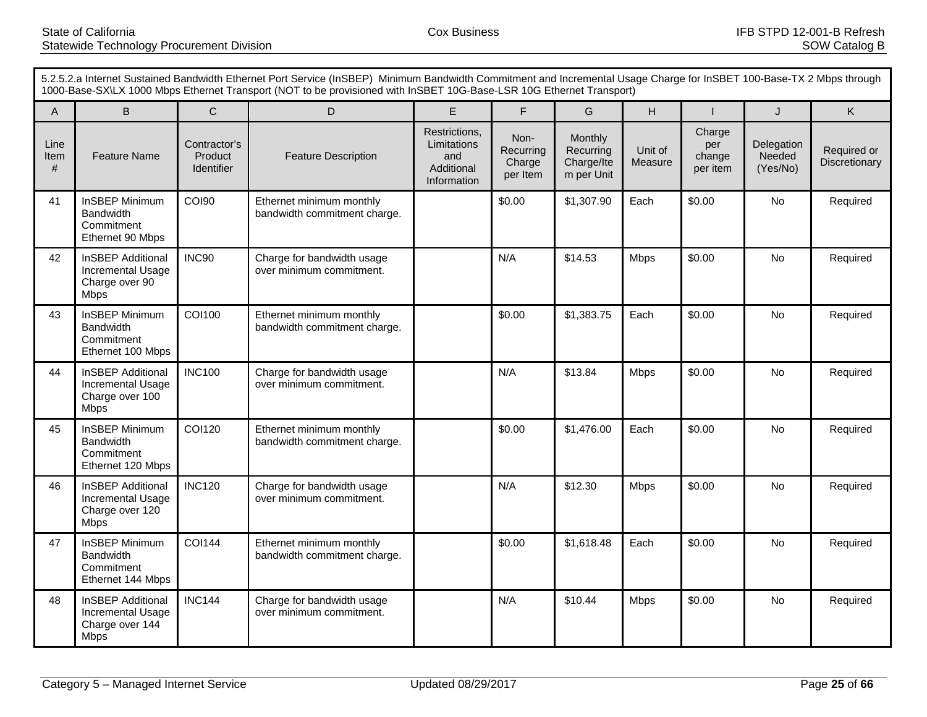|                   | 5.2.5.2.a Internet Sustained Bandwidth Ethernet Port Service (InSBEP) Minimum Bandwidth Commitment and Incremental Usage Charge for InSBET 100-Base-TX 2 Mbps through<br>1000-Base-SX\LX 1000 Mbps Ethernet Transport (NOT to be provisioned with InSBET 10G-Base-LSR 10G Ethernet Transport) |                                              |                                                          |                                                                  |                                         |                                                  |                    |                                     |                                  |                              |  |
|-------------------|-----------------------------------------------------------------------------------------------------------------------------------------------------------------------------------------------------------------------------------------------------------------------------------------------|----------------------------------------------|----------------------------------------------------------|------------------------------------------------------------------|-----------------------------------------|--------------------------------------------------|--------------------|-------------------------------------|----------------------------------|------------------------------|--|
| $\mathsf{A}$      | $\sf B$                                                                                                                                                                                                                                                                                       | $\mathsf{C}$                                 | D                                                        | E                                                                | $\overline{F}$                          | G                                                | H                  |                                     | J                                | Κ                            |  |
| Line<br>Item<br># | <b>Feature Name</b>                                                                                                                                                                                                                                                                           | Contractor's<br>Product<br><b>Identifier</b> | <b>Feature Description</b>                               | Restrictions,<br>Limitations<br>and<br>Additional<br>Information | Non-<br>Recurring<br>Charge<br>per Item | Monthly<br>Recurring<br>Charge/Ite<br>m per Unit | Unit of<br>Measure | Charge<br>per<br>change<br>per item | Delegation<br>Needed<br>(Yes/No) | Required or<br>Discretionary |  |
| 41                | <b>InSBEP Minimum</b><br>Bandwidth<br>Commitment<br>Ethernet 90 Mbps                                                                                                                                                                                                                          | <b>COI90</b>                                 | Ethernet minimum monthly<br>bandwidth commitment charge. |                                                                  | \$0.00                                  | \$1,307.90                                       | Each               | \$0.00                              | No                               | Required                     |  |
| 42                | <b>InSBEP Additional</b><br>Incremental Usage<br>Charge over 90<br><b>Mbps</b>                                                                                                                                                                                                                | <b>INC90</b>                                 | Charge for bandwidth usage<br>over minimum commitment.   |                                                                  | N/A                                     | \$14.53                                          | <b>Mbps</b>        | \$0.00                              | <b>No</b>                        | Required                     |  |
| 43                | InSBEP Minimum<br><b>Bandwidth</b><br>Commitment<br>Ethernet 100 Mbps                                                                                                                                                                                                                         | <b>COI100</b>                                | Ethernet minimum monthly<br>bandwidth commitment charge. |                                                                  | \$0.00                                  | \$1,383.75                                       | Each               | \$0.00                              | <b>No</b>                        | Required                     |  |
| 44                | <b>InSBEP Additional</b><br>Incremental Usage<br>Charge over 100<br><b>Mbps</b>                                                                                                                                                                                                               | <b>INC100</b>                                | Charge for bandwidth usage<br>over minimum commitment.   |                                                                  | N/A                                     | \$13.84                                          | <b>Mbps</b>        | \$0.00                              | <b>No</b>                        | Required                     |  |
| 45                | <b>InSBEP Minimum</b><br><b>Bandwidth</b><br>Commitment<br>Ethernet 120 Mbps                                                                                                                                                                                                                  | <b>COI120</b>                                | Ethernet minimum monthly<br>bandwidth commitment charge. |                                                                  | \$0.00                                  | \$1,476.00                                       | Each               | \$0.00                              | <b>No</b>                        | Required                     |  |
| 46                | <b>InSBEP Additional</b><br>Incremental Usage<br>Charge over 120<br><b>Mbps</b>                                                                                                                                                                                                               | <b>INC120</b>                                | Charge for bandwidth usage<br>over minimum commitment.   |                                                                  | N/A                                     | \$12.30                                          | <b>Mbps</b>        | \$0.00                              | <b>No</b>                        | Required                     |  |
| 47                | <b>InSBEP Minimum</b><br><b>Bandwidth</b><br>Commitment<br>Ethernet 144 Mbps                                                                                                                                                                                                                  | <b>COI144</b>                                | Ethernet minimum monthly<br>bandwidth commitment charge. |                                                                  | \$0.00                                  | \$1,618.48                                       | Each               | \$0.00                              | <b>No</b>                        | Required                     |  |
| 48                | <b>InSBEP Additional</b><br>Incremental Usage<br>Charge over 144<br><b>Mbps</b>                                                                                                                                                                                                               | <b>INC144</b>                                | Charge for bandwidth usage<br>over minimum commitment.   |                                                                  | N/A                                     | \$10.44                                          | <b>Mbps</b>        | \$0.00                              | <b>No</b>                        | Required                     |  |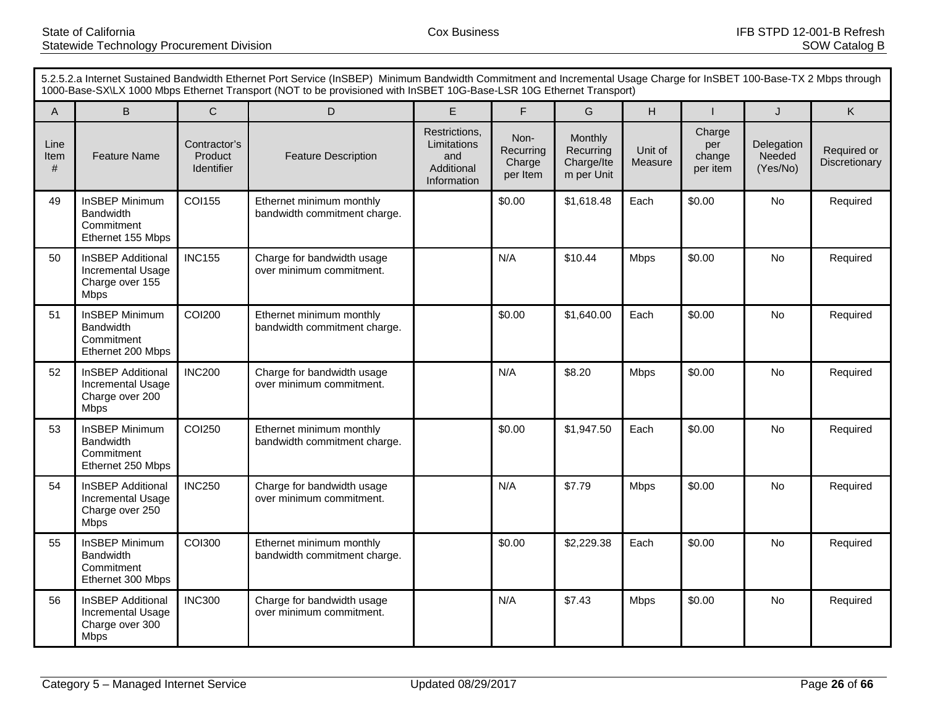|                   | 5.2.5.2.a Internet Sustained Bandwidth Ethernet Port Service (InSBEP) Minimum Bandwidth Commitment and Incremental Usage Charge for InSBET 100-Base-TX 2 Mbps through<br>1000-Base-SX\LX 1000 Mbps Ethernet Transport (NOT to be provisioned with InSBET 10G-Base-LSR 10G Ethernet Transport) |                                              |                                                          |                                                                  |                                         |                                                  |                    |                                     |                                  |                              |  |
|-------------------|-----------------------------------------------------------------------------------------------------------------------------------------------------------------------------------------------------------------------------------------------------------------------------------------------|----------------------------------------------|----------------------------------------------------------|------------------------------------------------------------------|-----------------------------------------|--------------------------------------------------|--------------------|-------------------------------------|----------------------------------|------------------------------|--|
| A                 | $\sf B$                                                                                                                                                                                                                                                                                       | $\mathsf{C}$                                 | D                                                        | E                                                                | $\overline{F}$                          | G                                                | H                  |                                     | J                                | Κ                            |  |
| Line<br>Item<br># | <b>Feature Name</b>                                                                                                                                                                                                                                                                           | Contractor's<br>Product<br><b>Identifier</b> | <b>Feature Description</b>                               | Restrictions,<br>Limitations<br>and<br>Additional<br>Information | Non-<br>Recurring<br>Charge<br>per Item | Monthly<br>Recurring<br>Charge/Ite<br>m per Unit | Unit of<br>Measure | Charge<br>per<br>change<br>per item | Delegation<br>Needed<br>(Yes/No) | Required or<br>Discretionary |  |
| 49                | <b>InSBEP Minimum</b><br><b>Bandwidth</b><br>Commitment<br>Ethernet 155 Mbps                                                                                                                                                                                                                  | <b>COI155</b>                                | Ethernet minimum monthly<br>bandwidth commitment charge. |                                                                  | \$0.00                                  | \$1,618.48                                       | Each               | \$0.00                              | No                               | Required                     |  |
| 50                | <b>InSBEP Additional</b><br>Incremental Usage<br>Charge over 155<br><b>Mbps</b>                                                                                                                                                                                                               | <b>INC155</b>                                | Charge for bandwidth usage<br>over minimum commitment.   |                                                                  | N/A                                     | \$10.44                                          | <b>Mbps</b>        | \$0.00                              | <b>No</b>                        | Required                     |  |
| 51                | <b>InSBEP Minimum</b><br><b>Bandwidth</b><br>Commitment<br>Ethernet 200 Mbps                                                                                                                                                                                                                  | <b>COI200</b>                                | Ethernet minimum monthly<br>bandwidth commitment charge. |                                                                  | \$0.00                                  | \$1,640.00                                       | Each               | \$0.00                              | <b>No</b>                        | Required                     |  |
| 52                | <b>InSBEP Additional</b><br>Incremental Usage<br>Charge over 200<br><b>Mbps</b>                                                                                                                                                                                                               | <b>INC200</b>                                | Charge for bandwidth usage<br>over minimum commitment.   |                                                                  | N/A                                     | \$8.20                                           | <b>Mbps</b>        | \$0.00                              | <b>No</b>                        | Required                     |  |
| 53                | <b>InSBEP Minimum</b><br><b>Bandwidth</b><br>Commitment<br>Ethernet 250 Mbps                                                                                                                                                                                                                  | <b>COI250</b>                                | Ethernet minimum monthly<br>bandwidth commitment charge. |                                                                  | \$0.00                                  | \$1,947.50                                       | Each               | \$0.00                              | <b>No</b>                        | Required                     |  |
| 54                | <b>InSBEP Additional</b><br>Incremental Usage<br>Charge over 250<br><b>Mbps</b>                                                                                                                                                                                                               | <b>INC250</b>                                | Charge for bandwidth usage<br>over minimum commitment.   |                                                                  | N/A                                     | \$7.79                                           | <b>Mbps</b>        | \$0.00                              | <b>No</b>                        | Required                     |  |
| 55                | <b>InSBEP Minimum</b><br><b>Bandwidth</b><br>Commitment<br>Ethernet 300 Mbps                                                                                                                                                                                                                  | <b>COI300</b>                                | Ethernet minimum monthly<br>bandwidth commitment charge. |                                                                  | \$0.00                                  | \$2,229.38                                       | Each               | \$0.00                              | <b>No</b>                        | Required                     |  |
| 56                | <b>InSBEP Additional</b><br>Incremental Usage<br>Charge over 300<br><b>Mbps</b>                                                                                                                                                                                                               | <b>INC300</b>                                | Charge for bandwidth usage<br>over minimum commitment.   |                                                                  | N/A                                     | \$7.43                                           | <b>Mbps</b>        | \$0.00                              | No                               | Required                     |  |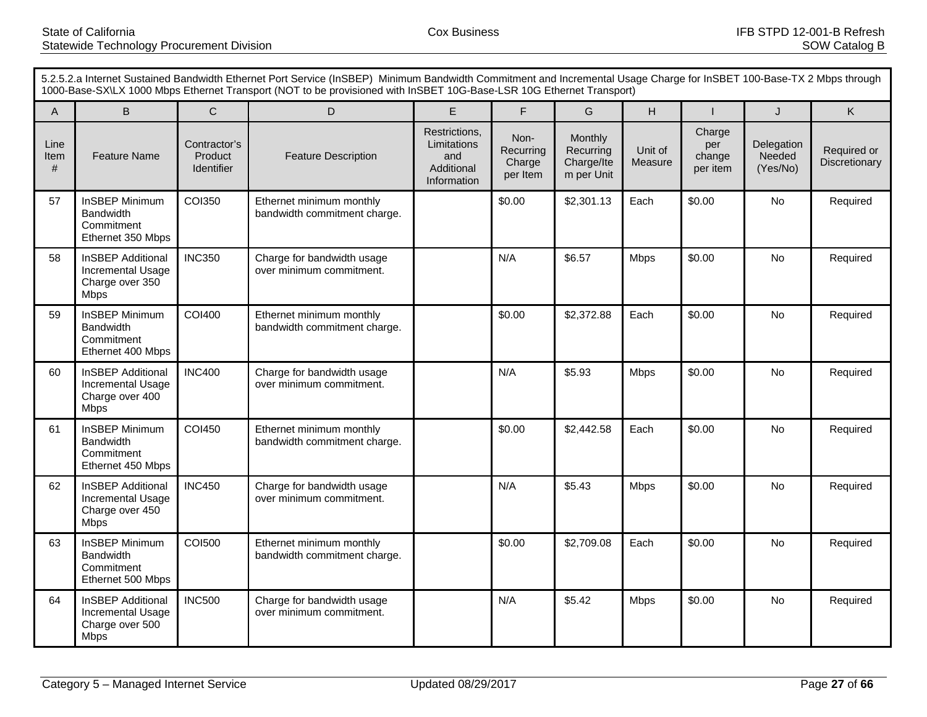|                   | 5.2.5.2.a Internet Sustained Bandwidth Ethernet Port Service (InSBEP) Minimum Bandwidth Commitment and Incremental Usage Charge for InSBET 100-Base-TX 2 Mbps through<br>1000-Base-SX\LX 1000 Mbps Ethernet Transport (NOT to be provisioned with InSBET 10G-Base-LSR 10G Ethernet Transport) |                                              |                                                          |                                                                  |                                         |                                                  |                    |                                     |                                  |                              |  |
|-------------------|-----------------------------------------------------------------------------------------------------------------------------------------------------------------------------------------------------------------------------------------------------------------------------------------------|----------------------------------------------|----------------------------------------------------------|------------------------------------------------------------------|-----------------------------------------|--------------------------------------------------|--------------------|-------------------------------------|----------------------------------|------------------------------|--|
| A                 | $\sf B$                                                                                                                                                                                                                                                                                       | $\mathsf{C}$                                 | D                                                        | E                                                                | $\overline{F}$                          | G                                                | H                  |                                     | J                                | Κ                            |  |
| Line<br>Item<br># | <b>Feature Name</b>                                                                                                                                                                                                                                                                           | Contractor's<br>Product<br><b>Identifier</b> | <b>Feature Description</b>                               | Restrictions,<br>Limitations<br>and<br>Additional<br>Information | Non-<br>Recurring<br>Charge<br>per Item | Monthly<br>Recurring<br>Charge/Ite<br>m per Unit | Unit of<br>Measure | Charge<br>per<br>change<br>per item | Delegation<br>Needed<br>(Yes/No) | Required or<br>Discretionary |  |
| 57                | <b>InSBEP Minimum</b><br><b>Bandwidth</b><br>Commitment<br>Ethernet 350 Mbps                                                                                                                                                                                                                  | <b>COI350</b>                                | Ethernet minimum monthly<br>bandwidth commitment charge. |                                                                  | \$0.00                                  | \$2,301.13                                       | Each               | \$0.00                              | No                               | Required                     |  |
| 58                | <b>InSBEP Additional</b><br>Incremental Usage<br>Charge over 350<br><b>Mbps</b>                                                                                                                                                                                                               | <b>INC350</b>                                | Charge for bandwidth usage<br>over minimum commitment.   |                                                                  | N/A                                     | \$6.57                                           | <b>Mbps</b>        | \$0.00                              | <b>No</b>                        | Required                     |  |
| 59                | <b>InSBEP Minimum</b><br><b>Bandwidth</b><br>Commitment<br>Ethernet 400 Mbps                                                                                                                                                                                                                  | <b>COI400</b>                                | Ethernet minimum monthly<br>bandwidth commitment charge. |                                                                  | \$0.00                                  | \$2,372.88                                       | Each               | \$0.00                              | <b>No</b>                        | Required                     |  |
| 60                | <b>InSBEP Additional</b><br>Incremental Usage<br>Charge over 400<br><b>Mbps</b>                                                                                                                                                                                                               | <b>INC400</b>                                | Charge for bandwidth usage<br>over minimum commitment.   |                                                                  | N/A                                     | \$5.93                                           | <b>Mbps</b>        | \$0.00                              | <b>No</b>                        | Required                     |  |
| 61                | <b>InSBEP Minimum</b><br><b>Bandwidth</b><br>Commitment<br>Ethernet 450 Mbps                                                                                                                                                                                                                  | <b>COI450</b>                                | Ethernet minimum monthly<br>bandwidth commitment charge. |                                                                  | \$0.00                                  | \$2,442.58                                       | Each               | \$0.00                              | <b>No</b>                        | Required                     |  |
| 62                | <b>InSBEP Additional</b><br>Incremental Usage<br>Charge over 450<br><b>Mbps</b>                                                                                                                                                                                                               | <b>INC450</b>                                | Charge for bandwidth usage<br>over minimum commitment.   |                                                                  | N/A                                     | \$5.43                                           | <b>Mbps</b>        | \$0.00                              | <b>No</b>                        | Required                     |  |
| 63                | <b>InSBEP Minimum</b><br><b>Bandwidth</b><br>Commitment<br>Ethernet 500 Mbps                                                                                                                                                                                                                  | <b>COI500</b>                                | Ethernet minimum monthly<br>bandwidth commitment charge. |                                                                  | \$0.00                                  | \$2,709.08                                       | Each               | \$0.00                              | <b>No</b>                        | Required                     |  |
| 64                | <b>InSBEP Additional</b><br>Incremental Usage<br>Charge over 500<br><b>Mbps</b>                                                                                                                                                                                                               | <b>INC500</b>                                | Charge for bandwidth usage<br>over minimum commitment.   |                                                                  | N/A                                     | \$5.42                                           | <b>Mbps</b>        | \$0.00                              | No                               | Required                     |  |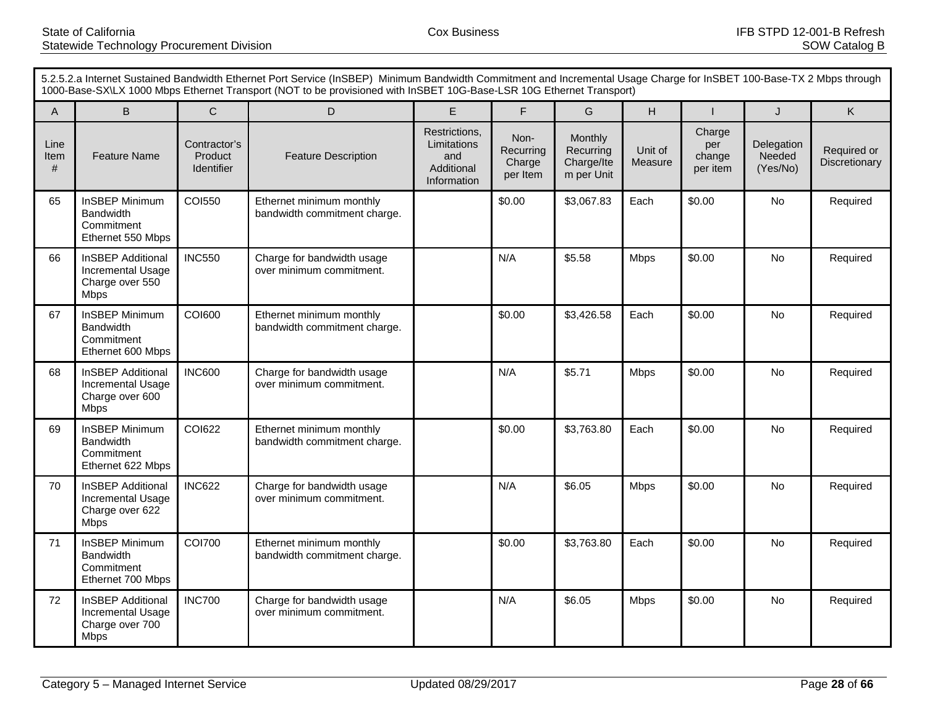|                   | 5.2.5.2.a Internet Sustained Bandwidth Ethernet Port Service (InSBEP) Minimum Bandwidth Commitment and Incremental Usage Charge for InSBET 100-Base-TX 2 Mbps through<br>1000-Base-SX\LX 1000 Mbps Ethernet Transport (NOT to be provisioned with InSBET 10G-Base-LSR 10G Ethernet Transport) |                                              |                                                          |                                                                  |                                         |                                                  |                    |                                     |                                  |                              |  |
|-------------------|-----------------------------------------------------------------------------------------------------------------------------------------------------------------------------------------------------------------------------------------------------------------------------------------------|----------------------------------------------|----------------------------------------------------------|------------------------------------------------------------------|-----------------------------------------|--------------------------------------------------|--------------------|-------------------------------------|----------------------------------|------------------------------|--|
| A                 | $\sf B$                                                                                                                                                                                                                                                                                       | $\mathsf{C}$                                 | D                                                        | E                                                                | $\overline{F}$                          | G                                                | H                  |                                     | J                                | Κ                            |  |
| Line<br>Item<br># | <b>Feature Name</b>                                                                                                                                                                                                                                                                           | Contractor's<br>Product<br><b>Identifier</b> | <b>Feature Description</b>                               | Restrictions,<br>Limitations<br>and<br>Additional<br>Information | Non-<br>Recurring<br>Charge<br>per Item | Monthly<br>Recurring<br>Charge/Ite<br>m per Unit | Unit of<br>Measure | Charge<br>per<br>change<br>per item | Delegation<br>Needed<br>(Yes/No) | Required or<br>Discretionary |  |
| 65                | <b>InSBEP Minimum</b><br><b>Bandwidth</b><br>Commitment<br>Ethernet 550 Mbps                                                                                                                                                                                                                  | <b>COI550</b>                                | Ethernet minimum monthly<br>bandwidth commitment charge. |                                                                  | \$0.00                                  | \$3,067.83                                       | Each               | \$0.00                              | No                               | Required                     |  |
| 66                | <b>InSBEP Additional</b><br>Incremental Usage<br>Charge over 550<br><b>Mbps</b>                                                                                                                                                                                                               | <b>INC550</b>                                | Charge for bandwidth usage<br>over minimum commitment.   |                                                                  | N/A                                     | \$5.58                                           | <b>Mbps</b>        | \$0.00                              | <b>No</b>                        | Required                     |  |
| 67                | <b>InSBEP Minimum</b><br><b>Bandwidth</b><br>Commitment<br>Ethernet 600 Mbps                                                                                                                                                                                                                  | <b>COI600</b>                                | Ethernet minimum monthly<br>bandwidth commitment charge. |                                                                  | \$0.00                                  | \$3,426.58                                       | Each               | \$0.00                              | <b>No</b>                        | Required                     |  |
| 68                | <b>InSBEP Additional</b><br>Incremental Usage<br>Charge over 600<br><b>Mbps</b>                                                                                                                                                                                                               | <b>INC600</b>                                | Charge for bandwidth usage<br>over minimum commitment.   |                                                                  | N/A                                     | \$5.71                                           | <b>Mbps</b>        | \$0.00                              | <b>No</b>                        | Required                     |  |
| 69                | <b>InSBEP Minimum</b><br><b>Bandwidth</b><br>Commitment<br>Ethernet 622 Mbps                                                                                                                                                                                                                  | <b>COI622</b>                                | Ethernet minimum monthly<br>bandwidth commitment charge. |                                                                  | \$0.00                                  | \$3,763.80                                       | Each               | \$0.00                              | <b>No</b>                        | Required                     |  |
| 70                | <b>InSBEP Additional</b><br>Incremental Usage<br>Charge over 622<br><b>Mbps</b>                                                                                                                                                                                                               | <b>INC622</b>                                | Charge for bandwidth usage<br>over minimum commitment.   |                                                                  | N/A                                     | \$6.05                                           | <b>Mbps</b>        | \$0.00                              | <b>No</b>                        | Required                     |  |
| 71                | <b>InSBEP Minimum</b><br><b>Bandwidth</b><br>Commitment<br>Ethernet 700 Mbps                                                                                                                                                                                                                  | <b>COI700</b>                                | Ethernet minimum monthly<br>bandwidth commitment charge. |                                                                  | \$0.00                                  | \$3,763.80                                       | Each               | \$0.00                              | <b>No</b>                        | Required                     |  |
| 72                | <b>InSBEP Additional</b><br>Incremental Usage<br>Charge over 700<br><b>Mbps</b>                                                                                                                                                                                                               | <b>INC700</b>                                | Charge for bandwidth usage<br>over minimum commitment.   |                                                                  | N/A                                     | \$6.05                                           | <b>Mbps</b>        | \$0.00                              | No                               | Required                     |  |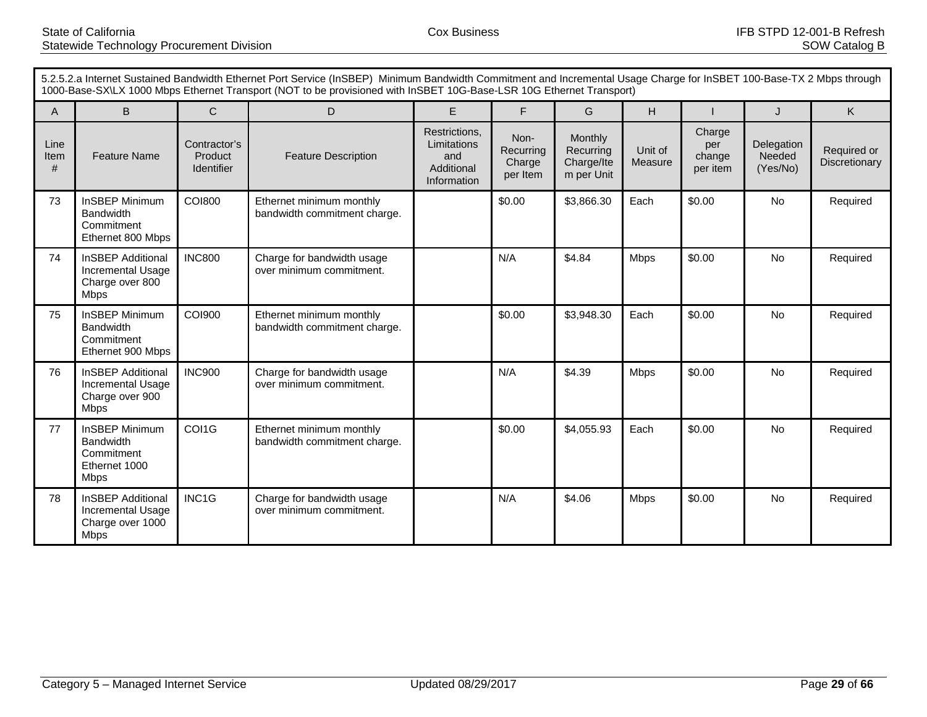|                   | 5.2.5.2.a Internet Sustained Bandwidth Ethernet Port Service (InSBEP) Minimum Bandwidth Commitment and Incremental Usage Charge for InSBET 100-Base-TX 2 Mbps through<br>1000-Base-SX\LX 1000 Mbps Ethernet Transport (NOT to be provisioned with InSBET 10G-Base-LSR 10G Ethernet Transport) |                                       |                                                          |                                                                  |                                         |                                                  |                    |                                     |                                  |                              |
|-------------------|-----------------------------------------------------------------------------------------------------------------------------------------------------------------------------------------------------------------------------------------------------------------------------------------------|---------------------------------------|----------------------------------------------------------|------------------------------------------------------------------|-----------------------------------------|--------------------------------------------------|--------------------|-------------------------------------|----------------------------------|------------------------------|
| $\mathsf{A}$      | B                                                                                                                                                                                                                                                                                             | $\mathsf{C}$                          | D                                                        | E                                                                | F                                       | G                                                | H                  |                                     | J                                | K                            |
| Line<br>Item<br># | <b>Feature Name</b>                                                                                                                                                                                                                                                                           | Contractor's<br>Product<br>Identifier | <b>Feature Description</b>                               | Restrictions,<br>Limitations<br>and<br>Additional<br>Information | Non-<br>Recurring<br>Charge<br>per Item | Monthly<br>Recurring<br>Charge/Ite<br>m per Unit | Unit of<br>Measure | Charge<br>per<br>change<br>per item | Delegation<br>Needed<br>(Yes/No) | Required or<br>Discretionary |
| 73                | InSBEP Minimum<br><b>Bandwidth</b><br>Commitment<br>Ethernet 800 Mbps                                                                                                                                                                                                                         | <b>COI800</b>                         | Ethernet minimum monthly<br>bandwidth commitment charge. |                                                                  | \$0.00                                  | \$3,866.30                                       | Each               | \$0.00                              | <b>No</b>                        | Required                     |
| 74                | <b>InSBEP Additional</b><br>Incremental Usage<br>Charge over 800<br><b>Mbps</b>                                                                                                                                                                                                               | <b>INC800</b>                         | Charge for bandwidth usage<br>over minimum commitment.   |                                                                  | N/A                                     | \$4.84                                           | <b>Mbps</b>        | \$0.00                              | <b>No</b>                        | Required                     |
| 75                | <b>InSBEP Minimum</b><br><b>Bandwidth</b><br>Commitment<br>Ethernet 900 Mbps                                                                                                                                                                                                                  | <b>COI900</b>                         | Ethernet minimum monthly<br>bandwidth commitment charge. |                                                                  | \$0.00                                  | \$3,948.30                                       | Each               | \$0.00                              | <b>No</b>                        | Required                     |
| 76                | <b>InSBEP Additional</b><br>Incremental Usage<br>Charge over 900<br><b>Mbps</b>                                                                                                                                                                                                               | <b>INC900</b>                         | Charge for bandwidth usage<br>over minimum commitment.   |                                                                  | N/A                                     | \$4.39                                           | <b>Mbps</b>        | \$0.00                              | <b>No</b>                        | Required                     |
| 77                | <b>InSBEP Minimum</b><br><b>Bandwidth</b><br>Commitment<br>Ethernet 1000<br><b>Mbps</b>                                                                                                                                                                                                       | COI1G                                 | Ethernet minimum monthly<br>bandwidth commitment charge. |                                                                  | \$0.00                                  | \$4,055.93                                       | Each               | \$0.00                              | <b>No</b>                        | Required                     |
| 78                | <b>InSBEP Additional</b><br>Incremental Usage<br>Charge over 1000<br><b>Mbps</b>                                                                                                                                                                                                              | INC1G                                 | Charge for bandwidth usage<br>over minimum commitment.   |                                                                  | N/A                                     | \$4.06                                           | <b>Mbps</b>        | \$0.00                              | <b>No</b>                        | Required                     |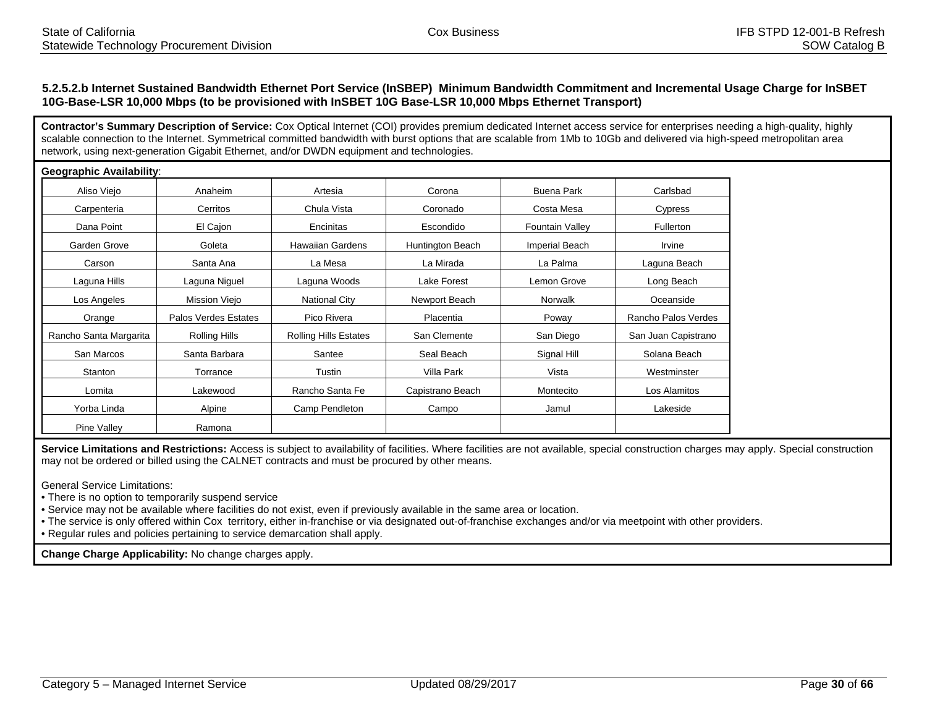## **5.2.5.2.b Internet Sustained Bandwidth Ethernet Port Service (InSBEP) Minimum Bandwidth Commitment and Incremental Usage Charge for InSBET 10G-Base-LSR 10,000 Mbps (to be provisioned with InSBET 10G Base-LSR 10,000 Mbps Ethernet Transport)**

**Contractor's Summary Description of Service:** Cox Optical Internet (COI) provides premium dedicated Internet access service for enterprises needing a high-quality, highly scalable connection to the Internet. Symmetrical committed bandwidth with burst options that are scalable from 1Mb to 10Gb and delivered via high-speed metropolitan area network, using next-generation Gigabit Ethernet, and/or DWDN equipment and technologies.

| <b>Geographic Availability:</b> |                      |                              |                  |                        |                     |
|---------------------------------|----------------------|------------------------------|------------------|------------------------|---------------------|
| Aliso Viejo                     | Anaheim              | Artesia                      | Corona           | Buena Park             | Carlsbad            |
| Carpenteria                     | Cerritos             | Chula Vista                  | Coronado         | Costa Mesa             | Cypress             |
| Dana Point                      | El Cajon             | Encinitas                    | Escondido        | <b>Fountain Valley</b> | <b>Fullerton</b>    |
| Garden Grove                    | Goleta               | <b>Hawaiian Gardens</b>      | Huntington Beach | <b>Imperial Beach</b>  | Irvine              |
| Carson                          | Santa Ana            | La Mesa                      | La Mirada        | La Palma               | Laguna Beach        |
| Laguna Hills                    | Laguna Niguel        | Laguna Woods                 | Lake Forest      | Lemon Grove            | Long Beach          |
| Los Angeles                     | Mission Viejo        | <b>National City</b>         | Newport Beach    | Norwalk                | Oceanside           |
| Orange                          | Palos Verdes Estates | Pico Rivera                  | Placentia        | Poway                  | Rancho Palos Verdes |
| Rancho Santa Margarita          | Rolling Hills        | <b>Rolling Hills Estates</b> | San Clemente     | San Diego              | San Juan Capistrano |
| San Marcos                      | Santa Barbara        | Santee                       | Seal Beach       | Signal Hill            | Solana Beach        |
| Stanton                         | Torrance             | Tustin                       | Villa Park       | Vista                  | Westminster         |
| Lomita                          | Lakewood             | Rancho Santa Fe              | Capistrano Beach | Montecito              | Los Alamitos        |
| Yorba Linda                     | Alpine               | Camp Pendleton               | Campo            | Jamul                  | Lakeside            |
| Pine Valley                     | Ramona               |                              |                  |                        |                     |

Service Limitations and Restrictions: Access is subject to availability of facilities. Where facilities are not available, special construction charges may apply. Special construction may not be ordered or billed using the CALNET contracts and must be procured by other means.

General Service Limitations:

• There is no option to temporarily suspend service

• Service may not be available where facilities do not exist, even if previously available in the same area or location.

• The service is only offered within Cox territory, either in-franchise or via designated out-of-franchise exchanges and/or via meetpoint with other providers.

• Regular rules and policies pertaining to service demarcation shall apply.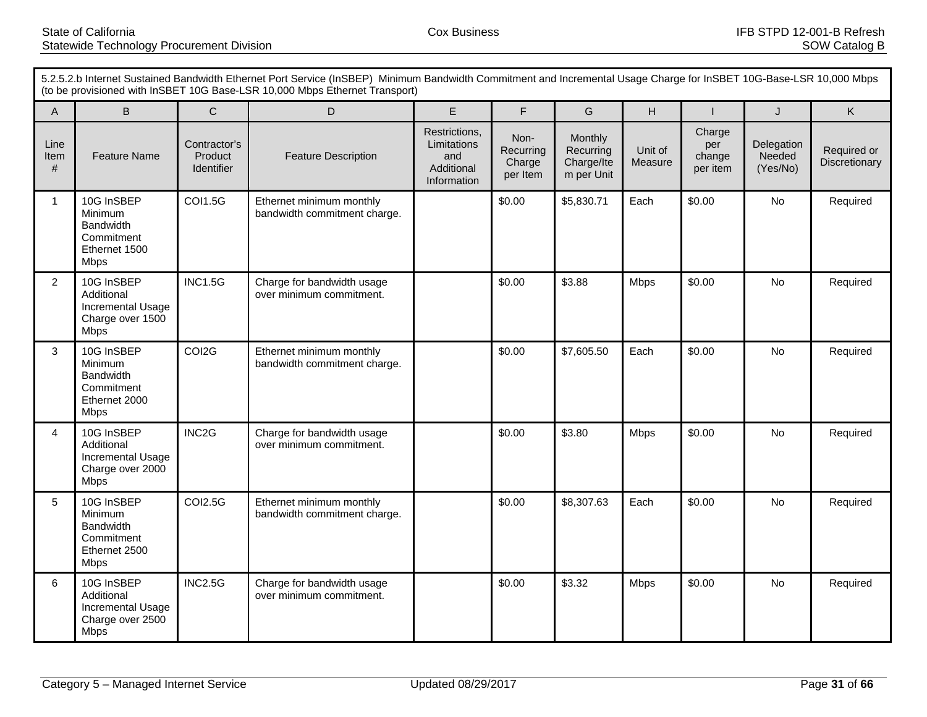|                   | 5.2.5.2.b Internet Sustained Bandwidth Ethernet Port Service (InSBEP) Minimum Bandwidth Commitment and Incremental Usage Charge for InSBET 10G-Base-LSR 10,000 Mbps<br>(to be provisioned with InSBET 10G Base-LSR 10,000 Mbps Ethernet Transport) |                                       |                                                          |                                                                  |                                         |                                                  |                    |                                     |                                  |                              |
|-------------------|----------------------------------------------------------------------------------------------------------------------------------------------------------------------------------------------------------------------------------------------------|---------------------------------------|----------------------------------------------------------|------------------------------------------------------------------|-----------------------------------------|--------------------------------------------------|--------------------|-------------------------------------|----------------------------------|------------------------------|
| $\overline{A}$    | $\sf B$                                                                                                                                                                                                                                            | $\mathsf{C}$                          | D                                                        | E                                                                | F                                       | G                                                | H                  | $\mathbf{I}$                        | J                                | $\mathsf{K}$                 |
| Line<br>Item<br># | <b>Feature Name</b>                                                                                                                                                                                                                                | Contractor's<br>Product<br>Identifier | <b>Feature Description</b>                               | Restrictions,<br>Limitations<br>and<br>Additional<br>Information | Non-<br>Recurring<br>Charge<br>per Item | Monthly<br>Recurring<br>Charge/Ite<br>m per Unit | Unit of<br>Measure | Charge<br>per<br>change<br>per item | Delegation<br>Needed<br>(Yes/No) | Required or<br>Discretionary |
| 1                 | 10G InSBEP<br>Minimum<br><b>Bandwidth</b><br>Commitment<br>Ethernet 1500<br><b>Mbps</b>                                                                                                                                                            | <b>COI1.5G</b>                        | Ethernet minimum monthly<br>bandwidth commitment charge. |                                                                  | \$0.00                                  | \$5,830.71                                       | Each               | \$0.00                              | No                               | Required                     |
| $\overline{2}$    | 10G InSBEP<br>Additional<br>Incremental Usage<br>Charge over 1500<br><b>Mbps</b>                                                                                                                                                                   | <b>INC1.5G</b>                        | Charge for bandwidth usage<br>over minimum commitment.   |                                                                  | \$0.00                                  | \$3.88                                           | <b>Mbps</b>        | \$0.00                              | <b>No</b>                        | Required                     |
| 3                 | 10G InSBEP<br>Minimum<br><b>Bandwidth</b><br>Commitment<br>Ethernet 2000<br>Mbps                                                                                                                                                                   | COI2G                                 | Ethernet minimum monthly<br>bandwidth commitment charge. |                                                                  | \$0.00                                  | \$7,605.50                                       | Each               | \$0.00                              | No                               | Required                     |
| 4                 | 10G InSBEP<br>Additional<br>Incremental Usage<br>Charge over 2000<br><b>Mbps</b>                                                                                                                                                                   | INC <sub>2</sub> G                    | Charge for bandwidth usage<br>over minimum commitment.   |                                                                  | \$0.00                                  | \$3.80                                           | <b>Mbps</b>        | \$0.00                              | No                               | Required                     |
| 5                 | 10G InSBEP<br>Minimum<br><b>Bandwidth</b><br>Commitment<br>Ethernet 2500<br><b>Mbps</b>                                                                                                                                                            | <b>COI2.5G</b>                        | Ethernet minimum monthly<br>bandwidth commitment charge. |                                                                  | \$0.00                                  | \$8,307.63                                       | Each               | \$0.00                              | No                               | Required                     |
| 6                 | 10G InSBEP<br>Additional<br>Incremental Usage<br>Charge over 2500<br><b>Mbps</b>                                                                                                                                                                   | <b>INC2.5G</b>                        | Charge for bandwidth usage<br>over minimum commitment.   |                                                                  | \$0.00                                  | \$3.32                                           | <b>Mbps</b>        | \$0.00                              | <b>No</b>                        | Required                     |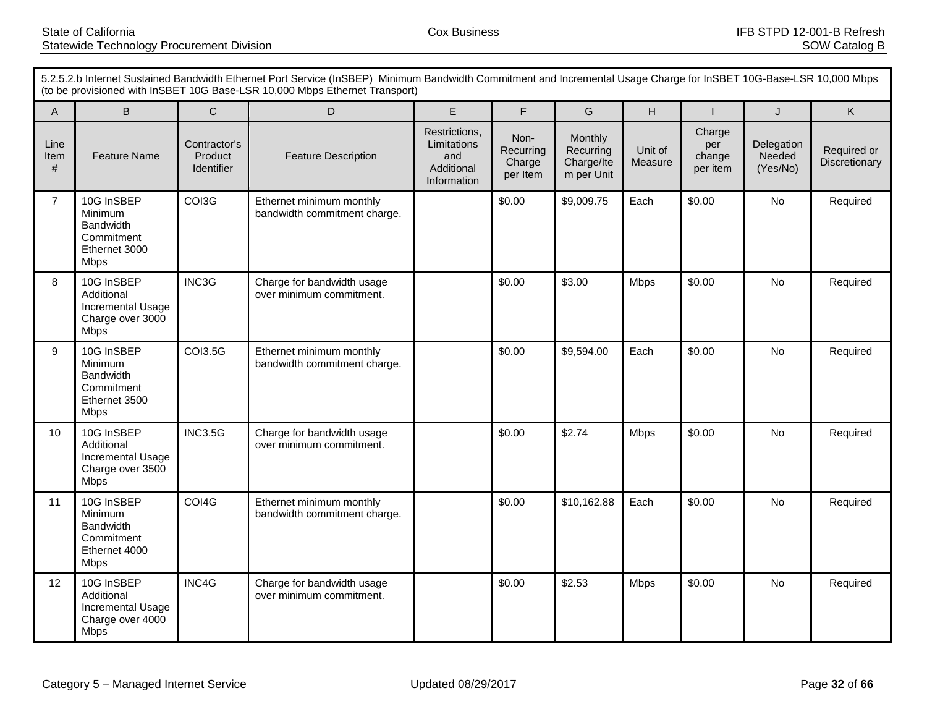| 5.2.5.2.b Internet Sustained Bandwidth Ethernet Port Service (InSBEP) Minimum Bandwidth Commitment and Incremental Usage Charge for InSBET 10G-Base-LSR 10,000 Mbps<br>(to be provisioned with InSBET 10G Base-LSR 10,000 Mbps Ethernet Transport) |                                                                                         |                                       |                                                          |                                                                  |                                         |                                                  |                    |                                     |                                  |                              |
|----------------------------------------------------------------------------------------------------------------------------------------------------------------------------------------------------------------------------------------------------|-----------------------------------------------------------------------------------------|---------------------------------------|----------------------------------------------------------|------------------------------------------------------------------|-----------------------------------------|--------------------------------------------------|--------------------|-------------------------------------|----------------------------------|------------------------------|
| $\overline{A}$                                                                                                                                                                                                                                     | $\sf B$                                                                                 | $\mathsf{C}$                          | D                                                        | E                                                                | F                                       | G                                                | H                  | $\mathbf{I}$                        | J                                | $\mathsf{K}$                 |
| Line<br>Item<br>#                                                                                                                                                                                                                                  | <b>Feature Name</b>                                                                     | Contractor's<br>Product<br>Identifier | <b>Feature Description</b>                               | Restrictions,<br>Limitations<br>and<br>Additional<br>Information | Non-<br>Recurring<br>Charge<br>per Item | Monthly<br>Recurring<br>Charge/Ite<br>m per Unit | Unit of<br>Measure | Charge<br>per<br>change<br>per item | Delegation<br>Needed<br>(Yes/No) | Required or<br>Discretionary |
| $\overline{7}$                                                                                                                                                                                                                                     | 10G InSBEP<br>Minimum<br><b>Bandwidth</b><br>Commitment<br>Ethernet 3000<br><b>Mbps</b> | COI3G                                 | Ethernet minimum monthly<br>bandwidth commitment charge. |                                                                  | \$0.00                                  | \$9,009.75                                       | Each               | \$0.00                              | No                               | Required                     |
| 8                                                                                                                                                                                                                                                  | 10G InSBEP<br>Additional<br>Incremental Usage<br>Charge over 3000<br><b>Mbps</b>        | INC3G                                 | Charge for bandwidth usage<br>over minimum commitment.   |                                                                  | \$0.00                                  | \$3.00                                           | <b>Mbps</b>        | \$0.00                              | <b>No</b>                        | Required                     |
| 9                                                                                                                                                                                                                                                  | 10G InSBEP<br>Minimum<br><b>Bandwidth</b><br>Commitment<br>Ethernet 3500<br>Mbps        | <b>COI3.5G</b>                        | Ethernet minimum monthly<br>bandwidth commitment charge. |                                                                  | \$0.00                                  | \$9,594.00                                       | Each               | \$0.00                              | No                               | Required                     |
| 10                                                                                                                                                                                                                                                 | 10G InSBEP<br>Additional<br>Incremental Usage<br>Charge over 3500<br><b>Mbps</b>        | <b>INC3.5G</b>                        | Charge for bandwidth usage<br>over minimum commitment.   |                                                                  | \$0.00                                  | \$2.74                                           | <b>Mbps</b>        | \$0.00                              | No                               | Required                     |
| 11                                                                                                                                                                                                                                                 | 10G InSBEP<br>Minimum<br><b>Bandwidth</b><br>Commitment<br>Ethernet 4000<br><b>Mbps</b> | COI4G                                 | Ethernet minimum monthly<br>bandwidth commitment charge. |                                                                  | \$0.00                                  | \$10,162.88                                      | Each               | \$0.00                              | No                               | Required                     |
| 12                                                                                                                                                                                                                                                 | 10G InSBEP<br>Additional<br>Incremental Usage<br>Charge over 4000<br><b>Mbps</b>        | INC4G                                 | Charge for bandwidth usage<br>over minimum commitment.   |                                                                  | \$0.00                                  | \$2.53                                           | <b>Mbps</b>        | \$0.00                              | <b>No</b>                        | Required                     |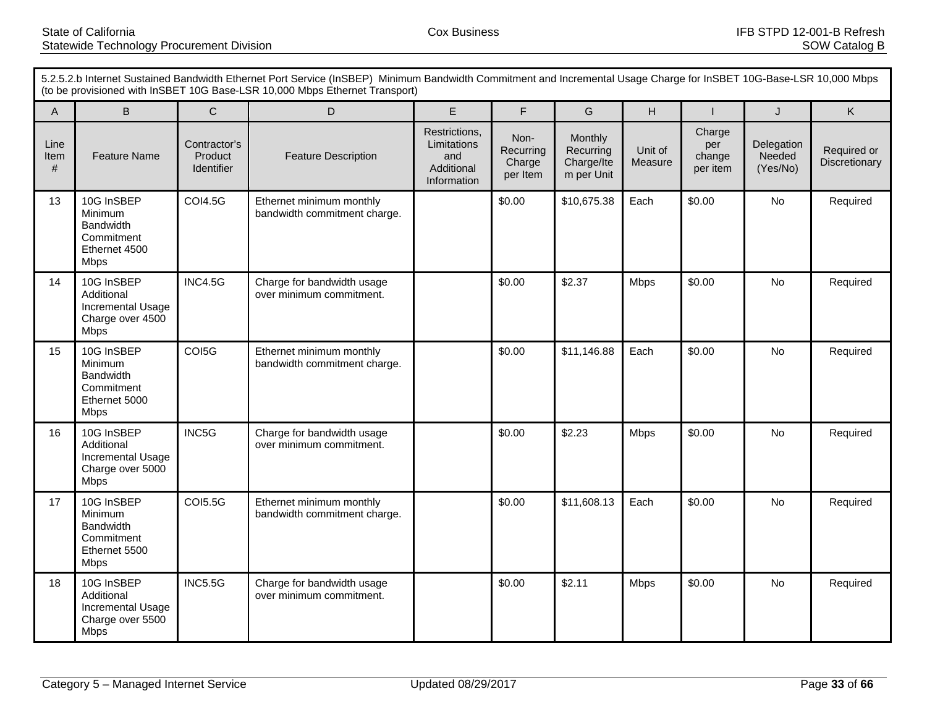| 5.2.5.2.b Internet Sustained Bandwidth Ethernet Port Service (InSBEP) Minimum Bandwidth Commitment and Incremental Usage Charge for InSBET 10G-Base-LSR 10,000 Mbps<br>(to be provisioned with InSBET 10G Base-LSR 10,000 Mbps Ethernet Transport) |                                                                                         |                                              |                                                          |                                                                  |                                         |                                                  |                    |                                     |                                  |                              |
|----------------------------------------------------------------------------------------------------------------------------------------------------------------------------------------------------------------------------------------------------|-----------------------------------------------------------------------------------------|----------------------------------------------|----------------------------------------------------------|------------------------------------------------------------------|-----------------------------------------|--------------------------------------------------|--------------------|-------------------------------------|----------------------------------|------------------------------|
| $\overline{A}$                                                                                                                                                                                                                                     | $\mathsf B$                                                                             | $\mathsf C$                                  | D                                                        | E                                                                | $\mathsf F$                             | G                                                | H                  |                                     | J                                | $\mathsf{K}$                 |
| Line<br>Item<br>#                                                                                                                                                                                                                                  | <b>Feature Name</b>                                                                     | Contractor's<br>Product<br><b>Identifier</b> | <b>Feature Description</b>                               | Restrictions,<br>Limitations<br>and<br>Additional<br>Information | Non-<br>Recurring<br>Charge<br>per Item | Monthly<br>Recurring<br>Charge/Ite<br>m per Unit | Unit of<br>Measure | Charge<br>per<br>change<br>per item | Delegation<br>Needed<br>(Yes/No) | Required or<br>Discretionary |
| 13                                                                                                                                                                                                                                                 | 10G InSBEP<br><b>Minimum</b><br>Bandwidth<br>Commitment<br>Ethernet 4500<br><b>Mbps</b> | <b>COI4.5G</b>                               | Ethernet minimum monthly<br>bandwidth commitment charge. |                                                                  | \$0.00                                  | \$10,675.38                                      | Each               | \$0.00                              | No                               | Required                     |
| 14                                                                                                                                                                                                                                                 | 10G InSBEP<br>Additional<br>Incremental Usage<br>Charge over 4500<br><b>Mbps</b>        | <b>INC4.5G</b>                               | Charge for bandwidth usage<br>over minimum commitment.   |                                                                  | \$0.00                                  | \$2.37                                           | <b>Mbps</b>        | \$0.00                              | <b>No</b>                        | Required                     |
| 15                                                                                                                                                                                                                                                 | 10G InSBEP<br>Minimum<br><b>Bandwidth</b><br>Commitment<br>Ethernet 5000<br>Mbps        | COI5G                                        | Ethernet minimum monthly<br>bandwidth commitment charge. |                                                                  | \$0.00                                  | \$11,146.88                                      | Each               | \$0.00                              | No                               | Required                     |
| 16                                                                                                                                                                                                                                                 | 10G InSBEP<br>Additional<br>Incremental Usage<br>Charge over 5000<br><b>Mbps</b>        | INC5G                                        | Charge for bandwidth usage<br>over minimum commitment.   |                                                                  | \$0.00                                  | \$2.23                                           | <b>Mbps</b>        | \$0.00                              | No                               | Required                     |
| 17                                                                                                                                                                                                                                                 | 10G InSBEP<br>Minimum<br><b>Bandwidth</b><br>Commitment<br>Ethernet 5500<br><b>Mbps</b> | <b>COI5.5G</b>                               | Ethernet minimum monthly<br>bandwidth commitment charge. |                                                                  | \$0.00                                  | \$11,608.13                                      | Each               | \$0.00                              | No                               | Required                     |
| 18                                                                                                                                                                                                                                                 | 10G InSBEP<br>Additional<br>Incremental Usage<br>Charge over 5500<br><b>Mbps</b>        | <b>INC5.5G</b>                               | Charge for bandwidth usage<br>over minimum commitment.   |                                                                  | \$0.00                                  | \$2.11                                           | <b>Mbps</b>        | \$0.00                              | <b>No</b>                        | Required                     |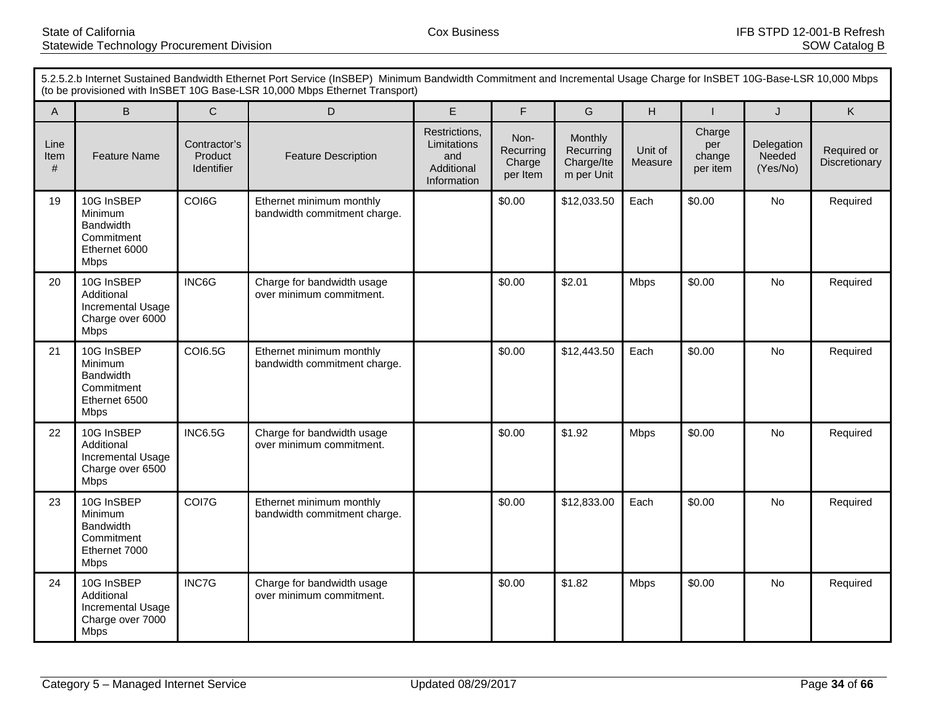|                   | 5.2.5.2.b Internet Sustained Bandwidth Ethernet Port Service (InSBEP) Minimum Bandwidth Commitment and Incremental Usage Charge for InSBET 10G-Base-LSR 10,000 Mbps<br>(to be provisioned with InSBET 10G Base-LSR 10,000 Mbps Ethernet Transport) |                                       |                                                          |                                                                  |                                         |                                                  |                    |                                     |                                  |                              |
|-------------------|----------------------------------------------------------------------------------------------------------------------------------------------------------------------------------------------------------------------------------------------------|---------------------------------------|----------------------------------------------------------|------------------------------------------------------------------|-----------------------------------------|--------------------------------------------------|--------------------|-------------------------------------|----------------------------------|------------------------------|
| $\overline{A}$    | $\sf B$                                                                                                                                                                                                                                            | $\mathsf C$                           | D                                                        | E                                                                | F                                       | G                                                | H                  | $\mathbf{I}$                        | J                                | K                            |
| Line<br>Item<br># | <b>Feature Name</b>                                                                                                                                                                                                                                | Contractor's<br>Product<br>Identifier | <b>Feature Description</b>                               | Restrictions,<br>Limitations<br>and<br>Additional<br>Information | Non-<br>Recurring<br>Charge<br>per Item | Monthly<br>Recurring<br>Charge/Ite<br>m per Unit | Unit of<br>Measure | Charge<br>per<br>change<br>per item | Delegation<br>Needed<br>(Yes/No) | Required or<br>Discretionary |
| 19                | 10G InSBEP<br>Minimum<br><b>Bandwidth</b><br>Commitment<br>Ethernet 6000<br><b>Mbps</b>                                                                                                                                                            | COI6G                                 | Ethernet minimum monthly<br>bandwidth commitment charge. |                                                                  | \$0.00                                  | \$12,033.50                                      | Each               | \$0.00                              | No                               | Required                     |
| 20                | 10G InSBEP<br>Additional<br>Incremental Usage<br>Charge over 6000<br><b>Mbps</b>                                                                                                                                                                   | INC6G                                 | Charge for bandwidth usage<br>over minimum commitment.   |                                                                  | \$0.00                                  | \$2.01                                           | <b>Mbps</b>        | \$0.00                              | No                               | Required                     |
| 21                | 10G InSBEP<br>Minimum<br><b>Bandwidth</b><br>Commitment<br>Ethernet 6500<br><b>Mbps</b>                                                                                                                                                            | <b>COI6.5G</b>                        | Ethernet minimum monthly<br>bandwidth commitment charge. |                                                                  | \$0.00                                  | \$12,443.50                                      | Each               | \$0.00                              | No                               | Required                     |
| 22                | 10G InSBEP<br>Additional<br>Incremental Usage<br>Charge over 6500<br><b>Mbps</b>                                                                                                                                                                   | <b>INC6.5G</b>                        | Charge for bandwidth usage<br>over minimum commitment.   |                                                                  | \$0.00                                  | \$1.92                                           | Mbps               | \$0.00                              | <b>No</b>                        | Required                     |
| 23                | 10G InSBEP<br>Minimum<br><b>Bandwidth</b><br>Commitment<br>Ethernet 7000<br><b>Mbps</b>                                                                                                                                                            | COI7G                                 | Ethernet minimum monthly<br>bandwidth commitment charge. |                                                                  | \$0.00                                  | \$12,833.00                                      | Each               | \$0.00                              | No                               | Required                     |
| 24                | 10G InSBEP<br>Additional<br>Incremental Usage<br>Charge over 7000<br><b>Mbps</b>                                                                                                                                                                   | INC7G                                 | Charge for bandwidth usage<br>over minimum commitment.   |                                                                  | \$0.00                                  | \$1.82                                           | <b>Mbps</b>        | \$0.00                              | No                               | Required                     |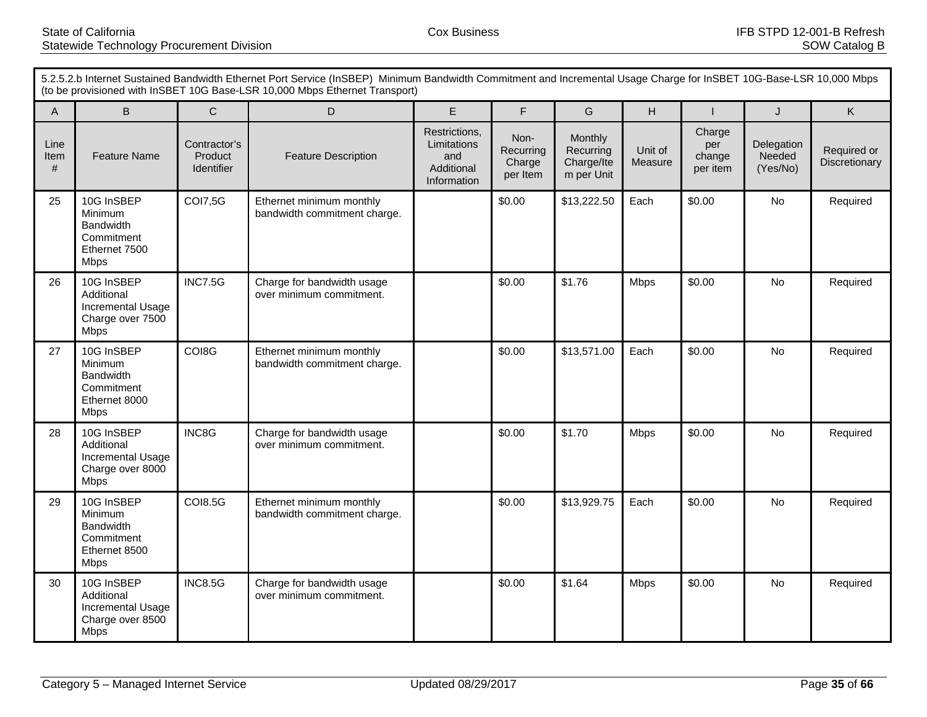| 5.2.5.2.b Internet Sustained Bandwidth Ethernet Port Service (InSBEP) Minimum Bandwidth Commitment and Incremental Usage Charge for InSBET 10G-Base-LSR 10,000 Mbps<br>(to be provisioned with InSBET 10G Base-LSR 10,000 Mbps Ethernet Transport) |                                                                                         |                                              |                                                          |                                                                  |                                         |                                                  |                    |                                     |                                  |                              |
|----------------------------------------------------------------------------------------------------------------------------------------------------------------------------------------------------------------------------------------------------|-----------------------------------------------------------------------------------------|----------------------------------------------|----------------------------------------------------------|------------------------------------------------------------------|-----------------------------------------|--------------------------------------------------|--------------------|-------------------------------------|----------------------------------|------------------------------|
| $\overline{A}$                                                                                                                                                                                                                                     | $\mathsf B$                                                                             | $\mathsf C$                                  | D                                                        | E                                                                | $\mathsf F$                             | G                                                | H                  |                                     | J                                | $\mathsf{K}$                 |
| Line<br>Item<br>#                                                                                                                                                                                                                                  | <b>Feature Name</b>                                                                     | Contractor's<br>Product<br><b>Identifier</b> | <b>Feature Description</b>                               | Restrictions,<br>Limitations<br>and<br>Additional<br>Information | Non-<br>Recurring<br>Charge<br>per Item | Monthly<br>Recurring<br>Charge/Ite<br>m per Unit | Unit of<br>Measure | Charge<br>per<br>change<br>per item | Delegation<br>Needed<br>(Yes/No) | Required or<br>Discretionary |
| 25                                                                                                                                                                                                                                                 | 10G InSBEP<br><b>Minimum</b><br>Bandwidth<br>Commitment<br>Ethernet 7500<br><b>Mbps</b> | <b>COI7,5G</b>                               | Ethernet minimum monthly<br>bandwidth commitment charge. |                                                                  | \$0.00                                  | \$13,222.50                                      | Each               | \$0.00                              | No                               | Required                     |
| 26                                                                                                                                                                                                                                                 | 10G InSBEP<br>Additional<br>Incremental Usage<br>Charge over 7500<br><b>Mbps</b>        | <b>INC7.5G</b>                               | Charge for bandwidth usage<br>over minimum commitment.   |                                                                  | \$0.00                                  | \$1.76                                           | <b>Mbps</b>        | \$0.00                              | <b>No</b>                        | Required                     |
| 27                                                                                                                                                                                                                                                 | 10G InSBEP<br>Minimum<br><b>Bandwidth</b><br>Commitment<br>Ethernet 8000<br>Mbps        | COI8G                                        | Ethernet minimum monthly<br>bandwidth commitment charge. |                                                                  | \$0.00                                  | \$13,571.00                                      | Each               | \$0.00                              | No                               | Required                     |
| 28                                                                                                                                                                                                                                                 | 10G InSBEP<br>Additional<br>Incremental Usage<br>Charge over 8000<br><b>Mbps</b>        | INC8G                                        | Charge for bandwidth usage<br>over minimum commitment.   |                                                                  | \$0.00                                  | \$1.70                                           | <b>Mbps</b>        | \$0.00                              | No                               | Required                     |
| 29                                                                                                                                                                                                                                                 | 10G InSBEP<br>Minimum<br><b>Bandwidth</b><br>Commitment<br>Ethernet 8500<br><b>Mbps</b> | <b>COI8.5G</b>                               | Ethernet minimum monthly<br>bandwidth commitment charge. |                                                                  | \$0.00                                  | \$13,929.75                                      | Each               | \$0.00                              | No                               | Required                     |
| 30                                                                                                                                                                                                                                                 | 10G InSBEP<br>Additional<br>Incremental Usage<br>Charge over 8500<br><b>Mbps</b>        | <b>INC8.5G</b>                               | Charge for bandwidth usage<br>over minimum commitment.   |                                                                  | \$0.00                                  | \$1.64                                           | <b>Mbps</b>        | \$0.00                              | <b>No</b>                        | Required                     |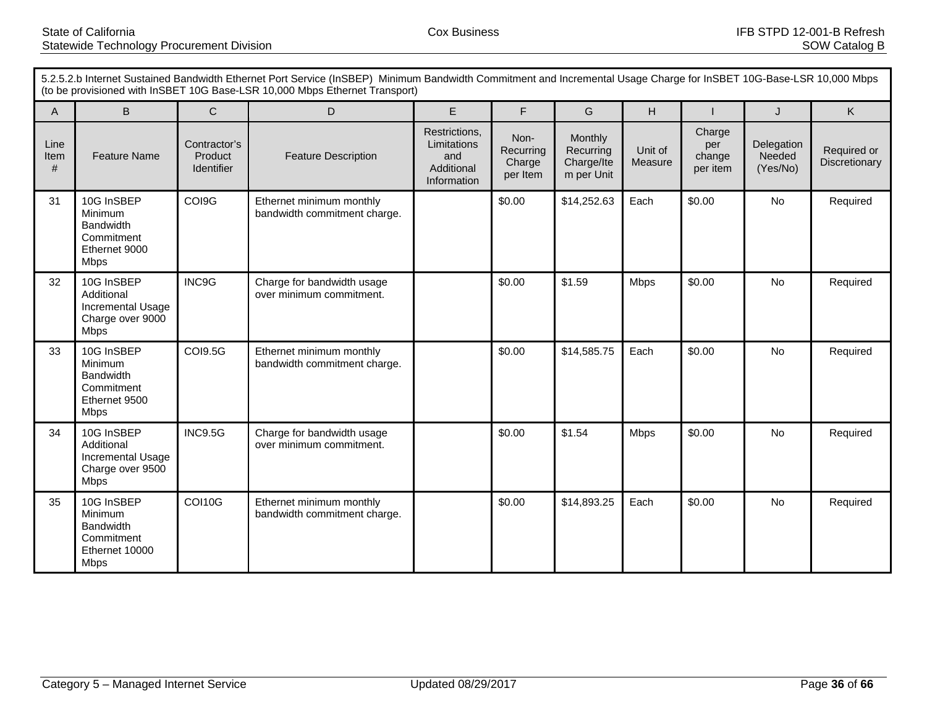| 5.2.5.2.b Internet Sustained Bandwidth Ethernet Port Service (InSBEP) Minimum Bandwidth Commitment and Incremental Usage Charge for InSBET 10G-Base-LSR 10,000 Mbps<br>(to be provisioned with InSBET 10G Base-LSR 10,000 Mbps Ethernet Transport) |                                                                                          |                                       |                                                          |                                                                  |                                         |                                                  |                    |                                     |                                  |                              |
|----------------------------------------------------------------------------------------------------------------------------------------------------------------------------------------------------------------------------------------------------|------------------------------------------------------------------------------------------|---------------------------------------|----------------------------------------------------------|------------------------------------------------------------------|-----------------------------------------|--------------------------------------------------|--------------------|-------------------------------------|----------------------------------|------------------------------|
| $\mathsf{A}$                                                                                                                                                                                                                                       | B                                                                                        | $\mathsf{C}$                          | D                                                        | E                                                                | F                                       | G                                                | H                  |                                     | J                                | K                            |
| Line<br>Item<br>#                                                                                                                                                                                                                                  | <b>Feature Name</b>                                                                      | Contractor's<br>Product<br>Identifier | <b>Feature Description</b>                               | Restrictions,<br>Limitations<br>and<br>Additional<br>Information | Non-<br>Recurring<br>Charge<br>per Item | Monthly<br>Recurring<br>Charge/Ite<br>m per Unit | Unit of<br>Measure | Charge<br>per<br>change<br>per item | Delegation<br>Needed<br>(Yes/No) | Required or<br>Discretionary |
| 31                                                                                                                                                                                                                                                 | 10G InSBEP<br>Minimum<br><b>Bandwidth</b><br>Commitment<br>Ethernet 9000<br><b>Mbps</b>  | COI9G                                 | Ethernet minimum monthly<br>bandwidth commitment charge. |                                                                  | \$0.00                                  | \$14,252.63                                      | Each               | \$0.00                              | No                               | Required                     |
| 32                                                                                                                                                                                                                                                 | 10G InSBEP<br>Additional<br>Incremental Usage<br>Charge over 9000<br><b>Mbps</b>         | INC9G                                 | Charge for bandwidth usage<br>over minimum commitment.   |                                                                  | \$0.00                                  | \$1.59                                           | <b>Mbps</b>        | \$0.00                              | <b>No</b>                        | Required                     |
| 33                                                                                                                                                                                                                                                 | 10G InSBEP<br>Minimum<br><b>Bandwidth</b><br>Commitment<br>Ethernet 9500<br><b>Mbps</b>  | <b>COI9.5G</b>                        | Ethernet minimum monthly<br>bandwidth commitment charge. |                                                                  | \$0.00                                  | \$14,585.75                                      | Each               | \$0.00                              | No                               | Required                     |
| 34                                                                                                                                                                                                                                                 | 10G InSBEP<br>Additional<br>Incremental Usage<br>Charge over 9500<br><b>Mbps</b>         | <b>INC9.5G</b>                        | Charge for bandwidth usage<br>over minimum commitment.   |                                                                  | \$0.00                                  | \$1.54                                           | <b>Mbps</b>        | \$0.00                              | <b>No</b>                        | Required                     |
| 35                                                                                                                                                                                                                                                 | 10G InSBEP<br>Minimum<br><b>Bandwidth</b><br>Commitment<br>Ethernet 10000<br><b>Mbps</b> | <b>COI10G</b>                         | Ethernet minimum monthly<br>bandwidth commitment charge. |                                                                  | \$0.00                                  | \$14,893.25                                      | Each               | \$0.00                              | <b>No</b>                        | Required                     |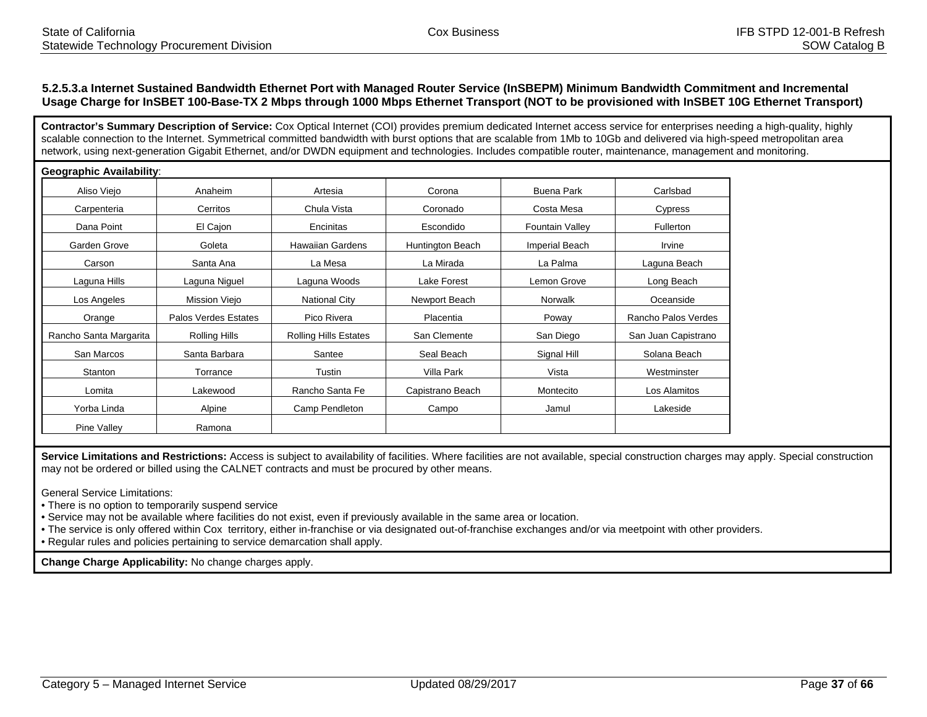#### **5.2.5.3.a Internet Sustained Bandwidth Ethernet Port with Managed Router Service (InSBEPM) Minimum Bandwidth Commitment and Incremental Usage Charge for InSBET 100-Base-TX 2 Mbps through 1000 Mbps Ethernet Transport (NOT to be provisioned with InSBET 10G Ethernet Transport)**

**Contractor's Summary Description of Service:** Cox Optical Internet (COI) provides premium dedicated Internet access service for enterprises needing a high-quality, highly scalable connection to the Internet. Symmetrical committed bandwidth with burst options that are scalable from 1Mb to 10Gb and delivered via high-speed metropolitan area network, using next-generation Gigabit Ethernet, and/or DWDN equipment and technologies. Includes compatible router, maintenance, management and monitoring.

| Geographic Availability: |                      |                              |                  |                        |                     |
|--------------------------|----------------------|------------------------------|------------------|------------------------|---------------------|
| Aliso Viejo              | Anaheim              | Artesia                      | Corona           | <b>Buena Park</b>      | Carlsbad            |
| Carpenteria              | Cerritos             | Chula Vista                  | Coronado         | Costa Mesa             | Cypress             |
| Dana Point               | El Cajon             | Encinitas                    | Escondido        | <b>Fountain Valley</b> | Fullerton           |
| Garden Grove             | Goleta               | <b>Hawaiian Gardens</b>      | Huntington Beach | Imperial Beach         | Irvine              |
| Carson                   | Santa Ana            | La Mesa                      | La Mirada        | La Palma               | Laguna Beach        |
| Laguna Hills             | Laguna Niguel        | Laguna Woods                 | Lake Forest      | Lemon Grove            | Long Beach          |
| Los Angeles              | Mission Viejo        | <b>National City</b>         | Newport Beach    | Norwalk                | Oceanside           |
| Orange                   | Palos Verdes Estates | Pico Rivera                  | Placentia        | Poway                  | Rancho Palos Verdes |
| Rancho Santa Margarita   | Rolling Hills        | <b>Rolling Hills Estates</b> | San Clemente     | San Diego              | San Juan Capistrano |
| San Marcos               | Santa Barbara        | Santee                       | Seal Beach       | Signal Hill            | Solana Beach        |
| Stanton                  | Torrance             | Tustin                       | Villa Park       | Vista                  | Westminster         |
| Lomita                   | Lakewood             | Rancho Santa Fe              | Capistrano Beach | Montecito              | Los Alamitos        |
| Yorba Linda              | Alpine               | Camp Pendleton               | Campo            | Jamul                  | Lakeside            |
| Pine Valley              | Ramona               |                              |                  |                        |                     |

Service Limitations and Restrictions: Access is subject to availability of facilities. Where facilities are not available, special construction charges may apply. Special construction may not be ordered or billed using the CALNET contracts and must be procured by other means.

General Service Limitations:

• There is no option to temporarily suspend service

• Service may not be available where facilities do not exist, even if previously available in the same area or location.

• The service is only offered within Cox territory, either in-franchise or via designated out-of-franchise exchanges and/or via meetpoint with other providers.

• Regular rules and policies pertaining to service demarcation shall apply.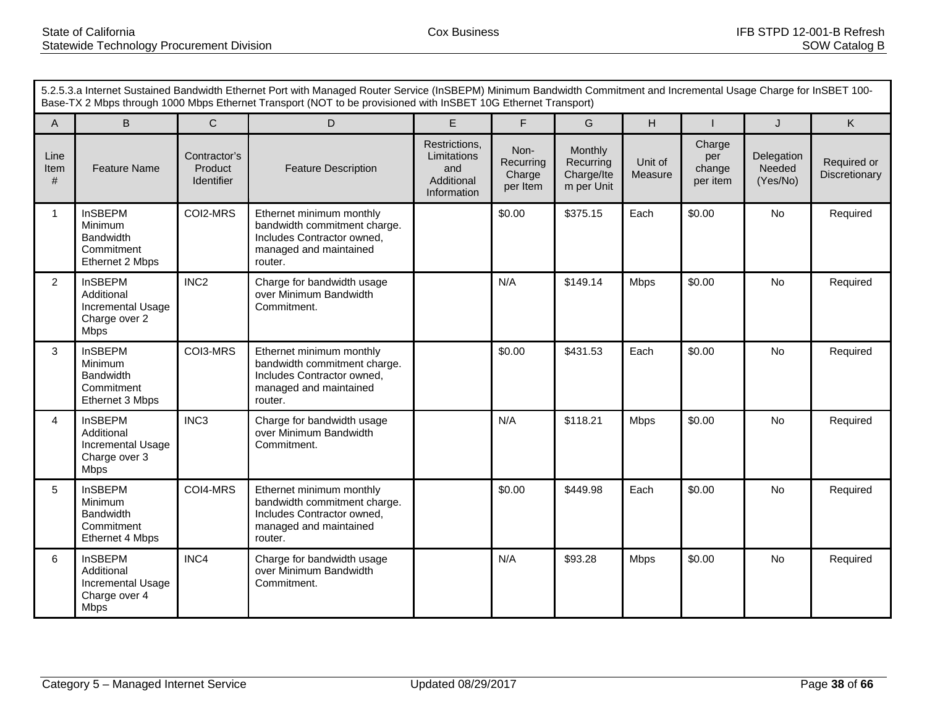|                   | 5.2.5.3.a Internet Sustained Bandwidth Ethernet Port with Managed Router Service (InSBEPM) Minimum Bandwidth Commitment and Incremental Usage Charge for InSBET 100-<br>Base-TX 2 Mbps through 1000 Mbps Ethernet Transport (NOT to be provisioned with InSBET 10G Ethernet Transport) |                                       |                                                                                                                             |                                                                  |                                         |                                                  |                    |                                     |                                  |                              |
|-------------------|----------------------------------------------------------------------------------------------------------------------------------------------------------------------------------------------------------------------------------------------------------------------------------------|---------------------------------------|-----------------------------------------------------------------------------------------------------------------------------|------------------------------------------------------------------|-----------------------------------------|--------------------------------------------------|--------------------|-------------------------------------|----------------------------------|------------------------------|
| $\mathsf{A}$      | B                                                                                                                                                                                                                                                                                      | $\mathsf{C}$                          | D                                                                                                                           | E                                                                | F                                       | G                                                | H                  |                                     | J                                | K.                           |
| Line<br>Item<br># | <b>Feature Name</b>                                                                                                                                                                                                                                                                    | Contractor's<br>Product<br>Identifier | <b>Feature Description</b>                                                                                                  | Restrictions,<br>Limitations<br>and<br>Additional<br>Information | Non-<br>Recurring<br>Charge<br>per Item | Monthly<br>Recurring<br>Charge/Ite<br>m per Unit | Unit of<br>Measure | Charge<br>per<br>change<br>per item | Delegation<br>Needed<br>(Yes/No) | Required or<br>Discretionary |
| $\mathbf{1}$      | <b>InSBEPM</b><br><b>Minimum</b><br><b>Bandwidth</b><br>Commitment<br>Ethernet 2 Mbps                                                                                                                                                                                                  | COI2-MRS                              | Ethernet minimum monthly<br>bandwidth commitment charge.<br>Includes Contractor owned,<br>managed and maintained<br>router. |                                                                  | \$0.00                                  | \$375.15                                         | Each               | \$0.00                              | No                               | Required                     |
| 2                 | <b>InSBEPM</b><br>Additional<br>Incremental Usage<br>Charge over 2<br><b>Mbps</b>                                                                                                                                                                                                      | INC <sub>2</sub>                      | Charge for bandwidth usage<br>over Minimum Bandwidth<br>Commitment.                                                         |                                                                  | N/A                                     | \$149.14                                         | <b>Mbps</b>        | \$0.00                              | No                               | Required                     |
| 3                 | <b>InSBEPM</b><br>Minimum<br><b>Bandwidth</b><br>Commitment<br>Ethernet 3 Mbps                                                                                                                                                                                                         | COI3-MRS                              | Ethernet minimum monthly<br>bandwidth commitment charge.<br>Includes Contractor owned,<br>managed and maintained<br>router. |                                                                  | \$0.00                                  | \$431.53                                         | Each               | \$0.00                              | No                               | Required                     |
| 4                 | <b>InSBEPM</b><br>Additional<br>Incremental Usage<br>Charge over 3<br><b>Mbps</b>                                                                                                                                                                                                      | INC <sub>3</sub>                      | Charge for bandwidth usage<br>over Minimum Bandwidth<br>Commitment.                                                         |                                                                  | N/A                                     | \$118.21                                         | <b>Mbps</b>        | \$0.00                              | <b>No</b>                        | Required                     |
| 5                 | <b>InSBEPM</b><br>Minimum<br><b>Bandwidth</b><br>Commitment<br>Ethernet 4 Mbps                                                                                                                                                                                                         | COI4-MRS                              | Ethernet minimum monthly<br>bandwidth commitment charge.<br>Includes Contractor owned,<br>managed and maintained<br>router. |                                                                  | \$0.00                                  | \$449.98                                         | Each               | \$0.00                              | No                               | Required                     |
| 6                 | <b>InSBEPM</b><br>Additional<br>Incremental Usage<br>Charge over 4<br><b>Mbps</b>                                                                                                                                                                                                      | INC4                                  | Charge for bandwidth usage<br>over Minimum Bandwidth<br>Commitment.                                                         |                                                                  | N/A                                     | \$93.28                                          | <b>Mbps</b>        | \$0.00                              | No                               | Required                     |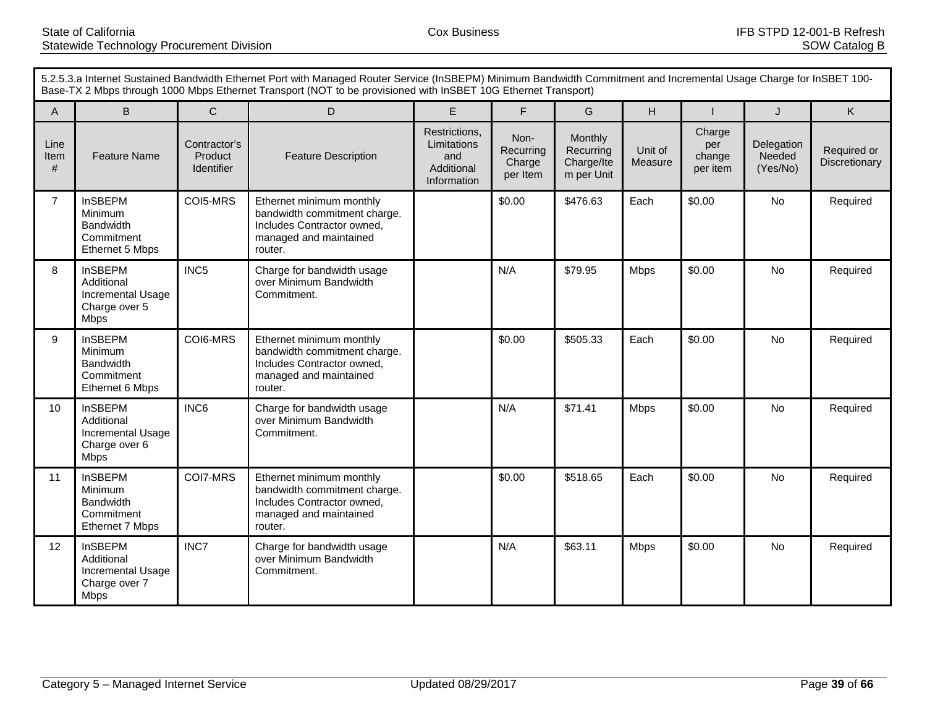|                   | 5.2.5.3.a Internet Sustained Bandwidth Ethernet Port with Managed Router Service (InSBEPM) Minimum Bandwidth Commitment and Incremental Usage Charge for InSBET 100-<br>Base-TX 2 Mbps through 1000 Mbps Ethernet Transport (NOT to be provisioned with InSBET 10G Ethernet Transport) |                                       |                                                                                                                             |                                                                  |                                         |                                                  |                    |                                     |                                  |                              |
|-------------------|----------------------------------------------------------------------------------------------------------------------------------------------------------------------------------------------------------------------------------------------------------------------------------------|---------------------------------------|-----------------------------------------------------------------------------------------------------------------------------|------------------------------------------------------------------|-----------------------------------------|--------------------------------------------------|--------------------|-------------------------------------|----------------------------------|------------------------------|
| A                 | B.                                                                                                                                                                                                                                                                                     | $\mathsf{C}$                          | D                                                                                                                           | E                                                                | F                                       | G                                                | H                  |                                     | J                                | K                            |
| Line<br>Item<br># | <b>Feature Name</b>                                                                                                                                                                                                                                                                    | Contractor's<br>Product<br>Identifier | <b>Feature Description</b>                                                                                                  | Restrictions,<br>Limitations<br>and<br>Additional<br>Information | Non-<br>Recurring<br>Charge<br>per Item | Monthly<br>Recurring<br>Charge/Ite<br>m per Unit | Unit of<br>Measure | Charge<br>per<br>change<br>per item | Delegation<br>Needed<br>(Yes/No) | Required or<br>Discretionary |
| $\overline{7}$    | <b>InSBEPM</b><br>Minimum<br><b>Bandwidth</b><br>Commitment<br>Ethernet 5 Mbps                                                                                                                                                                                                         | COI5-MRS                              | Ethernet minimum monthly<br>bandwidth commitment charge.<br>Includes Contractor owned,<br>managed and maintained<br>router. |                                                                  | \$0.00                                  | \$476.63                                         | Each               | \$0.00                              | <b>No</b>                        | Required                     |
| 8                 | <b>InSBEPM</b><br>Additional<br><b>Incremental Usage</b><br>Charge over 5<br><b>Mbps</b>                                                                                                                                                                                               | INC5                                  | Charge for bandwidth usage<br>over Minimum Bandwidth<br>Commitment.                                                         |                                                                  | N/A                                     | \$79.95                                          | <b>Mbps</b>        | \$0.00                              | <b>No</b>                        | Required                     |
| 9                 | <b>InSBEPM</b><br>Minimum<br><b>Bandwidth</b><br>Commitment<br>Ethernet 6 Mbps                                                                                                                                                                                                         | COI6-MRS                              | Ethernet minimum monthly<br>bandwidth commitment charge.<br>Includes Contractor owned,<br>managed and maintained<br>router. |                                                                  | \$0.00                                  | \$505.33                                         | Each               | \$0.00                              | No                               | Required                     |
| 10                | <b>InSBEPM</b><br>Additional<br>Incremental Usage<br>Charge over 6<br><b>Mbps</b>                                                                                                                                                                                                      | INC6                                  | Charge for bandwidth usage<br>over Minimum Bandwidth<br>Commitment.                                                         |                                                                  | N/A                                     | \$71.41                                          | <b>Mbps</b>        | \$0.00                              | No                               | Required                     |
| 11                | <b>InSBEPM</b><br>Minimum<br><b>Bandwidth</b><br>Commitment<br>Ethernet 7 Mbps                                                                                                                                                                                                         | COI7-MRS                              | Ethernet minimum monthly<br>bandwidth commitment charge.<br>Includes Contractor owned,<br>managed and maintained<br>router. |                                                                  | \$0.00                                  | \$518.65                                         | Each               | \$0.00                              | No                               | Required                     |
| 12                | <b>InSBEPM</b><br>Additional<br>Incremental Usage<br>Charge over 7<br><b>Mbps</b>                                                                                                                                                                                                      | INC7                                  | Charge for bandwidth usage<br>over Minimum Bandwidth<br>Commitment.                                                         |                                                                  | N/A                                     | \$63.11                                          | <b>Mbps</b>        | \$0.00                              | No                               | Required                     |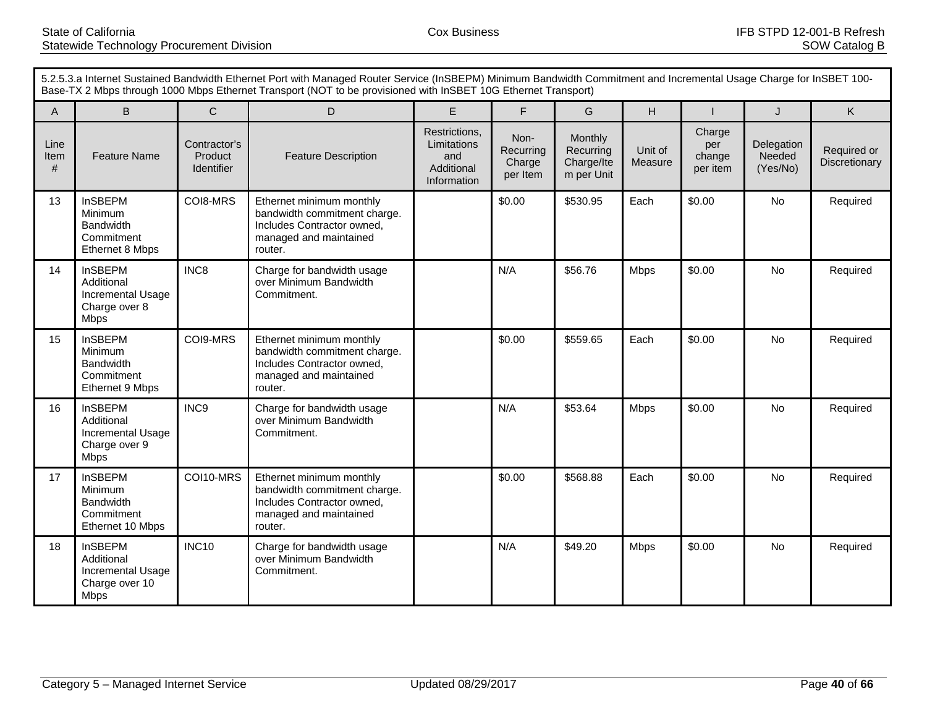|                   | 5.2.5.3.a Internet Sustained Bandwidth Ethernet Port with Managed Router Service (InSBEPM) Minimum Bandwidth Commitment and Incremental Usage Charge for InSBET 100-<br>Base-TX 2 Mbps through 1000 Mbps Ethernet Transport (NOT to be provisioned with InSBET 10G Ethernet Transport) |                                       |                                                                                                                             |                                                                  |                                         |                                                  |                    |                                     |                                  |                              |
|-------------------|----------------------------------------------------------------------------------------------------------------------------------------------------------------------------------------------------------------------------------------------------------------------------------------|---------------------------------------|-----------------------------------------------------------------------------------------------------------------------------|------------------------------------------------------------------|-----------------------------------------|--------------------------------------------------|--------------------|-------------------------------------|----------------------------------|------------------------------|
| A                 | B.                                                                                                                                                                                                                                                                                     | $\mathsf{C}$                          | D                                                                                                                           | E                                                                | F                                       | G                                                | H                  |                                     | J                                | K                            |
| Line<br>Item<br># | <b>Feature Name</b>                                                                                                                                                                                                                                                                    | Contractor's<br>Product<br>Identifier | <b>Feature Description</b>                                                                                                  | Restrictions,<br>Limitations<br>and<br>Additional<br>Information | Non-<br>Recurring<br>Charge<br>per Item | Monthly<br>Recurring<br>Charge/Ite<br>m per Unit | Unit of<br>Measure | Charge<br>per<br>change<br>per item | Delegation<br>Needed<br>(Yes/No) | Required or<br>Discretionary |
| 13                | <b>InSBEPM</b><br>Minimum<br><b>Bandwidth</b><br>Commitment<br>Ethernet 8 Mbps                                                                                                                                                                                                         | COI8-MRS                              | Ethernet minimum monthly<br>bandwidth commitment charge.<br>Includes Contractor owned,<br>managed and maintained<br>router. |                                                                  | \$0.00                                  | \$530.95                                         | Each               | \$0.00                              | <b>No</b>                        | Required                     |
| 14                | <b>InSBEPM</b><br>Additional<br><b>Incremental Usage</b><br>Charge over 8<br><b>Mbps</b>                                                                                                                                                                                               | INC8                                  | Charge for bandwidth usage<br>over Minimum Bandwidth<br>Commitment.                                                         |                                                                  | N/A                                     | \$56.76                                          | <b>Mbps</b>        | \$0.00                              | <b>No</b>                        | Required                     |
| 15                | <b>InSBEPM</b><br>Minimum<br><b>Bandwidth</b><br>Commitment<br>Ethernet 9 Mbps                                                                                                                                                                                                         | COI9-MRS                              | Ethernet minimum monthly<br>bandwidth commitment charge.<br>Includes Contractor owned,<br>managed and maintained<br>router. |                                                                  | \$0.00                                  | \$559.65                                         | Each               | \$0.00                              | No                               | Required                     |
| 16                | <b>InSBEPM</b><br>Additional<br>Incremental Usage<br>Charge over 9<br><b>Mbps</b>                                                                                                                                                                                                      | INC9                                  | Charge for bandwidth usage<br>over Minimum Bandwidth<br>Commitment.                                                         |                                                                  | N/A                                     | \$53.64                                          | <b>Mbps</b>        | \$0.00                              | No                               | Required                     |
| 17                | <b>InSBEPM</b><br>Minimum<br><b>Bandwidth</b><br>Commitment<br>Ethernet 10 Mbps                                                                                                                                                                                                        | COI10-MRS                             | Ethernet minimum monthly<br>bandwidth commitment charge.<br>Includes Contractor owned,<br>managed and maintained<br>router. |                                                                  | \$0.00                                  | \$568.88                                         | Each               | \$0.00                              | No                               | Required                     |
| 18                | <b>InSBEPM</b><br>Additional<br>Incremental Usage<br>Charge over 10<br><b>Mbps</b>                                                                                                                                                                                                     | <b>INC10</b>                          | Charge for bandwidth usage<br>over Minimum Bandwidth<br>Commitment.                                                         |                                                                  | N/A                                     | \$49.20                                          | <b>Mbps</b>        | \$0.00                              | No                               | Required                     |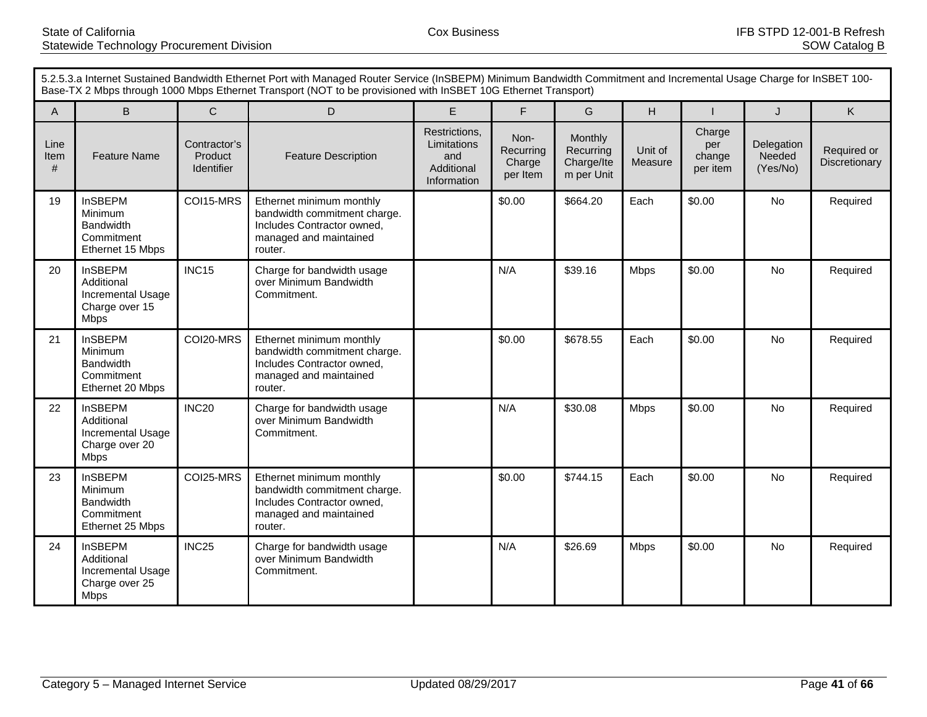|                   | 5.2.5.3.a Internet Sustained Bandwidth Ethernet Port with Managed Router Service (InSBEPM) Minimum Bandwidth Commitment and Incremental Usage Charge for InSBET 100-<br>Base-TX 2 Mbps through 1000 Mbps Ethernet Transport (NOT to be provisioned with InSBET 10G Ethernet Transport) |                                       |                                                                                                                             |                                                                  |                                         |                                                  |                    |                                     |                                  |                              |
|-------------------|----------------------------------------------------------------------------------------------------------------------------------------------------------------------------------------------------------------------------------------------------------------------------------------|---------------------------------------|-----------------------------------------------------------------------------------------------------------------------------|------------------------------------------------------------------|-----------------------------------------|--------------------------------------------------|--------------------|-------------------------------------|----------------------------------|------------------------------|
| A                 | B.                                                                                                                                                                                                                                                                                     | $\mathsf{C}$                          | D                                                                                                                           | E                                                                | F                                       | G                                                | H                  |                                     | J                                | K                            |
| Line<br>Item<br># | <b>Feature Name</b>                                                                                                                                                                                                                                                                    | Contractor's<br>Product<br>Identifier | <b>Feature Description</b>                                                                                                  | Restrictions,<br>Limitations<br>and<br>Additional<br>Information | Non-<br>Recurring<br>Charge<br>per Item | Monthly<br>Recurring<br>Charge/Ite<br>m per Unit | Unit of<br>Measure | Charge<br>per<br>change<br>per item | Delegation<br>Needed<br>(Yes/No) | Required or<br>Discretionary |
| 19                | <b>InSBEPM</b><br>Minimum<br><b>Bandwidth</b><br>Commitment<br>Ethernet 15 Mbps                                                                                                                                                                                                        | COI15-MRS                             | Ethernet minimum monthly<br>bandwidth commitment charge.<br>Includes Contractor owned,<br>managed and maintained<br>router. |                                                                  | \$0.00                                  | \$664.20                                         | Each               | \$0.00                              | <b>No</b>                        | Required                     |
| 20                | <b>InSBEPM</b><br>Additional<br>Incremental Usage<br>Charge over 15<br><b>Mbps</b>                                                                                                                                                                                                     | INC <sub>15</sub>                     | Charge for bandwidth usage<br>over Minimum Bandwidth<br>Commitment.                                                         |                                                                  | N/A                                     | \$39.16                                          | <b>Mbps</b>        | \$0.00                              | <b>No</b>                        | Required                     |
| 21                | <b>InSBEPM</b><br>Minimum<br><b>Bandwidth</b><br>Commitment<br>Ethernet 20 Mbps                                                                                                                                                                                                        | COI20-MRS                             | Ethernet minimum monthly<br>bandwidth commitment charge.<br>Includes Contractor owned,<br>managed and maintained<br>router. |                                                                  | \$0.00                                  | \$678.55                                         | Each               | \$0.00                              | No                               | Required                     |
| 22                | <b>InSBEPM</b><br>Additional<br>Incremental Usage<br>Charge over 20<br><b>Mbps</b>                                                                                                                                                                                                     | INC <sub>20</sub>                     | Charge for bandwidth usage<br>over Minimum Bandwidth<br>Commitment.                                                         |                                                                  | N/A                                     | \$30.08                                          | <b>Mbps</b>        | \$0.00                              | No                               | Required                     |
| 23                | <b>InSBEPM</b><br>Minimum<br><b>Bandwidth</b><br>Commitment<br>Ethernet 25 Mbps                                                                                                                                                                                                        | COI25-MRS                             | Ethernet minimum monthly<br>bandwidth commitment charge.<br>Includes Contractor owned,<br>managed and maintained<br>router. |                                                                  | \$0.00                                  | \$744.15                                         | Each               | \$0.00                              | No                               | Required                     |
| 24                | <b>InSBEPM</b><br>Additional<br>Incremental Usage<br>Charge over 25<br><b>Mbps</b>                                                                                                                                                                                                     | INC <sub>25</sub>                     | Charge for bandwidth usage<br>over Minimum Bandwidth<br>Commitment.                                                         |                                                                  | N/A                                     | \$26.69                                          | <b>Mbps</b>        | \$0.00                              | No                               | Required                     |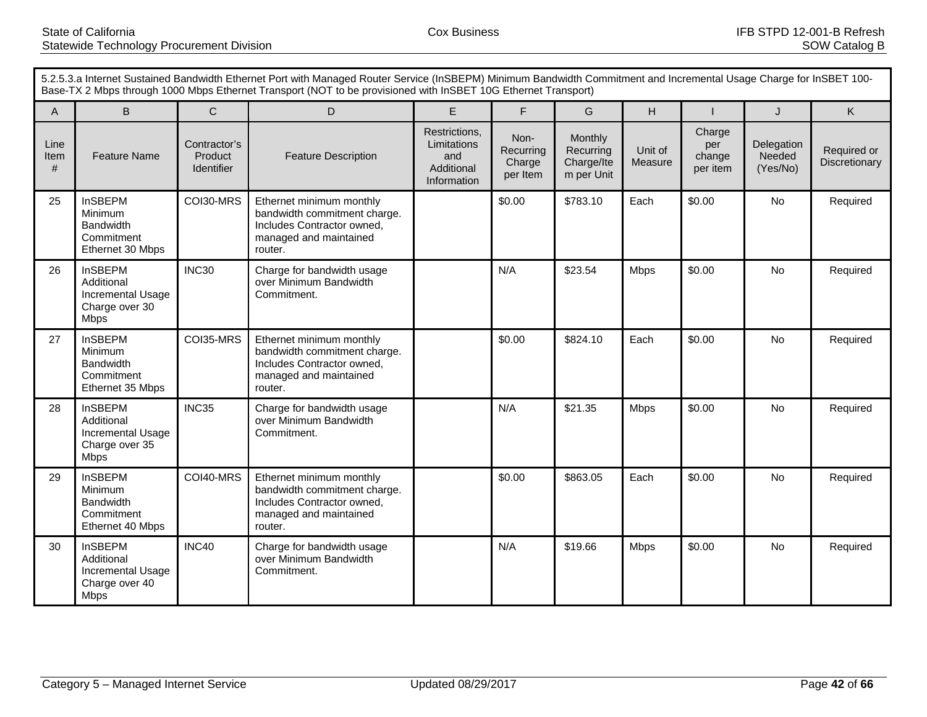|                   | 5.2.5.3.a Internet Sustained Bandwidth Ethernet Port with Managed Router Service (InSBEPM) Minimum Bandwidth Commitment and Incremental Usage Charge for InSBET 100-<br>Base-TX 2 Mbps through 1000 Mbps Ethernet Transport (NOT to be provisioned with InSBET 10G Ethernet Transport) |                                       |                                                                                                                             |                                                                  |                                         |                                                  |                    |                                     |                                  |                              |
|-------------------|----------------------------------------------------------------------------------------------------------------------------------------------------------------------------------------------------------------------------------------------------------------------------------------|---------------------------------------|-----------------------------------------------------------------------------------------------------------------------------|------------------------------------------------------------------|-----------------------------------------|--------------------------------------------------|--------------------|-------------------------------------|----------------------------------|------------------------------|
| A                 | B.                                                                                                                                                                                                                                                                                     | $\mathsf{C}$                          | D                                                                                                                           | E                                                                | F                                       | G                                                | H                  |                                     | J                                | K                            |
| Line<br>Item<br># | <b>Feature Name</b>                                                                                                                                                                                                                                                                    | Contractor's<br>Product<br>Identifier | <b>Feature Description</b>                                                                                                  | Restrictions,<br>Limitations<br>and<br>Additional<br>Information | Non-<br>Recurring<br>Charge<br>per Item | Monthly<br>Recurring<br>Charge/Ite<br>m per Unit | Unit of<br>Measure | Charge<br>per<br>change<br>per item | Delegation<br>Needed<br>(Yes/No) | Required or<br>Discretionary |
| 25                | <b>InSBEPM</b><br>Minimum<br><b>Bandwidth</b><br>Commitment<br>Ethernet 30 Mbps                                                                                                                                                                                                        | COI30-MRS                             | Ethernet minimum monthly<br>bandwidth commitment charge.<br>Includes Contractor owned,<br>managed and maintained<br>router. |                                                                  | \$0.00                                  | \$783.10                                         | Each               | \$0.00                              | <b>No</b>                        | Required                     |
| 26                | <b>InSBEPM</b><br>Additional<br><b>Incremental Usage</b><br>Charge over 30<br><b>Mbps</b>                                                                                                                                                                                              | INC30                                 | Charge for bandwidth usage<br>over Minimum Bandwidth<br>Commitment.                                                         |                                                                  | N/A                                     | \$23.54                                          | <b>Mbps</b>        | \$0.00                              | <b>No</b>                        | Required                     |
| 27                | <b>InSBEPM</b><br>Minimum<br><b>Bandwidth</b><br>Commitment<br>Ethernet 35 Mbps                                                                                                                                                                                                        | COI35-MRS                             | Ethernet minimum monthly<br>bandwidth commitment charge.<br>Includes Contractor owned,<br>managed and maintained<br>router. |                                                                  | \$0.00                                  | \$824.10                                         | Each               | \$0.00                              | No                               | Required                     |
| 28                | <b>InSBEPM</b><br>Additional<br>Incremental Usage<br>Charge over 35<br><b>Mbps</b>                                                                                                                                                                                                     | INC35                                 | Charge for bandwidth usage<br>over Minimum Bandwidth<br>Commitment.                                                         |                                                                  | N/A                                     | \$21.35                                          | <b>Mbps</b>        | \$0.00                              | No                               | Required                     |
| 29                | <b>InSBEPM</b><br>Minimum<br><b>Bandwidth</b><br>Commitment<br>Ethernet 40 Mbps                                                                                                                                                                                                        | COI40-MRS                             | Ethernet minimum monthly<br>bandwidth commitment charge.<br>Includes Contractor owned,<br>managed and maintained<br>router. |                                                                  | \$0.00                                  | \$863.05                                         | Each               | \$0.00                              | No                               | Required                     |
| 30                | <b>InSBEPM</b><br>Additional<br>Incremental Usage<br>Charge over 40<br><b>Mbps</b>                                                                                                                                                                                                     | INC40                                 | Charge for bandwidth usage<br>over Minimum Bandwidth<br>Commitment.                                                         |                                                                  | N/A                                     | \$19.66                                          | <b>Mbps</b>        | \$0.00                              | No                               | Required                     |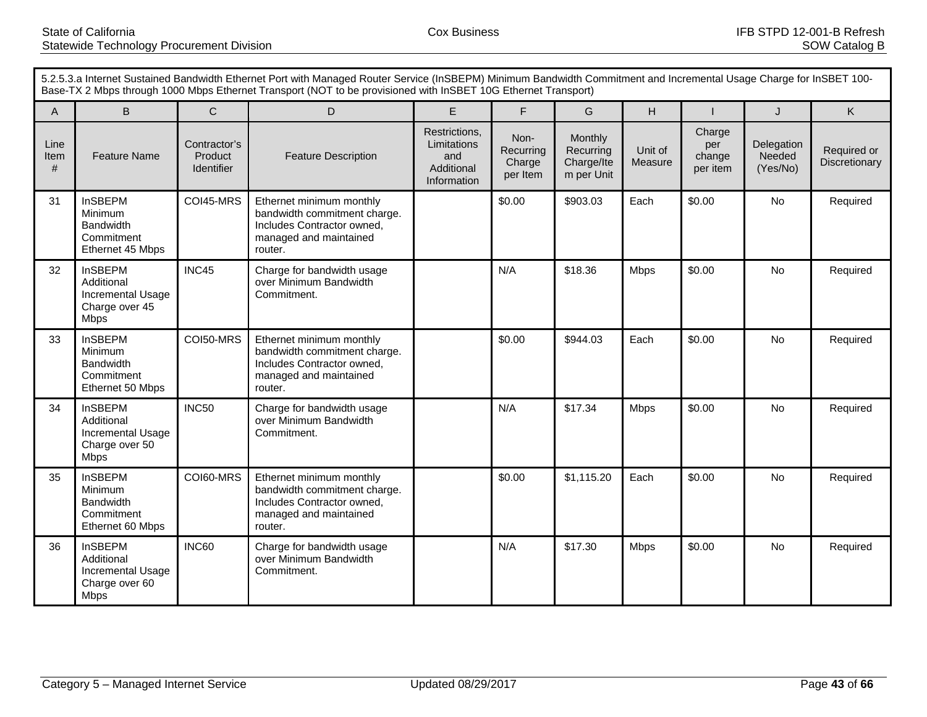|                   | 5.2.5.3.a Internet Sustained Bandwidth Ethernet Port with Managed Router Service (InSBEPM) Minimum Bandwidth Commitment and Incremental Usage Charge for InSBET 100-<br>Base-TX 2 Mbps through 1000 Mbps Ethernet Transport (NOT to be provisioned with InSBET 10G Ethernet Transport) |                                       |                                                                                                                             |                                                                  |                                         |                                                  |                    |                                     |                                  |                              |
|-------------------|----------------------------------------------------------------------------------------------------------------------------------------------------------------------------------------------------------------------------------------------------------------------------------------|---------------------------------------|-----------------------------------------------------------------------------------------------------------------------------|------------------------------------------------------------------|-----------------------------------------|--------------------------------------------------|--------------------|-------------------------------------|----------------------------------|------------------------------|
| A                 | B.                                                                                                                                                                                                                                                                                     | $\mathsf{C}$                          | D                                                                                                                           | E                                                                | F                                       | G                                                | H                  |                                     | J                                | K                            |
| Line<br>Item<br># | <b>Feature Name</b>                                                                                                                                                                                                                                                                    | Contractor's<br>Product<br>Identifier | <b>Feature Description</b>                                                                                                  | Restrictions,<br>Limitations<br>and<br>Additional<br>Information | Non-<br>Recurring<br>Charge<br>per Item | Monthly<br>Recurring<br>Charge/Ite<br>m per Unit | Unit of<br>Measure | Charge<br>per<br>change<br>per item | Delegation<br>Needed<br>(Yes/No) | Required or<br>Discretionary |
| 31                | <b>InSBEPM</b><br>Minimum<br><b>Bandwidth</b><br>Commitment<br>Ethernet 45 Mbps                                                                                                                                                                                                        | COI45-MRS                             | Ethernet minimum monthly<br>bandwidth commitment charge.<br>Includes Contractor owned,<br>managed and maintained<br>router. |                                                                  | \$0.00                                  | \$903.03                                         | Each               | \$0.00                              | <b>No</b>                        | Required                     |
| 32                | <b>InSBEPM</b><br>Additional<br>Incremental Usage<br>Charge over 45<br><b>Mbps</b>                                                                                                                                                                                                     | INC45                                 | Charge for bandwidth usage<br>over Minimum Bandwidth<br>Commitment.                                                         |                                                                  | N/A                                     | \$18.36                                          | <b>Mbps</b>        | \$0.00                              | <b>No</b>                        | Required                     |
| 33                | <b>InSBEPM</b><br>Minimum<br><b>Bandwidth</b><br>Commitment<br>Ethernet 50 Mbps                                                                                                                                                                                                        | COI50-MRS                             | Ethernet minimum monthly<br>bandwidth commitment charge.<br>Includes Contractor owned,<br>managed and maintained<br>router. |                                                                  | \$0.00                                  | \$944.03                                         | Each               | \$0.00                              | No                               | Required                     |
| 34                | <b>InSBEPM</b><br>Additional<br>Incremental Usage<br>Charge over 50<br><b>Mbps</b>                                                                                                                                                                                                     | <b>INC50</b>                          | Charge for bandwidth usage<br>over Minimum Bandwidth<br>Commitment.                                                         |                                                                  | N/A                                     | \$17.34                                          | <b>Mbps</b>        | \$0.00                              | No                               | Required                     |
| 35                | <b>InSBEPM</b><br>Minimum<br><b>Bandwidth</b><br>Commitment<br>Ethernet 60 Mbps                                                                                                                                                                                                        | COI60-MRS                             | Ethernet minimum monthly<br>bandwidth commitment charge.<br>Includes Contractor owned,<br>managed and maintained<br>router. |                                                                  | \$0.00                                  | \$1,115.20                                       | Each               | \$0.00                              | No                               | Required                     |
| 36                | <b>InSBEPM</b><br>Additional<br>Incremental Usage<br>Charge over 60<br><b>Mbps</b>                                                                                                                                                                                                     | <b>INC60</b>                          | Charge for bandwidth usage<br>over Minimum Bandwidth<br>Commitment.                                                         |                                                                  | N/A                                     | \$17.30                                          | <b>Mbps</b>        | \$0.00                              | No                               | Required                     |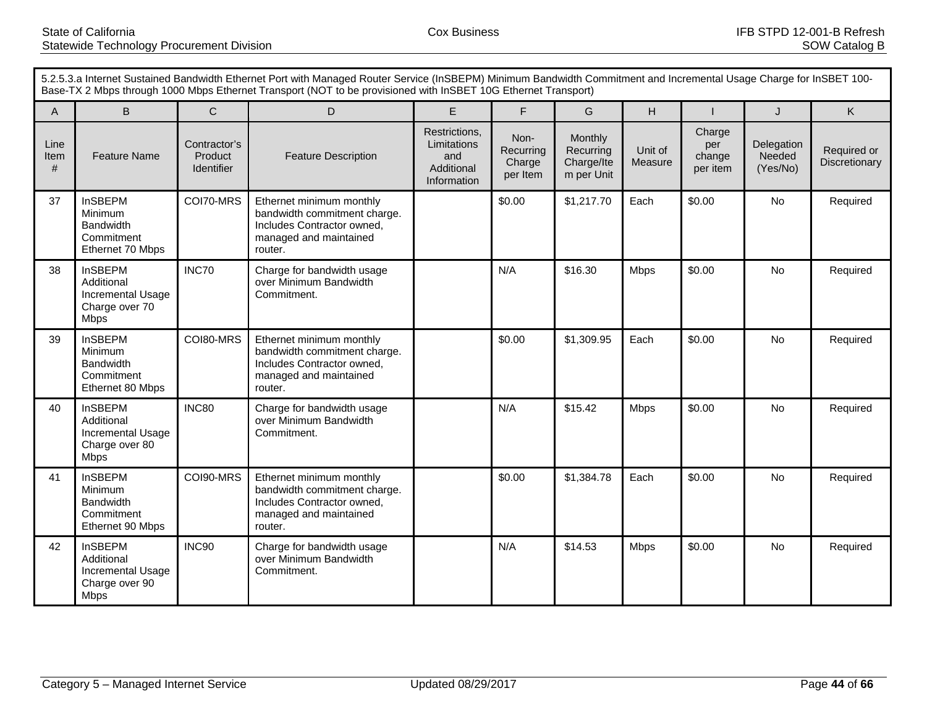|                   | 5.2.5.3.a Internet Sustained Bandwidth Ethernet Port with Managed Router Service (InSBEPM) Minimum Bandwidth Commitment and Incremental Usage Charge for InSBET 100-<br>Base-TX 2 Mbps through 1000 Mbps Ethernet Transport (NOT to be provisioned with InSBET 10G Ethernet Transport) |                                       |                                                                                                                             |                                                                  |                                         |                                                  |                    |                                     |                                  |                              |
|-------------------|----------------------------------------------------------------------------------------------------------------------------------------------------------------------------------------------------------------------------------------------------------------------------------------|---------------------------------------|-----------------------------------------------------------------------------------------------------------------------------|------------------------------------------------------------------|-----------------------------------------|--------------------------------------------------|--------------------|-------------------------------------|----------------------------------|------------------------------|
| A                 | B.                                                                                                                                                                                                                                                                                     | $\mathsf{C}$                          | D                                                                                                                           | E                                                                | F                                       | G                                                | H                  |                                     | J                                | K                            |
| Line<br>Item<br># | <b>Feature Name</b>                                                                                                                                                                                                                                                                    | Contractor's<br>Product<br>Identifier | <b>Feature Description</b>                                                                                                  | Restrictions,<br>Limitations<br>and<br>Additional<br>Information | Non-<br>Recurring<br>Charge<br>per Item | Monthly<br>Recurring<br>Charge/Ite<br>m per Unit | Unit of<br>Measure | Charge<br>per<br>change<br>per item | Delegation<br>Needed<br>(Yes/No) | Required or<br>Discretionary |
| 37                | <b>InSBEPM</b><br>Minimum<br><b>Bandwidth</b><br>Commitment<br>Ethernet 70 Mbps                                                                                                                                                                                                        | COI70-MRS                             | Ethernet minimum monthly<br>bandwidth commitment charge.<br>Includes Contractor owned,<br>managed and maintained<br>router. |                                                                  | \$0.00                                  | \$1,217.70                                       | Each               | \$0.00                              | <b>No</b>                        | Required                     |
| 38                | <b>InSBEPM</b><br>Additional<br>Incremental Usage<br>Charge over 70<br><b>Mbps</b>                                                                                                                                                                                                     | INC70                                 | Charge for bandwidth usage<br>over Minimum Bandwidth<br>Commitment.                                                         |                                                                  | N/A                                     | \$16.30                                          | <b>Mbps</b>        | \$0.00                              | <b>No</b>                        | Required                     |
| 39                | <b>InSBEPM</b><br>Minimum<br><b>Bandwidth</b><br>Commitment<br>Ethernet 80 Mbps                                                                                                                                                                                                        | COI80-MRS                             | Ethernet minimum monthly<br>bandwidth commitment charge.<br>Includes Contractor owned,<br>managed and maintained<br>router. |                                                                  | \$0.00                                  | \$1,309.95                                       | Each               | \$0.00                              | No                               | Required                     |
| 40                | <b>InSBEPM</b><br>Additional<br>Incremental Usage<br>Charge over 80<br><b>Mbps</b>                                                                                                                                                                                                     | <b>INC80</b>                          | Charge for bandwidth usage<br>over Minimum Bandwidth<br>Commitment.                                                         |                                                                  | N/A                                     | \$15.42                                          | <b>Mbps</b>        | \$0.00                              | No                               | Required                     |
| 41                | <b>InSBEPM</b><br>Minimum<br><b>Bandwidth</b><br>Commitment<br>Ethernet 90 Mbps                                                                                                                                                                                                        | COI90-MRS                             | Ethernet minimum monthly<br>bandwidth commitment charge.<br>Includes Contractor owned,<br>managed and maintained<br>router. |                                                                  | \$0.00                                  | \$1,384.78                                       | Each               | \$0.00                              | No                               | Required                     |
| 42                | <b>InSBEPM</b><br>Additional<br>Incremental Usage<br>Charge over 90<br><b>Mbps</b>                                                                                                                                                                                                     | INC90                                 | Charge for bandwidth usage<br>over Minimum Bandwidth<br>Commitment.                                                         |                                                                  | N/A                                     | \$14.53                                          | <b>Mbps</b>        | \$0.00                              | No                               | Required                     |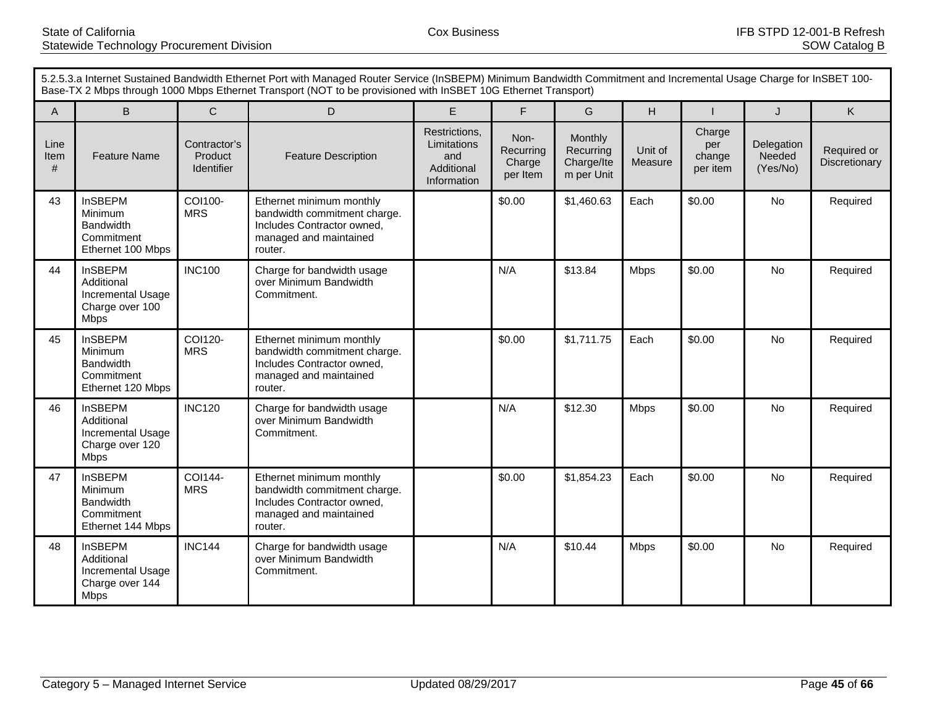|                   | 5.2.5.3.a Internet Sustained Bandwidth Ethernet Port with Managed Router Service (InSBEPM) Minimum Bandwidth Commitment and Incremental Usage Charge for InSBET 100-<br>Base-TX 2 Mbps through 1000 Mbps Ethernet Transport (NOT to be provisioned with InSBET 10G Ethernet Transport) |                                              |                                                                                                                             |                                                                  |                                         |                                                  |                    |                                     |                                  |                              |
|-------------------|----------------------------------------------------------------------------------------------------------------------------------------------------------------------------------------------------------------------------------------------------------------------------------------|----------------------------------------------|-----------------------------------------------------------------------------------------------------------------------------|------------------------------------------------------------------|-----------------------------------------|--------------------------------------------------|--------------------|-------------------------------------|----------------------------------|------------------------------|
| A                 | B                                                                                                                                                                                                                                                                                      | $\mathsf{C}$                                 | D                                                                                                                           | E.                                                               | E                                       | G                                                | H                  |                                     | J                                | K                            |
| Line<br>Item<br># | <b>Feature Name</b>                                                                                                                                                                                                                                                                    | Contractor's<br>Product<br><b>Identifier</b> | <b>Feature Description</b>                                                                                                  | Restrictions,<br>Limitations<br>and<br>Additional<br>Information | Non-<br>Recurring<br>Charge<br>per Item | Monthly<br>Recurring<br>Charge/Ite<br>m per Unit | Unit of<br>Measure | Charge<br>per<br>change<br>per item | Delegation<br>Needed<br>(Yes/No) | Required or<br>Discretionary |
| 43                | <b>InSBEPM</b><br>Minimum<br><b>Bandwidth</b><br>Commitment<br>Ethernet 100 Mbps                                                                                                                                                                                                       | COI100-<br><b>MRS</b>                        | Ethernet minimum monthly<br>bandwidth commitment charge.<br>Includes Contractor owned,<br>managed and maintained<br>router. |                                                                  | \$0.00                                  | \$1,460.63                                       | Each               | \$0.00                              | <b>No</b>                        | Required                     |
| 44                | <b>InSBEPM</b><br>Additional<br>Incremental Usage<br>Charge over 100<br><b>Mbps</b>                                                                                                                                                                                                    | <b>INC100</b>                                | Charge for bandwidth usage<br>over Minimum Bandwidth<br>Commitment.                                                         |                                                                  | N/A                                     | \$13.84                                          | <b>Mbps</b>        | \$0.00                              | <b>No</b>                        | Required                     |
| 45                | <b>InSBEPM</b><br>Minimum<br>Bandwidth<br>Commitment<br>Ethernet 120 Mbps                                                                                                                                                                                                              | COI120-<br><b>MRS</b>                        | Ethernet minimum monthly<br>bandwidth commitment charge.<br>Includes Contractor owned,<br>managed and maintained<br>router. |                                                                  | \$0.00                                  | \$1,711.75                                       | Each               | \$0.00                              | <b>No</b>                        | Required                     |
| 46                | <b>InSBEPM</b><br>Additional<br>Incremental Usage<br>Charge over 120<br><b>Mbps</b>                                                                                                                                                                                                    | <b>INC120</b>                                | Charge for bandwidth usage<br>over Minimum Bandwidth<br>Commitment.                                                         |                                                                  | N/A                                     | \$12.30                                          | <b>Mbps</b>        | \$0.00                              | <b>No</b>                        | Required                     |
| 47                | <b>InSBEPM</b><br>Minimum<br><b>Bandwidth</b><br>Commitment<br>Ethernet 144 Mbps                                                                                                                                                                                                       | COI144-<br><b>MRS</b>                        | Ethernet minimum monthly<br>bandwidth commitment charge.<br>Includes Contractor owned,<br>managed and maintained<br>router. |                                                                  | \$0.00                                  | \$1,854.23                                       | Each               | \$0.00                              | No                               | Required                     |
| 48                | <b>InSBEPM</b><br>Additional<br>Incremental Usage<br>Charge over 144<br><b>Mbps</b>                                                                                                                                                                                                    | <b>INC144</b>                                | Charge for bandwidth usage<br>over Minimum Bandwidth<br>Commitment.                                                         |                                                                  | N/A                                     | \$10.44                                          | <b>Mbps</b>        | \$0.00                              | No                               | Required                     |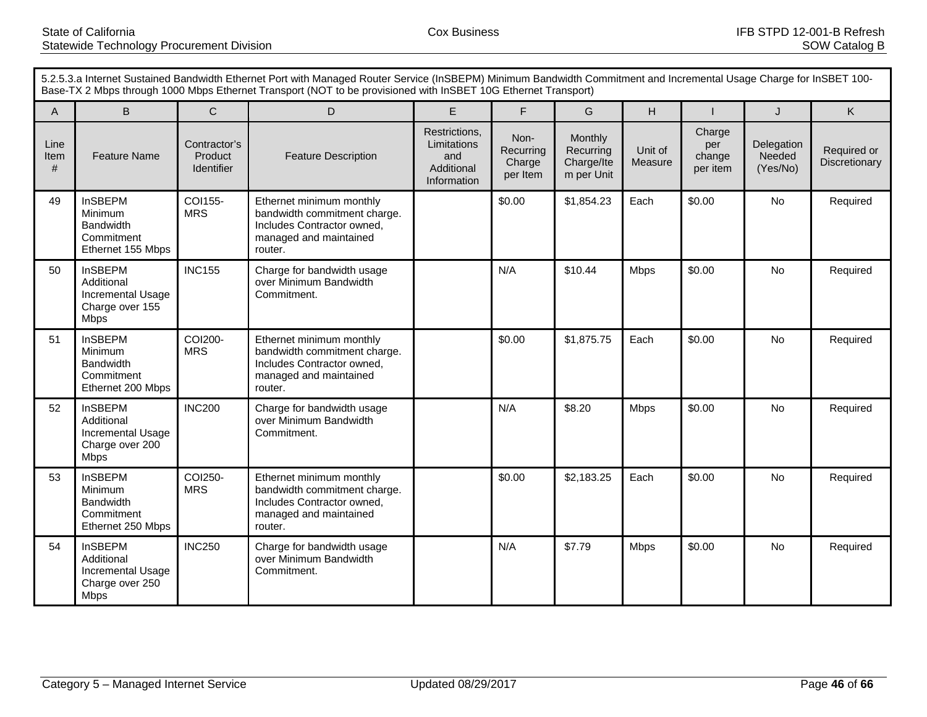|                   | 5.2.5.3.a Internet Sustained Bandwidth Ethernet Port with Managed Router Service (InSBEPM) Minimum Bandwidth Commitment and Incremental Usage Charge for InSBET 100-<br>Base-TX 2 Mbps through 1000 Mbps Ethernet Transport (NOT to be provisioned with InSBET 10G Ethernet Transport) |                                       |                                                                                                                             |                                                                  |                                         |                                                  |                    |                                     |                                  |                              |
|-------------------|----------------------------------------------------------------------------------------------------------------------------------------------------------------------------------------------------------------------------------------------------------------------------------------|---------------------------------------|-----------------------------------------------------------------------------------------------------------------------------|------------------------------------------------------------------|-----------------------------------------|--------------------------------------------------|--------------------|-------------------------------------|----------------------------------|------------------------------|
| A                 | B.                                                                                                                                                                                                                                                                                     | $\mathsf{C}$                          | D                                                                                                                           | E                                                                | F                                       | G                                                | H                  |                                     | J                                | K                            |
| Line<br>Item<br># | <b>Feature Name</b>                                                                                                                                                                                                                                                                    | Contractor's<br>Product<br>Identifier | <b>Feature Description</b>                                                                                                  | Restrictions,<br>Limitations<br>and<br>Additional<br>Information | Non-<br>Recurring<br>Charge<br>per Item | Monthly<br>Recurring<br>Charge/Ite<br>m per Unit | Unit of<br>Measure | Charge<br>per<br>change<br>per item | Delegation<br>Needed<br>(Yes/No) | Required or<br>Discretionary |
| 49                | <b>InSBEPM</b><br>Minimum<br><b>Bandwidth</b><br>Commitment<br>Ethernet 155 Mbps                                                                                                                                                                                                       | COI155-<br><b>MRS</b>                 | Ethernet minimum monthly<br>bandwidth commitment charge.<br>Includes Contractor owned,<br>managed and maintained<br>router. |                                                                  | \$0.00                                  | \$1,854.23                                       | Each               | \$0.00                              | <b>No</b>                        | Required                     |
| 50                | <b>InSBEPM</b><br>Additional<br>Incremental Usage<br>Charge over 155<br><b>Mbps</b>                                                                                                                                                                                                    | <b>INC155</b>                         | Charge for bandwidth usage<br>over Minimum Bandwidth<br>Commitment.                                                         |                                                                  | N/A                                     | \$10.44                                          | <b>Mbps</b>        | \$0.00                              | <b>No</b>                        | Required                     |
| 51                | <b>InSBEPM</b><br>Minimum<br><b>Bandwidth</b><br>Commitment<br>Ethernet 200 Mbps                                                                                                                                                                                                       | COI200-<br><b>MRS</b>                 | Ethernet minimum monthly<br>bandwidth commitment charge.<br>Includes Contractor owned,<br>managed and maintained<br>router. |                                                                  | \$0.00                                  | \$1,875.75                                       | Each               | \$0.00                              | No                               | Required                     |
| 52                | <b>InSBEPM</b><br>Additional<br>Incremental Usage<br>Charge over 200<br><b>Mbps</b>                                                                                                                                                                                                    | <b>INC200</b>                         | Charge for bandwidth usage<br>over Minimum Bandwidth<br>Commitment.                                                         |                                                                  | N/A                                     | \$8.20                                           | <b>Mbps</b>        | \$0.00                              | No                               | Required                     |
| 53                | <b>InSBEPM</b><br>Minimum<br><b>Bandwidth</b><br>Commitment<br>Ethernet 250 Mbps                                                                                                                                                                                                       | COI250-<br><b>MRS</b>                 | Ethernet minimum monthly<br>bandwidth commitment charge.<br>Includes Contractor owned,<br>managed and maintained<br>router. |                                                                  | \$0.00                                  | \$2,183.25                                       | Each               | \$0.00                              | No                               | Required                     |
| 54                | <b>InSBEPM</b><br>Additional<br>Incremental Usage<br>Charge over 250<br><b>Mbps</b>                                                                                                                                                                                                    | <b>INC250</b>                         | Charge for bandwidth usage<br>over Minimum Bandwidth<br>Commitment.                                                         |                                                                  | N/A                                     | \$7.79                                           | <b>Mbps</b>        | \$0.00                              | No                               | Required                     |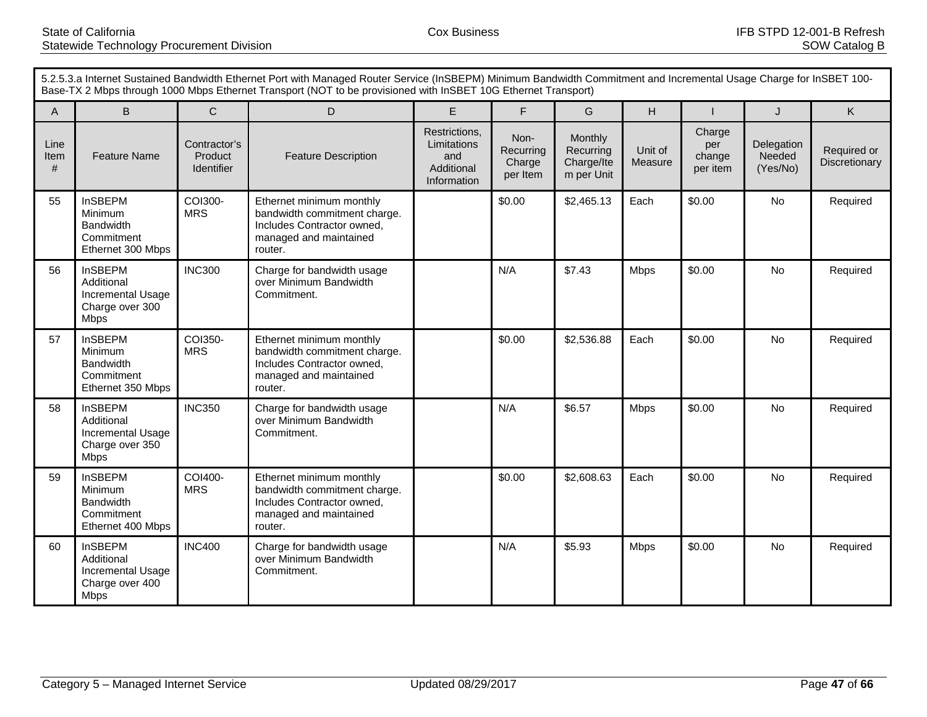|                   | 5.2.5.3.a Internet Sustained Bandwidth Ethernet Port with Managed Router Service (InSBEPM) Minimum Bandwidth Commitment and Incremental Usage Charge for InSBET 100-<br>Base-TX 2 Mbps through 1000 Mbps Ethernet Transport (NOT to be provisioned with InSBET 10G Ethernet Transport) |                                       |                                                                                                                             |                                                                  |                                         |                                                  |                    |                                     |                                  |                              |
|-------------------|----------------------------------------------------------------------------------------------------------------------------------------------------------------------------------------------------------------------------------------------------------------------------------------|---------------------------------------|-----------------------------------------------------------------------------------------------------------------------------|------------------------------------------------------------------|-----------------------------------------|--------------------------------------------------|--------------------|-------------------------------------|----------------------------------|------------------------------|
| A                 | B.                                                                                                                                                                                                                                                                                     | $\mathsf{C}$                          | D                                                                                                                           | E                                                                | F                                       | G                                                | H                  |                                     | $\mathsf{J}$                     | K                            |
| Line<br>Item<br># | <b>Feature Name</b>                                                                                                                                                                                                                                                                    | Contractor's<br>Product<br>Identifier | <b>Feature Description</b>                                                                                                  | Restrictions,<br>Limitations<br>and<br>Additional<br>Information | Non-<br>Recurring<br>Charge<br>per Item | Monthly<br>Recurring<br>Charge/Ite<br>m per Unit | Unit of<br>Measure | Charge<br>per<br>change<br>per item | Delegation<br>Needed<br>(Yes/No) | Required or<br>Discretionary |
| 55                | <b>InSBEPM</b><br>Minimum<br><b>Bandwidth</b><br>Commitment<br>Ethernet 300 Mbps                                                                                                                                                                                                       | COI300-<br><b>MRS</b>                 | Ethernet minimum monthly<br>bandwidth commitment charge.<br>Includes Contractor owned,<br>managed and maintained<br>router. |                                                                  | \$0.00                                  | \$2,465.13                                       | Each               | \$0.00                              | <b>No</b>                        | Required                     |
| 56                | <b>InSBEPM</b><br>Additional<br>Incremental Usage<br>Charge over 300<br><b>Mbps</b>                                                                                                                                                                                                    | <b>INC300</b>                         | Charge for bandwidth usage<br>over Minimum Bandwidth<br>Commitment.                                                         |                                                                  | N/A                                     | \$7.43                                           | <b>Mbps</b>        | \$0.00                              | <b>No</b>                        | Required                     |
| 57                | <b>InSBEPM</b><br>Minimum<br><b>Bandwidth</b><br>Commitment<br>Ethernet 350 Mbps                                                                                                                                                                                                       | COI350-<br><b>MRS</b>                 | Ethernet minimum monthly<br>bandwidth commitment charge.<br>Includes Contractor owned,<br>managed and maintained<br>router. |                                                                  | \$0.00                                  | \$2,536.88                                       | Each               | \$0.00                              | No                               | Required                     |
| 58                | <b>InSBEPM</b><br>Additional<br>Incremental Usage<br>Charge over 350<br><b>Mbps</b>                                                                                                                                                                                                    | <b>INC350</b>                         | Charge for bandwidth usage<br>over Minimum Bandwidth<br>Commitment.                                                         |                                                                  | N/A                                     | \$6.57                                           | <b>Mbps</b>        | \$0.00                              | No                               | Required                     |
| 59                | <b>InSBEPM</b><br>Minimum<br><b>Bandwidth</b><br>Commitment<br>Ethernet 400 Mbps                                                                                                                                                                                                       | COI400-<br><b>MRS</b>                 | Ethernet minimum monthly<br>bandwidth commitment charge.<br>Includes Contractor owned,<br>managed and maintained<br>router. |                                                                  | \$0.00                                  | \$2,608.63                                       | Each               | \$0.00                              | No                               | Required                     |
| 60                | <b>InSBEPM</b><br>Additional<br>Incremental Usage<br>Charge over 400<br><b>Mbps</b>                                                                                                                                                                                                    | <b>INC400</b>                         | Charge for bandwidth usage<br>over Minimum Bandwidth<br>Commitment.                                                         |                                                                  | N/A                                     | \$5.93                                           | <b>Mbps</b>        | \$0.00                              | No                               | Required                     |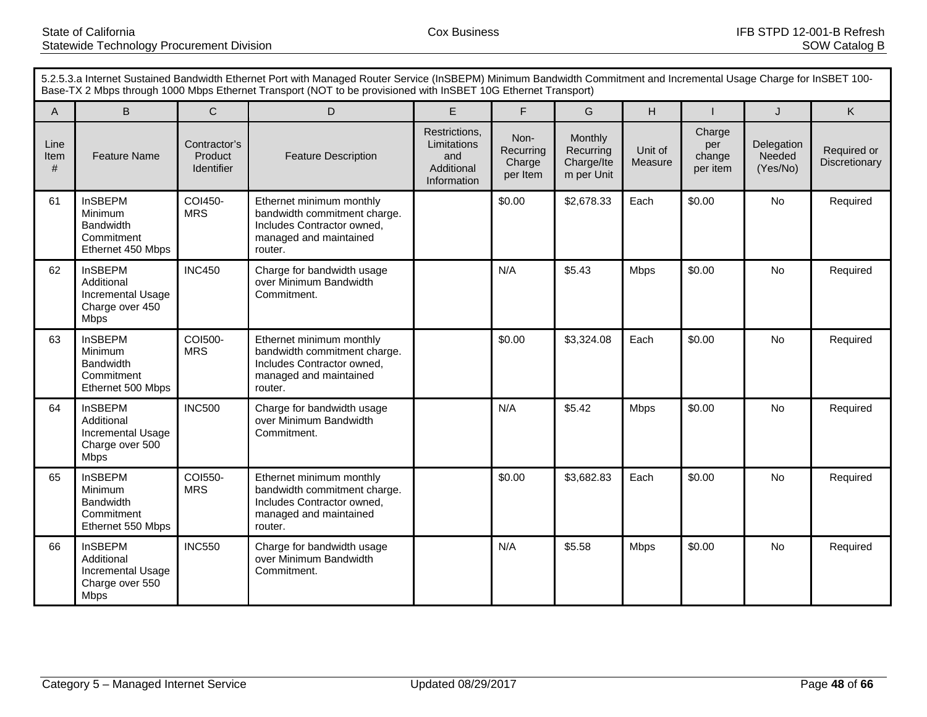|                   | 5.2.5.3.a Internet Sustained Bandwidth Ethernet Port with Managed Router Service (InSBEPM) Minimum Bandwidth Commitment and Incremental Usage Charge for InSBET 100-<br>Base-TX 2 Mbps through 1000 Mbps Ethernet Transport (NOT to be provisioned with InSBET 10G Ethernet Transport) |                                       |                                                                                                                             |                                                                  |                                         |                                                  |                    |                                     |                                  |                              |
|-------------------|----------------------------------------------------------------------------------------------------------------------------------------------------------------------------------------------------------------------------------------------------------------------------------------|---------------------------------------|-----------------------------------------------------------------------------------------------------------------------------|------------------------------------------------------------------|-----------------------------------------|--------------------------------------------------|--------------------|-------------------------------------|----------------------------------|------------------------------|
| A                 | B.                                                                                                                                                                                                                                                                                     | $\mathsf{C}$                          | D                                                                                                                           | E                                                                | F                                       | G                                                | H                  |                                     | $\mathsf{J}$                     | K                            |
| Line<br>Item<br># | <b>Feature Name</b>                                                                                                                                                                                                                                                                    | Contractor's<br>Product<br>Identifier | <b>Feature Description</b>                                                                                                  | Restrictions,<br>Limitations<br>and<br>Additional<br>Information | Non-<br>Recurring<br>Charge<br>per Item | Monthly<br>Recurring<br>Charge/Ite<br>m per Unit | Unit of<br>Measure | Charge<br>per<br>change<br>per item | Delegation<br>Needed<br>(Yes/No) | Required or<br>Discretionary |
| 61                | <b>InSBEPM</b><br>Minimum<br><b>Bandwidth</b><br>Commitment<br>Ethernet 450 Mbps                                                                                                                                                                                                       | COI450-<br><b>MRS</b>                 | Ethernet minimum monthly<br>bandwidth commitment charge.<br>Includes Contractor owned,<br>managed and maintained<br>router. |                                                                  | \$0.00                                  | \$2,678.33                                       | Each               | \$0.00                              | <b>No</b>                        | Required                     |
| 62                | <b>InSBEPM</b><br>Additional<br>Incremental Usage<br>Charge over 450<br><b>Mbps</b>                                                                                                                                                                                                    | <b>INC450</b>                         | Charge for bandwidth usage<br>over Minimum Bandwidth<br>Commitment.                                                         |                                                                  | N/A                                     | \$5.43                                           | <b>Mbps</b>        | \$0.00                              | <b>No</b>                        | Required                     |
| 63                | <b>InSBEPM</b><br>Minimum<br><b>Bandwidth</b><br>Commitment<br>Ethernet 500 Mbps                                                                                                                                                                                                       | COI500-<br><b>MRS</b>                 | Ethernet minimum monthly<br>bandwidth commitment charge.<br>Includes Contractor owned,<br>managed and maintained<br>router. |                                                                  | \$0.00                                  | \$3,324.08                                       | Each               | \$0.00                              | No                               | Required                     |
| 64                | <b>InSBEPM</b><br>Additional<br>Incremental Usage<br>Charge over 500<br><b>Mbps</b>                                                                                                                                                                                                    | <b>INC500</b>                         | Charge for bandwidth usage<br>over Minimum Bandwidth<br>Commitment.                                                         |                                                                  | N/A                                     | \$5.42                                           | <b>Mbps</b>        | \$0.00                              | No                               | Required                     |
| 65                | <b>InSBEPM</b><br>Minimum<br><b>Bandwidth</b><br>Commitment<br>Ethernet 550 Mbps                                                                                                                                                                                                       | COI550-<br><b>MRS</b>                 | Ethernet minimum monthly<br>bandwidth commitment charge.<br>Includes Contractor owned,<br>managed and maintained<br>router. |                                                                  | \$0.00                                  | \$3,682.83                                       | Each               | \$0.00                              | No                               | Required                     |
| 66                | <b>InSBEPM</b><br>Additional<br>Incremental Usage<br>Charge over 550<br><b>Mbps</b>                                                                                                                                                                                                    | <b>INC550</b>                         | Charge for bandwidth usage<br>over Minimum Bandwidth<br>Commitment.                                                         |                                                                  | N/A                                     | \$5.58                                           | <b>Mbps</b>        | \$0.00                              | No                               | Required                     |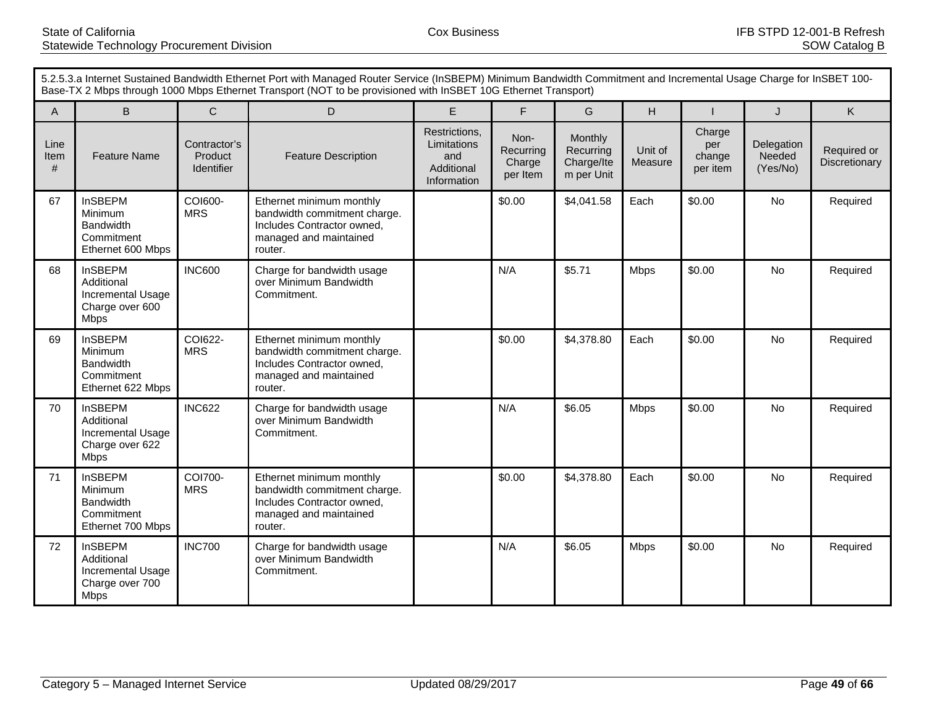|                   | 5.2.5.3.a Internet Sustained Bandwidth Ethernet Port with Managed Router Service (InSBEPM) Minimum Bandwidth Commitment and Incremental Usage Charge for InSBET 100-<br>Base-TX 2 Mbps through 1000 Mbps Ethernet Transport (NOT to be provisioned with InSBET 10G Ethernet Transport) |                                       |                                                                                                                             |                                                                  |                                         |                                                  |                    |                                     |                                  |                              |
|-------------------|----------------------------------------------------------------------------------------------------------------------------------------------------------------------------------------------------------------------------------------------------------------------------------------|---------------------------------------|-----------------------------------------------------------------------------------------------------------------------------|------------------------------------------------------------------|-----------------------------------------|--------------------------------------------------|--------------------|-------------------------------------|----------------------------------|------------------------------|
| A                 | B.                                                                                                                                                                                                                                                                                     | $\mathsf{C}$                          | D                                                                                                                           | E                                                                | F                                       | G                                                | H                  |                                     | $\mathsf{J}$                     | K                            |
| Line<br>Item<br># | <b>Feature Name</b>                                                                                                                                                                                                                                                                    | Contractor's<br>Product<br>Identifier | <b>Feature Description</b>                                                                                                  | Restrictions,<br>Limitations<br>and<br>Additional<br>Information | Non-<br>Recurring<br>Charge<br>per Item | Monthly<br>Recurring<br>Charge/Ite<br>m per Unit | Unit of<br>Measure | Charge<br>per<br>change<br>per item | Delegation<br>Needed<br>(Yes/No) | Required or<br>Discretionary |
| 67                | <b>InSBEPM</b><br>Minimum<br><b>Bandwidth</b><br>Commitment<br>Ethernet 600 Mbps                                                                                                                                                                                                       | COI600-<br><b>MRS</b>                 | Ethernet minimum monthly<br>bandwidth commitment charge.<br>Includes Contractor owned,<br>managed and maintained<br>router. |                                                                  | \$0.00                                  | \$4,041.58                                       | Each               | \$0.00                              | <b>No</b>                        | Required                     |
| 68                | <b>InSBEPM</b><br>Additional<br>Incremental Usage<br>Charge over 600<br><b>Mbps</b>                                                                                                                                                                                                    | <b>INC600</b>                         | Charge for bandwidth usage<br>over Minimum Bandwidth<br>Commitment.                                                         |                                                                  | N/A                                     | \$5.71                                           | <b>Mbps</b>        | \$0.00                              | <b>No</b>                        | Required                     |
| 69                | <b>InSBEPM</b><br>Minimum<br><b>Bandwidth</b><br>Commitment<br>Ethernet 622 Mbps                                                                                                                                                                                                       | COI622-<br><b>MRS</b>                 | Ethernet minimum monthly<br>bandwidth commitment charge.<br>Includes Contractor owned,<br>managed and maintained<br>router. |                                                                  | \$0.00                                  | \$4,378.80                                       | Each               | \$0.00                              | No                               | Required                     |
| 70                | <b>InSBEPM</b><br>Additional<br>Incremental Usage<br>Charge over 622<br><b>Mbps</b>                                                                                                                                                                                                    | <b>INC622</b>                         | Charge for bandwidth usage<br>over Minimum Bandwidth<br>Commitment.                                                         |                                                                  | N/A                                     | \$6.05                                           | <b>Mbps</b>        | \$0.00                              | No                               | Required                     |
| 71                | <b>InSBEPM</b><br>Minimum<br><b>Bandwidth</b><br>Commitment<br>Ethernet 700 Mbps                                                                                                                                                                                                       | COI700-<br><b>MRS</b>                 | Ethernet minimum monthly<br>bandwidth commitment charge.<br>Includes Contractor owned,<br>managed and maintained<br>router. |                                                                  | \$0.00                                  | \$4,378.80                                       | Each               | \$0.00                              | No                               | Required                     |
| 72                | <b>InSBEPM</b><br>Additional<br>Incremental Usage<br>Charge over 700<br><b>Mbps</b>                                                                                                                                                                                                    | <b>INC700</b>                         | Charge for bandwidth usage<br>over Minimum Bandwidth<br>Commitment.                                                         |                                                                  | N/A                                     | \$6.05                                           | <b>Mbps</b>        | \$0.00                              | No                               | Required                     |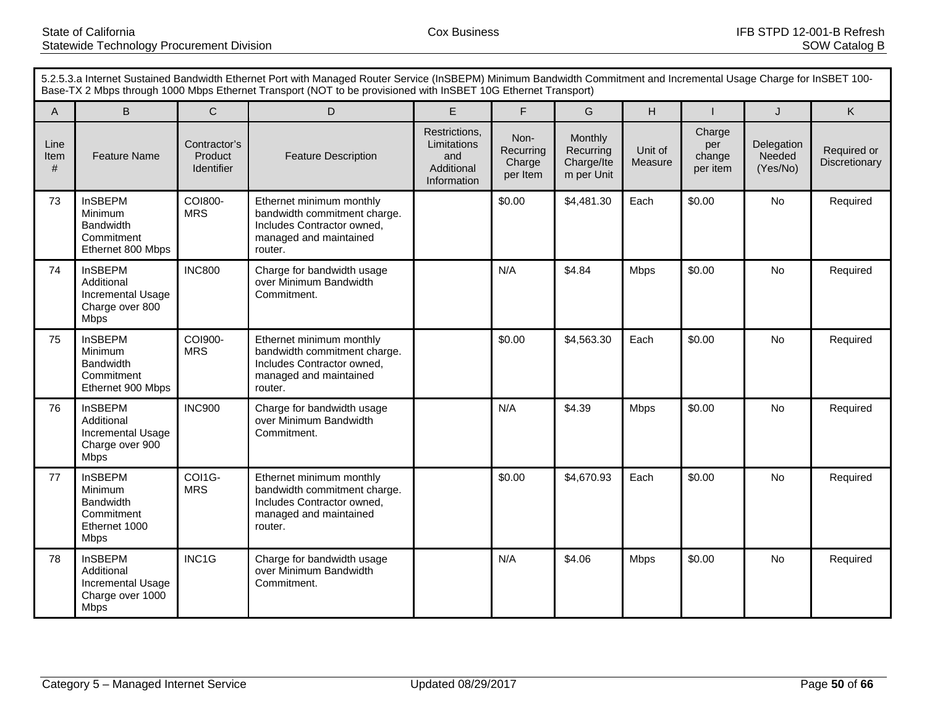| 5.2.5.3.a Internet Sustained Bandwidth Ethernet Port with Managed Router Service (InSBEPM) Minimum Bandwidth Commitment and Incremental Usage Charge for InSBET 100-<br>Base-TX 2 Mbps through 1000 Mbps Ethernet Transport (NOT to be provisioned with InSBET 10G Ethernet Transport) |                                                                                             |                                       |                                                                                                                             |                                                                  |                                         |                                                  |                    |                                     |                                  |                              |
|----------------------------------------------------------------------------------------------------------------------------------------------------------------------------------------------------------------------------------------------------------------------------------------|---------------------------------------------------------------------------------------------|---------------------------------------|-----------------------------------------------------------------------------------------------------------------------------|------------------------------------------------------------------|-----------------------------------------|--------------------------------------------------|--------------------|-------------------------------------|----------------------------------|------------------------------|
| A                                                                                                                                                                                                                                                                                      | B.                                                                                          | $\mathsf{C}$                          | D                                                                                                                           | E                                                                | F                                       | G                                                | H                  |                                     | J                                | K.                           |
| Line<br>Item<br>#                                                                                                                                                                                                                                                                      | <b>Feature Name</b>                                                                         | Contractor's<br>Product<br>Identifier | <b>Feature Description</b>                                                                                                  | Restrictions,<br>Limitations<br>and<br>Additional<br>Information | Non-<br>Recurring<br>Charge<br>per Item | Monthly<br>Recurring<br>Charge/Ite<br>m per Unit | Unit of<br>Measure | Charge<br>per<br>change<br>per item | Delegation<br>Needed<br>(Yes/No) | Required or<br>Discretionary |
| 73                                                                                                                                                                                                                                                                                     | <b>InSBEPM</b><br>Minimum<br><b>Bandwidth</b><br>Commitment<br>Ethernet 800 Mbps            | COI800-<br><b>MRS</b>                 | Ethernet minimum monthly<br>bandwidth commitment charge.<br>Includes Contractor owned,<br>managed and maintained<br>router. |                                                                  | \$0.00                                  | \$4,481.30                                       | Each               | \$0.00                              | No                               | Required                     |
| 74                                                                                                                                                                                                                                                                                     | <b>InSBEPM</b><br>Additional<br>Incremental Usage<br>Charge over 800<br><b>Mbps</b>         | <b>INC800</b>                         | Charge for bandwidth usage<br>over Minimum Bandwidth<br>Commitment.                                                         |                                                                  | N/A                                     | \$4.84                                           | <b>Mbps</b>        | \$0.00                              | <b>No</b>                        | Required                     |
| 75                                                                                                                                                                                                                                                                                     | <b>InSBEPM</b><br>Minimum<br><b>Bandwidth</b><br>Commitment<br>Ethernet 900 Mbps            | COI900-<br><b>MRS</b>                 | Ethernet minimum monthly<br>bandwidth commitment charge.<br>Includes Contractor owned.<br>managed and maintained<br>router. |                                                                  | \$0.00                                  | \$4,563.30                                       | Each               | \$0.00                              | No                               | Required                     |
| 76                                                                                                                                                                                                                                                                                     | <b>InSBEPM</b><br>Additional<br>Incremental Usage<br>Charge over 900<br><b>Mbps</b>         | <b>INC900</b>                         | Charge for bandwidth usage<br>over Minimum Bandwidth<br>Commitment.                                                         |                                                                  | N/A                                     | \$4.39                                           | <b>Mbps</b>        | \$0.00                              | No                               | Required                     |
| 77                                                                                                                                                                                                                                                                                     | <b>InSBEPM</b><br>Minimum<br><b>Bandwidth</b><br>Commitment<br>Ethernet 1000<br><b>Mbps</b> | COI1G-<br><b>MRS</b>                  | Ethernet minimum monthly<br>bandwidth commitment charge.<br>Includes Contractor owned,<br>managed and maintained<br>router. |                                                                  | \$0.00                                  | \$4,670.93                                       | Each               | \$0.00                              | <b>No</b>                        | Required                     |
| 78                                                                                                                                                                                                                                                                                     | <b>InSBEPM</b><br>Additional<br><b>Incremental Usage</b><br>Charge over 1000<br><b>Mbps</b> | INC1G                                 | Charge for bandwidth usage<br>over Minimum Bandwidth<br>Commitment.                                                         |                                                                  | N/A                                     | \$4.06                                           | <b>Mbps</b>        | \$0.00                              | No                               | Required                     |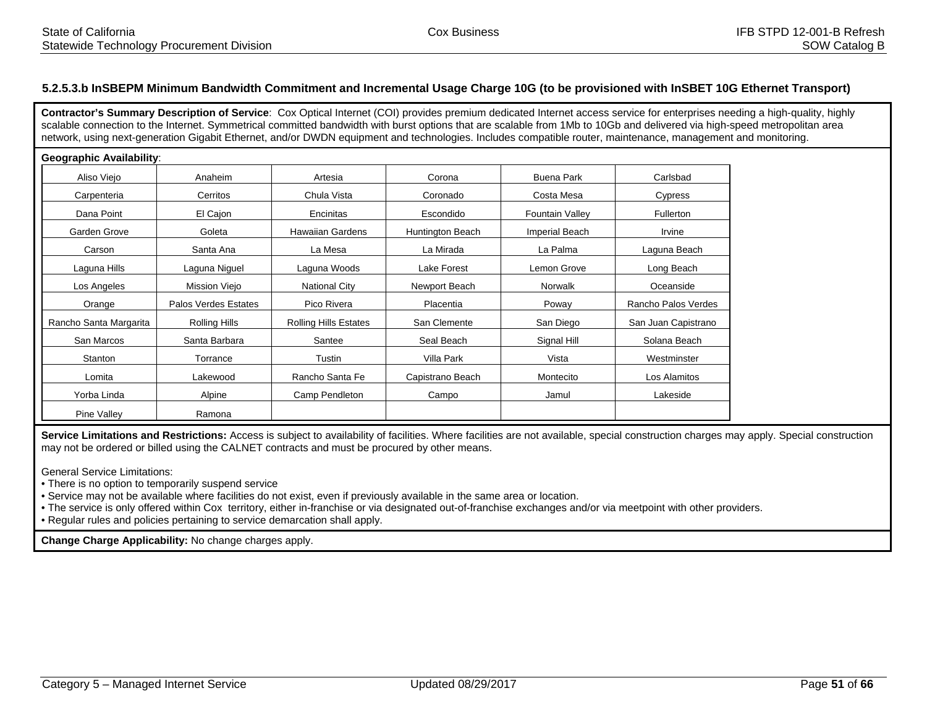## **5.2.5.3.b InSBEPM Minimum Bandwidth Commitment and Incremental Usage Charge 10G (to be provisioned with InSBET 10G Ethernet Transport)**

**Contractor's Summary Description of Service**: Cox Optical Internet (COI) provides premium dedicated Internet access service for enterprises needing a high-quality, highly scalable connection to the Internet. Symmetrical committed bandwidth with burst options that are scalable from 1Mb to 10Gb and delivered via high-speed metropolitan area network, using next-generation Gigabit Ethernet, and/or DWDN equipment and technologies. Includes compatible router, maintenance, management and monitoring.

#### **Geographic Availability**:

| Aliso Viejo            | Anaheim              | Artesia                      | Corona           | <b>Buena Park</b>      | Carlsbad            |
|------------------------|----------------------|------------------------------|------------------|------------------------|---------------------|
| Carpenteria            | Cerritos             | Chula Vista                  | Coronado         | Costa Mesa             | Cypress             |
| Dana Point             | El Cajon             | Encinitas                    | Escondido        | <b>Fountain Valley</b> | <b>Fullerton</b>    |
| Garden Grove           | Goleta               | <b>Hawaiian Gardens</b>      | Huntington Beach | <b>Imperial Beach</b>  | Irvine              |
| Carson                 | Santa Ana            | La Mesa                      | La Mirada        | La Palma               | Laguna Beach        |
| Laguna Hills           | Laguna Niguel        | Laguna Woods                 | Lake Forest      | Lemon Grove            | Long Beach          |
| Los Angeles            | Mission Viejo        | <b>National City</b>         | Newport Beach    | Norwalk                | Oceanside           |
| Orange                 | Palos Verdes Estates | Pico Rivera                  | Placentia        | Poway                  | Rancho Palos Verdes |
| Rancho Santa Margarita | Rolling Hills        | <b>Rolling Hills Estates</b> | San Clemente     | San Diego              | San Juan Capistrano |
| San Marcos             | Santa Barbara        | Santee                       | Seal Beach       | Signal Hill            | Solana Beach        |
| Stanton                | Torrance             | Tustin                       | Villa Park       | Vista                  | Westminster         |
| Lomita                 | Lakewood             | Rancho Santa Fe              | Capistrano Beach | Montecito              | Los Alamitos        |
| Yorba Linda            | Alpine               | Camp Pendleton               | Campo            | Jamul                  | Lakeside            |
| Pine Valley            | Ramona               |                              |                  |                        |                     |

Service Limitations and Restrictions: Access is subject to availability of facilities. Where facilities are not available, special construction charges may apply. Special construction may not be ordered or billed using the CALNET contracts and must be procured by other means.

General Service Limitations:

• There is no option to temporarily suspend service

• Service may not be available where facilities do not exist, even if previously available in the same area or location.

• The service is only offered within Cox territory, either in-franchise or via designated out-of-franchise exchanges and/or via meetpoint with other providers.

• Regular rules and policies pertaining to service demarcation shall apply.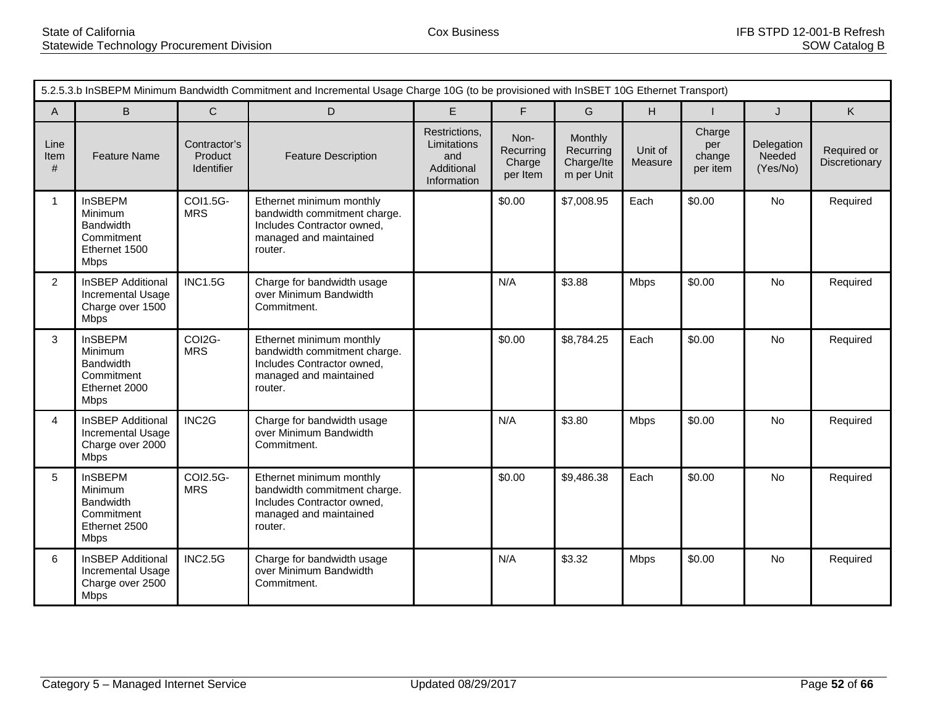|                      | 5.2.5.3.b InSBEPM Minimum Bandwidth Commitment and Incremental Usage Charge 10G (to be provisioned with InSBET 10G Ethernet Transport) |                                       |                                                                                                                             |                                                                  |                                         |                                                  |                    |                                     |                                  |                              |  |  |  |
|----------------------|----------------------------------------------------------------------------------------------------------------------------------------|---------------------------------------|-----------------------------------------------------------------------------------------------------------------------------|------------------------------------------------------------------|-----------------------------------------|--------------------------------------------------|--------------------|-------------------------------------|----------------------------------|------------------------------|--|--|--|
| $\overline{A}$       | B                                                                                                                                      | $\mathsf{C}$                          | D                                                                                                                           | E                                                                | F                                       | G                                                | H                  |                                     | K.<br>$\mathsf J$                |                              |  |  |  |
| Line<br>Item<br>$\#$ | <b>Feature Name</b>                                                                                                                    | Contractor's<br>Product<br>Identifier | <b>Feature Description</b>                                                                                                  | Restrictions,<br>Limitations<br>and<br>Additional<br>Information | Non-<br>Recurring<br>Charge<br>per Item | Monthly<br>Recurring<br>Charge/Ite<br>m per Unit | Unit of<br>Measure | Charge<br>per<br>change<br>per item | Delegation<br>Needed<br>(Yes/No) | Required or<br>Discretionary |  |  |  |
| $\mathbf{1}$         | <b>InSBEPM</b><br>Minimum<br><b>Bandwidth</b><br>Commitment<br>Ethernet 1500<br><b>Mbps</b>                                            | COI1.5G-<br><b>MRS</b>                | Ethernet minimum monthly<br>bandwidth commitment charge.<br>Includes Contractor owned,<br>managed and maintained<br>router. |                                                                  | \$0.00                                  | \$7,008.95                                       | Each               | \$0.00                              | No                               | Required                     |  |  |  |
| $\overline{2}$       | <b>InSBEP Additional</b><br>Incremental Usage<br>Charge over 1500<br><b>Mbps</b>                                                       | <b>INC1.5G</b>                        | Charge for bandwidth usage<br>over Minimum Bandwidth<br>Commitment.                                                         |                                                                  | N/A                                     | \$3.88                                           | <b>Mbps</b>        | \$0.00                              | No                               | Required                     |  |  |  |
| 3                    | <b>InSBEPM</b><br>Minimum<br>Bandwidth<br>Commitment<br>Ethernet 2000<br><b>Mbps</b>                                                   | COI2G-<br><b>MRS</b>                  | Ethernet minimum monthly<br>bandwidth commitment charge.<br>Includes Contractor owned,<br>managed and maintained<br>router. |                                                                  | \$0.00                                  | \$8,784.25                                       | Each               | \$0.00                              | No                               | Required                     |  |  |  |
| 4                    | <b>InSBEP Additional</b><br>Incremental Usage<br>Charge over 2000<br><b>Mbps</b>                                                       | INC <sub>2</sub> G                    | Charge for bandwidth usage<br>over Minimum Bandwidth<br>Commitment.                                                         |                                                                  | N/A                                     | \$3.80                                           | <b>Mbps</b>        | \$0.00                              | No                               | Required                     |  |  |  |
| 5                    | <b>InSBEPM</b><br>Minimum<br><b>Bandwidth</b><br>Commitment<br>Ethernet 2500<br>Mbps                                                   | COI2.5G-<br><b>MRS</b>                | Ethernet minimum monthly<br>bandwidth commitment charge.<br>Includes Contractor owned,<br>managed and maintained<br>router. |                                                                  | \$0.00                                  | \$9,486.38                                       | Each               | \$0.00                              | No                               | Required                     |  |  |  |
| 6                    | <b>InSBEP Additional</b><br>Incremental Usage<br>Charge over 2500<br><b>Mbps</b>                                                       | <b>INC2.5G</b>                        | Charge for bandwidth usage<br>over Minimum Bandwidth<br>Commitment.                                                         |                                                                  | N/A                                     | \$3.32                                           | <b>Mbps</b>        | \$0.00                              | <b>No</b>                        | Required                     |  |  |  |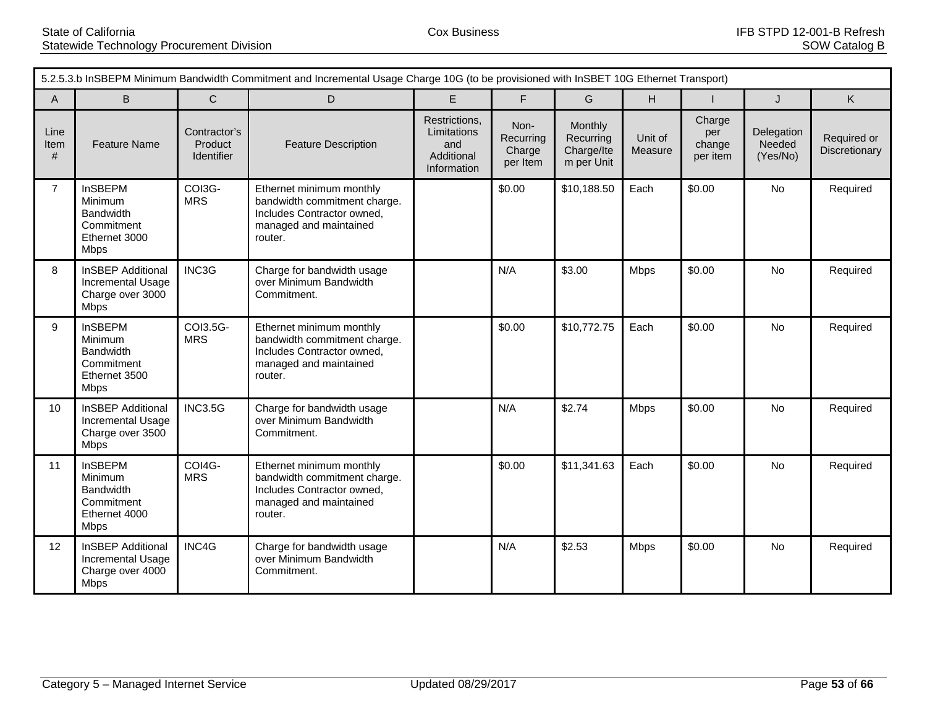|                   | 5.2.5.3.b InSBEPM Minimum Bandwidth Commitment and Incremental Usage Charge 10G (to be provisioned with InSBET 10G Ethernet Transport) |                                       |                                                                                                                             |                                                                  |                                         |                                                  |                    |                                     |                                  |                              |  |
|-------------------|----------------------------------------------------------------------------------------------------------------------------------------|---------------------------------------|-----------------------------------------------------------------------------------------------------------------------------|------------------------------------------------------------------|-----------------------------------------|--------------------------------------------------|--------------------|-------------------------------------|----------------------------------|------------------------------|--|
| $\mathsf{A}$      | B                                                                                                                                      | $\mathsf{C}$                          | D                                                                                                                           | E                                                                | F.                                      | G                                                | H.                 |                                     | J                                | K.                           |  |
| Line<br>Item<br># | <b>Feature Name</b>                                                                                                                    | Contractor's<br>Product<br>Identifier | <b>Feature Description</b>                                                                                                  | Restrictions,<br>Limitations<br>and<br>Additional<br>Information | Non-<br>Recurring<br>Charge<br>per Item | Monthly<br>Recurring<br>Charge/Ite<br>m per Unit | Unit of<br>Measure | Charge<br>per<br>change<br>per item | Delegation<br>Needed<br>(Yes/No) | Required or<br>Discretionary |  |
| $\overline{7}$    | <b>InSBEPM</b><br>Minimum<br><b>Bandwidth</b><br>Commitment<br>Ethernet 3000<br><b>Mbps</b>                                            | COI3G-<br><b>MRS</b>                  | Ethernet minimum monthly<br>bandwidth commitment charge.<br>Includes Contractor owned,<br>managed and maintained<br>router. |                                                                  | \$0.00                                  | \$10,188.50                                      | Each               | \$0.00                              | <b>No</b>                        | Required                     |  |
| 8                 | <b>InSBEP Additional</b><br>Incremental Usage<br>Charge over 3000<br><b>Mbps</b>                                                       | INC3G                                 | Charge for bandwidth usage<br>over Minimum Bandwidth<br>Commitment.                                                         |                                                                  | N/A                                     | \$3.00                                           | <b>Mbps</b>        | \$0.00                              | No                               | Required                     |  |
| 9                 | <b>InSBEPM</b><br>Minimum<br>Bandwidth<br>Commitment<br>Ethernet 3500<br><b>Mbps</b>                                                   | COI3.5G-<br><b>MRS</b>                | Ethernet minimum monthly<br>bandwidth commitment charge.<br>Includes Contractor owned,<br>managed and maintained<br>router. |                                                                  | \$0.00                                  | \$10,772.75                                      | Each               | \$0.00                              | No                               | Required                     |  |
| 10 <sup>°</sup>   | <b>InSBEP Additional</b><br>Incremental Usage<br>Charge over 3500<br>Mbps                                                              | <b>INC3.5G</b>                        | Charge for bandwidth usage<br>over Minimum Bandwidth<br>Commitment.                                                         |                                                                  | N/A                                     | \$2.74                                           | <b>Mbps</b>        | \$0.00                              | No                               | Required                     |  |
| 11                | <b>InSBEPM</b><br>Minimum<br>Bandwidth<br>Commitment<br>Ethernet 4000<br><b>Mbps</b>                                                   | COI4G-<br><b>MRS</b>                  | Ethernet minimum monthly<br>bandwidth commitment charge.<br>Includes Contractor owned,<br>managed and maintained<br>router. |                                                                  | \$0.00                                  | \$11,341.63                                      | Each               | \$0.00                              | No                               | Required                     |  |
| 12                | <b>InSBEP Additional</b><br>Incremental Usage<br>Charge over 4000<br><b>Mbps</b>                                                       | INC4G                                 | Charge for bandwidth usage<br>over Minimum Bandwidth<br>Commitment.                                                         |                                                                  | N/A                                     | \$2.53                                           | <b>Mbps</b>        | \$0.00                              | <b>No</b>                        | Required                     |  |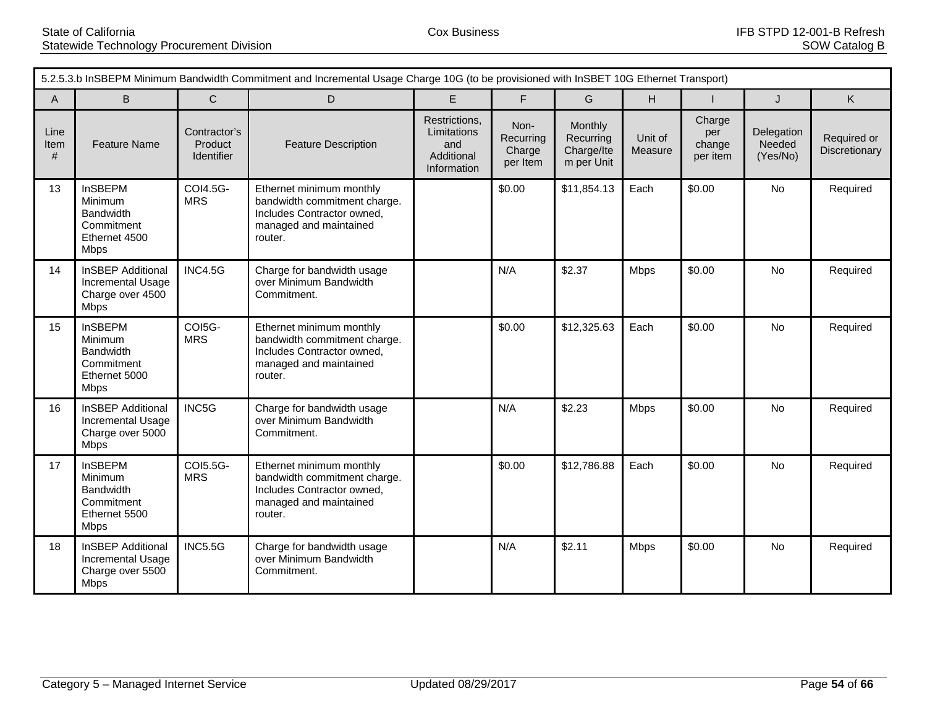|                   | 5.2.5.3.b InSBEPM Minimum Bandwidth Commitment and Incremental Usage Charge 10G (to be provisioned with InSBET 10G Ethernet Transport) |                                       |                                                                                                                             |                                                                  |                                         |                                                  |                    |                                     |                                  |                              |  |
|-------------------|----------------------------------------------------------------------------------------------------------------------------------------|---------------------------------------|-----------------------------------------------------------------------------------------------------------------------------|------------------------------------------------------------------|-----------------------------------------|--------------------------------------------------|--------------------|-------------------------------------|----------------------------------|------------------------------|--|
| $\mathsf{A}$      | B                                                                                                                                      | $\mathsf{C}$                          | D                                                                                                                           | E                                                                | F.                                      | G                                                | H                  |                                     | J                                | K                            |  |
| Line<br>Item<br># | <b>Feature Name</b>                                                                                                                    | Contractor's<br>Product<br>Identifier | <b>Feature Description</b>                                                                                                  | Restrictions,<br>Limitations<br>and<br>Additional<br>Information | Non-<br>Recurring<br>Charge<br>per Item | Monthly<br>Recurring<br>Charge/Ite<br>m per Unit | Unit of<br>Measure | Charge<br>per<br>change<br>per item | Delegation<br>Needed<br>(Yes/No) | Required or<br>Discretionary |  |
| 13                | <b>InSBEPM</b><br>Minimum<br><b>Bandwidth</b><br>Commitment<br>Ethernet 4500<br><b>Mbps</b>                                            | COI4.5G-<br><b>MRS</b>                | Ethernet minimum monthly<br>bandwidth commitment charge.<br>Includes Contractor owned,<br>managed and maintained<br>router. |                                                                  | \$0.00                                  | \$11,854.13                                      | Each               | \$0.00                              | No                               | Required                     |  |
| 14                | <b>InSBEP Additional</b><br>Incremental Usage<br>Charge over 4500<br><b>Mbps</b>                                                       | <b>INC4.5G</b>                        | Charge for bandwidth usage<br>over Minimum Bandwidth<br>Commitment.                                                         |                                                                  | N/A                                     | \$2.37                                           | Mbps               | \$0.00                              | <b>No</b>                        | Required                     |  |
| 15                | <b>InSBEPM</b><br>Minimum<br><b>Bandwidth</b><br>Commitment<br>Ethernet 5000<br><b>Mbps</b>                                            | COI5G-<br><b>MRS</b>                  | Ethernet minimum monthly<br>bandwidth commitment charge.<br>Includes Contractor owned,<br>managed and maintained<br>router. |                                                                  | \$0.00                                  | \$12,325.63                                      | Each               | \$0.00                              | <b>No</b>                        | Required                     |  |
| 16                | <b>InSBEP Additional</b><br>Incremental Usage<br>Charge over 5000<br><b>Mbps</b>                                                       | INC5G                                 | Charge for bandwidth usage<br>over Minimum Bandwidth<br>Commitment.                                                         |                                                                  | N/A                                     | \$2.23                                           | Mbps               | \$0.00                              | No                               | Required                     |  |
| 17                | <b>InSBEPM</b><br>Minimum<br>Bandwidth<br>Commitment<br>Ethernet 5500<br><b>Mbps</b>                                                   | COI5.5G-<br><b>MRS</b>                | Ethernet minimum monthly<br>bandwidth commitment charge.<br>Includes Contractor owned,<br>managed and maintained<br>router. |                                                                  | \$0.00                                  | \$12,786.88                                      | Each               | \$0.00                              | <b>No</b>                        | Required                     |  |
| 18                | <b>InSBEP Additional</b><br>Incremental Usage<br>Charge over 5500<br>Mbps                                                              | <b>INC5.5G</b>                        | Charge for bandwidth usage<br>over Minimum Bandwidth<br>Commitment.                                                         |                                                                  | N/A                                     | \$2.11                                           | Mbps               | \$0.00                              | <b>No</b>                        | Required                     |  |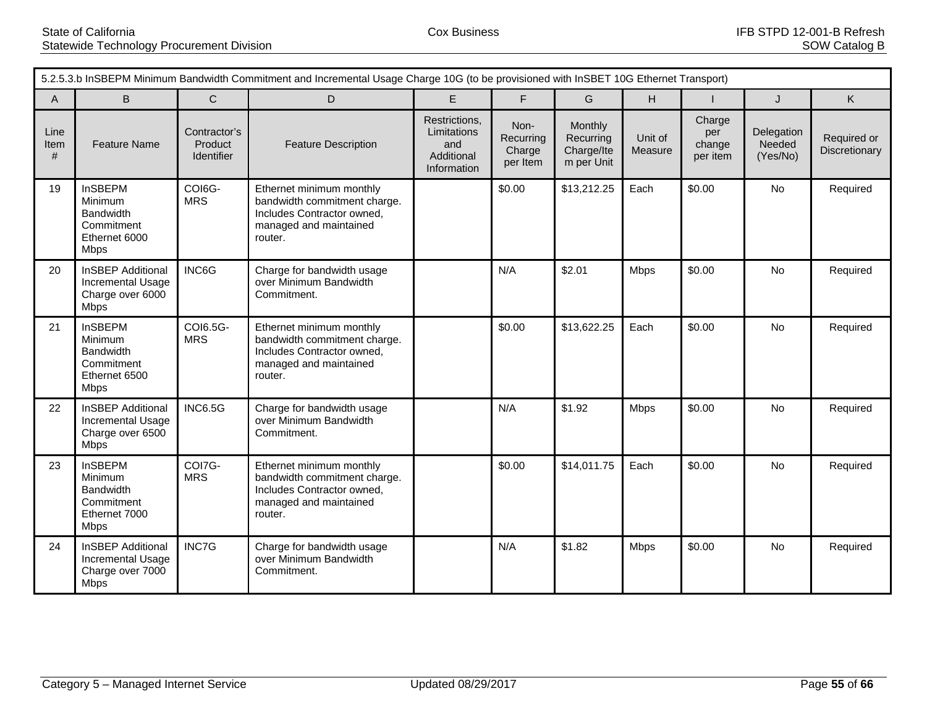|                   | 5.2.5.3.b InSBEPM Minimum Bandwidth Commitment and Incremental Usage Charge 10G (to be provisioned with InSBET 10G Ethernet Transport) |                                       |                                                                                                                             |                                                                  |                                         |                                                  |                    |                                     |                                  |                              |  |
|-------------------|----------------------------------------------------------------------------------------------------------------------------------------|---------------------------------------|-----------------------------------------------------------------------------------------------------------------------------|------------------------------------------------------------------|-----------------------------------------|--------------------------------------------------|--------------------|-------------------------------------|----------------------------------|------------------------------|--|
| $\mathsf{A}$      | B                                                                                                                                      | $\mathsf{C}$                          | D                                                                                                                           | E                                                                | F                                       | G                                                | H                  |                                     | J                                | K.                           |  |
| Line<br>Item<br># | <b>Feature Name</b>                                                                                                                    | Contractor's<br>Product<br>Identifier | <b>Feature Description</b>                                                                                                  | Restrictions,<br>Limitations<br>and<br>Additional<br>Information | Non-<br>Recurring<br>Charge<br>per Item | Monthly<br>Recurring<br>Charge/Ite<br>m per Unit | Unit of<br>Measure | Charge<br>per<br>change<br>per item | Delegation<br>Needed<br>(Yes/No) | Required or<br>Discretionary |  |
| 19                | <b>InSBEPM</b><br>Minimum<br><b>Bandwidth</b><br>Commitment<br>Ethernet 6000<br><b>Mbps</b>                                            | COI6G-<br><b>MRS</b>                  | Ethernet minimum monthly<br>bandwidth commitment charge.<br>Includes Contractor owned,<br>managed and maintained<br>router. |                                                                  | \$0.00                                  | \$13,212.25                                      | Each               | \$0.00                              | No                               | Required                     |  |
| 20                | <b>InSBEP Additional</b><br>Incremental Usage<br>Charge over 6000<br><b>Mbps</b>                                                       | INC6G                                 | Charge for bandwidth usage<br>over Minimum Bandwidth<br>Commitment.                                                         |                                                                  | N/A                                     | \$2.01                                           | <b>Mbps</b>        | \$0.00                              | <b>No</b>                        | Required                     |  |
| 21                | <b>InSBEPM</b><br>Minimum<br><b>Bandwidth</b><br>Commitment<br>Ethernet 6500<br><b>Mbps</b>                                            | COI6.5G-<br><b>MRS</b>                | Ethernet minimum monthly<br>bandwidth commitment charge.<br>Includes Contractor owned,<br>managed and maintained<br>router. |                                                                  | \$0.00                                  | \$13,622.25                                      | Each               | \$0.00                              | No                               | Required                     |  |
| 22                | <b>InSBEP Additional</b><br>Incremental Usage<br>Charge over 6500<br><b>Mbps</b>                                                       | <b>INC6.5G</b>                        | Charge for bandwidth usage<br>over Minimum Bandwidth<br>Commitment.                                                         |                                                                  | N/A                                     | \$1.92                                           | Mbps               | \$0.00                              | No                               | Required                     |  |
| 23                | <b>InSBEPM</b><br>Minimum<br>Bandwidth<br>Commitment<br>Ethernet 7000<br><b>Mbps</b>                                                   | COI7G-<br><b>MRS</b>                  | Ethernet minimum monthly<br>bandwidth commitment charge.<br>Includes Contractor owned,<br>managed and maintained<br>router. |                                                                  | \$0.00                                  | \$14,011.75                                      | Each               | \$0.00                              | <b>No</b>                        | Required                     |  |
| 24                | <b>InSBEP Additional</b><br>Incremental Usage<br>Charge over 7000<br><b>Mbps</b>                                                       | INC7G                                 | Charge for bandwidth usage<br>over Minimum Bandwidth<br>Commitment.                                                         |                                                                  | N/A                                     | \$1.82                                           | <b>Mbps</b>        | \$0.00                              | <b>No</b>                        | Required                     |  |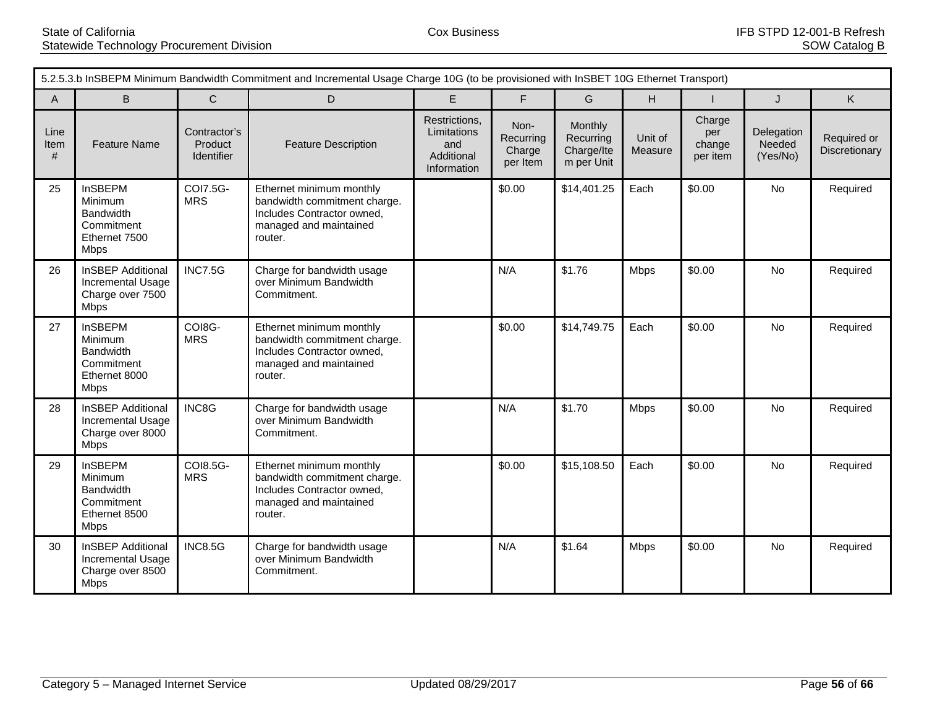|                   | 5.2.5.3.b InSBEPM Minimum Bandwidth Commitment and Incremental Usage Charge 10G (to be provisioned with InSBET 10G Ethernet Transport) |                                       |                                                                                                                             |                                                                  |                                         |                                                  |                    |                                     |                                  |                              |  |
|-------------------|----------------------------------------------------------------------------------------------------------------------------------------|---------------------------------------|-----------------------------------------------------------------------------------------------------------------------------|------------------------------------------------------------------|-----------------------------------------|--------------------------------------------------|--------------------|-------------------------------------|----------------------------------|------------------------------|--|
| A                 | B                                                                                                                                      | $\mathsf{C}$                          | D                                                                                                                           | E                                                                | F.                                      | G                                                | H                  |                                     | J                                | K                            |  |
| Line<br>Item<br># | <b>Feature Name</b>                                                                                                                    | Contractor's<br>Product<br>Identifier | <b>Feature Description</b>                                                                                                  | Restrictions,<br>Limitations<br>and<br>Additional<br>Information | Non-<br>Recurring<br>Charge<br>per Item | Monthly<br>Recurring<br>Charge/Ite<br>m per Unit | Unit of<br>Measure | Charge<br>per<br>change<br>per item | Delegation<br>Needed<br>(Yes/No) | Required or<br>Discretionary |  |
| 25                | <b>InSBEPM</b><br>Minimum<br><b>Bandwidth</b><br>Commitment<br>Ethernet 7500<br><b>Mbps</b>                                            | <b>COI7.5G-</b><br><b>MRS</b>         | Ethernet minimum monthly<br>bandwidth commitment charge.<br>Includes Contractor owned,<br>managed and maintained<br>router. |                                                                  | \$0.00                                  | \$14,401.25                                      | Each               | \$0.00                              | No                               | Required                     |  |
| 26                | <b>InSBEP Additional</b><br>Incremental Usage<br>Charge over 7500<br><b>Mbps</b>                                                       | <b>INC7.5G</b>                        | Charge for bandwidth usage<br>over Minimum Bandwidth<br>Commitment.                                                         |                                                                  | N/A                                     | \$1.76                                           | Mbps               | \$0.00                              | <b>No</b>                        | Required                     |  |
| 27                | <b>InSBEPM</b><br>Minimum<br><b>Bandwidth</b><br>Commitment<br>Ethernet 8000<br><b>Mbps</b>                                            | COI8G-<br><b>MRS</b>                  | Ethernet minimum monthly<br>bandwidth commitment charge.<br>Includes Contractor owned,<br>managed and maintained<br>router. |                                                                  | \$0.00                                  | \$14,749.75                                      | Each               | \$0.00                              | <b>No</b>                        | Required                     |  |
| 28                | <b>InSBEP Additional</b><br>Incremental Usage<br>Charge over 8000<br><b>Mbps</b>                                                       | INC8G                                 | Charge for bandwidth usage<br>over Minimum Bandwidth<br>Commitment.                                                         |                                                                  | N/A                                     | \$1.70                                           | Mbps               | \$0.00                              | No                               | Required                     |  |
| 29                | <b>InSBEPM</b><br>Minimum<br>Bandwidth<br>Commitment<br>Ethernet 8500<br><b>Mbps</b>                                                   | COI8.5G-<br><b>MRS</b>                | Ethernet minimum monthly<br>bandwidth commitment charge.<br>Includes Contractor owned,<br>managed and maintained<br>router. |                                                                  | \$0.00                                  | \$15,108.50                                      | Each               | \$0.00                              | <b>No</b>                        | Required                     |  |
| 30                | <b>InSBEP Additional</b><br>Incremental Usage<br>Charge over 8500<br>Mbps                                                              | <b>INC8.5G</b>                        | Charge for bandwidth usage<br>over Minimum Bandwidth<br>Commitment.                                                         |                                                                  | N/A                                     | \$1.64                                           | Mbps               | \$0.00                              | <b>No</b>                        | Required                     |  |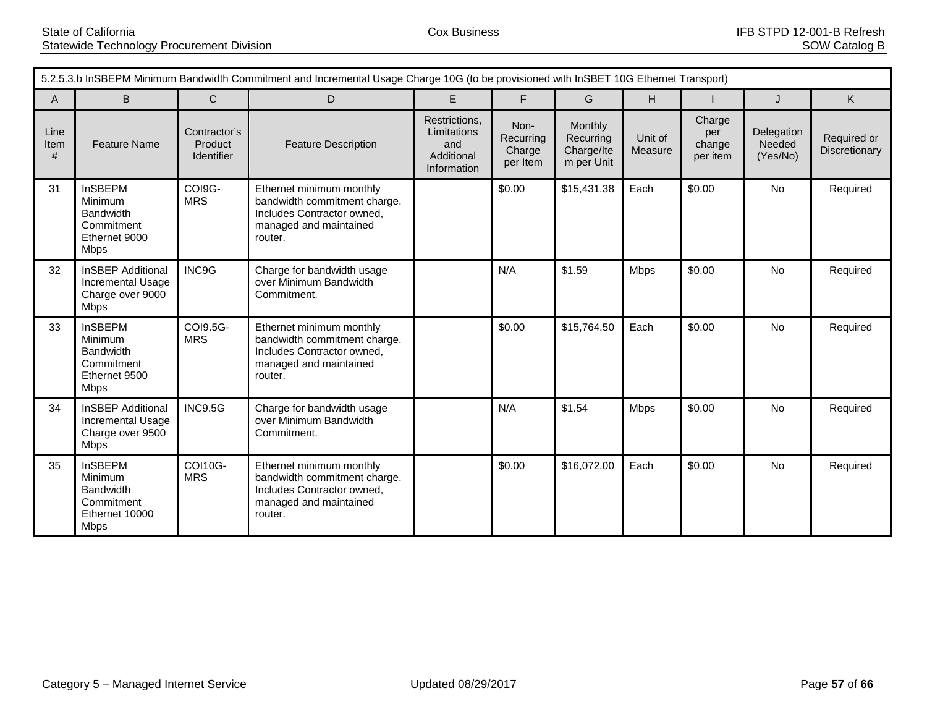| 5.2.5.3.b InSBEPM Minimum Bandwidth Commitment and Incremental Usage Charge 10G (to be provisioned with InSBET 10G Ethernet Transport) |                                                                                              |                                       |                                                                                                                             |                                                                  |                                         |                                                  |                    |                                     |                                  |                              |
|----------------------------------------------------------------------------------------------------------------------------------------|----------------------------------------------------------------------------------------------|---------------------------------------|-----------------------------------------------------------------------------------------------------------------------------|------------------------------------------------------------------|-----------------------------------------|--------------------------------------------------|--------------------|-------------------------------------|----------------------------------|------------------------------|
| $\overline{A}$                                                                                                                         | B                                                                                            | $\mathsf{C}$                          | D                                                                                                                           | E                                                                | F                                       | G                                                | H.                 |                                     | J                                | K                            |
| Line<br>Item<br>#                                                                                                                      | <b>Feature Name</b>                                                                          | Contractor's<br>Product<br>Identifier | <b>Feature Description</b>                                                                                                  | Restrictions,<br>Limitations<br>and<br>Additional<br>Information | Non-<br>Recurring<br>Charge<br>per Item | Monthly<br>Recurring<br>Charge/Ite<br>m per Unit | Unit of<br>Measure | Charge<br>per<br>change<br>per item | Delegation<br>Needed<br>(Yes/No) | Required or<br>Discretionary |
| 31                                                                                                                                     | <b>InSBEPM</b><br>Minimum<br><b>Bandwidth</b><br>Commitment<br>Ethernet 9000<br>Mbps         | COI9G-<br><b>MRS</b>                  | Ethernet minimum monthly<br>bandwidth commitment charge.<br>Includes Contractor owned,<br>managed and maintained<br>router. |                                                                  | \$0.00                                  | \$15,431.38                                      | Each               | \$0.00                              | No                               | Required                     |
| 32                                                                                                                                     | <b>InSBEP Additional</b><br>Incremental Usage<br>Charge over 9000<br>Mbps                    | INC9G                                 | Charge for bandwidth usage<br>over Minimum Bandwidth<br>Commitment.                                                         |                                                                  | N/A                                     | \$1.59                                           | <b>Mbps</b>        | \$0.00                              | <b>No</b>                        | Required                     |
| 33                                                                                                                                     | <b>InSBEPM</b><br>Minimum<br><b>Bandwidth</b><br>Commitment<br>Ethernet 9500<br><b>Mbps</b>  | COI9.5G-<br><b>MRS</b>                | Ethernet minimum monthly<br>bandwidth commitment charge.<br>Includes Contractor owned,<br>managed and maintained<br>router. |                                                                  | \$0.00                                  | \$15,764.50                                      | Each               | \$0.00                              | <b>No</b>                        | Required                     |
| 34                                                                                                                                     | <b>InSBEP Additional</b><br>Incremental Usage<br>Charge over 9500<br><b>Mbps</b>             | <b>INC9.5G</b>                        | Charge for bandwidth usage<br>over Minimum Bandwidth<br>Commitment.                                                         |                                                                  | N/A                                     | \$1.54                                           | <b>Mbps</b>        | \$0.00                              | <b>No</b>                        | Required                     |
| 35                                                                                                                                     | <b>InSBEPM</b><br>Minimum<br><b>Bandwidth</b><br>Commitment<br>Ethernet 10000<br><b>Mbps</b> | COI10G-<br><b>MRS</b>                 | Ethernet minimum monthly<br>bandwidth commitment charge.<br>Includes Contractor owned,<br>managed and maintained<br>router. |                                                                  | \$0.00                                  | \$16,072.00                                      | Each               | \$0.00                              | <b>No</b>                        | Required                     |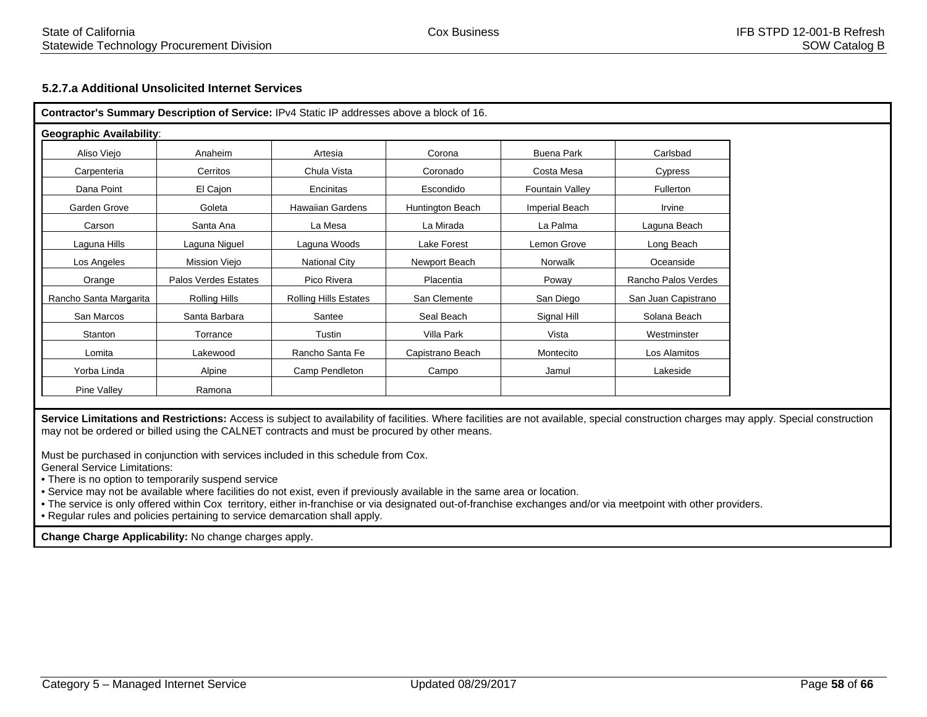# **5.2.7.a Additional Unsolicited Internet Services**

|                                 |                      | Contractor's Summary Description of Service: IPv4 Static IP addresses above a block of 16. |                  |                        |                     |
|---------------------------------|----------------------|--------------------------------------------------------------------------------------------|------------------|------------------------|---------------------|
| <b>Geographic Availability:</b> |                      |                                                                                            |                  |                        |                     |
| Aliso Viejo                     | Anaheim              | Artesia                                                                                    | Corona           | Buena Park             | Carlsbad            |
| Carpenteria                     | Cerritos             | Chula Vista                                                                                | Coronado         | Costa Mesa             | Cypress             |
| Dana Point                      | El Cajon             | Encinitas                                                                                  | Escondido        | <b>Fountain Valley</b> | Fullerton           |
| Garden Grove                    | Goleta               | <b>Hawaiian Gardens</b>                                                                    | Huntington Beach | Imperial Beach         | Irvine              |
| Carson                          | Santa Ana            | La Mesa                                                                                    | La Mirada        | La Palma               | Laguna Beach        |
| Laguna Hills                    | Laguna Niguel        | Laguna Woods                                                                               | Lake Forest      | Lemon Grove            | Long Beach          |
| Los Angeles                     | Mission Viejo        | <b>National City</b>                                                                       | Newport Beach    | Norwalk                | Oceanside           |
| Orange                          | Palos Verdes Estates | Pico Rivera                                                                                | Placentia        | Poway                  | Rancho Palos Verdes |
| Rancho Santa Margarita          | Rolling Hills        | <b>Rolling Hills Estates</b>                                                               | San Clemente     | San Diego              | San Juan Capistrano |
| San Marcos                      | Santa Barbara        | Santee                                                                                     | Seal Beach       | Signal Hill            | Solana Beach        |
| Stanton                         | Torrance             | Tustin                                                                                     | Villa Park       | Vista                  | Westminster         |
| Lomita                          | Lakewood             | Rancho Santa Fe                                                                            | Capistrano Beach | Montecito              | Los Alamitos        |
| Yorba Linda                     | Alpine               | Camp Pendleton                                                                             | Campo            | Jamul                  | Lakeside            |
| Pine Valley                     | Ramona               |                                                                                            |                  |                        |                     |

Service Limitations and Restrictions: Access is subject to availability of facilities. Where facilities are not available, special construction charges may apply. Special construction may not be ordered or billed using the CALNET contracts and must be procured by other means.

Must be purchased in conjunction with services included in this schedule from Cox.

General Service Limitations:

• There is no option to temporarily suspend service

• Service may not be available where facilities do not exist, even if previously available in the same area or location.

• The service is only offered within Cox territory, either in-franchise or via designated out-of-franchise exchanges and/or via meetpoint with other providers.

• Regular rules and policies pertaining to service demarcation shall apply.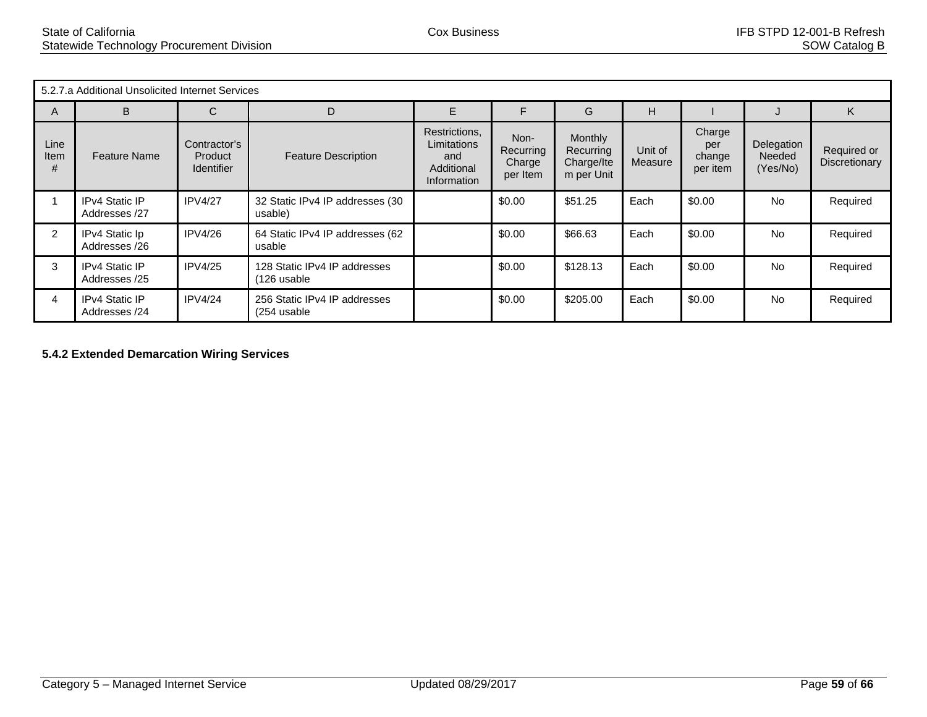| 5.2.7.a Additional Unsolicited Internet Services |                                        |                                                     |                                             |                                                                  |                                         |                                                         |                    |                                     |                                  |                              |  |  |
|--------------------------------------------------|----------------------------------------|-----------------------------------------------------|---------------------------------------------|------------------------------------------------------------------|-----------------------------------------|---------------------------------------------------------|--------------------|-------------------------------------|----------------------------------|------------------------------|--|--|
| A                                                | B                                      | C                                                   |                                             | E.                                                               | F                                       | G                                                       | н                  |                                     |                                  | ĸ                            |  |  |
| Line<br>Item<br>#                                | <b>Feature Name</b>                    | Contractor's<br><b>Product</b><br><b>Identifier</b> | <b>Feature Description</b>                  | Restrictions,<br>Limitations<br>and<br>Additional<br>Information | Non-<br>Recurring<br>Charge<br>per Item | <b>Monthly</b><br>Recurring<br>Charge/Ite<br>m per Unit | Unit of<br>Measure | Charge<br>per<br>change<br>per item | Delegation<br>Needed<br>(Yes/No) | Required or<br>Discretionary |  |  |
|                                                  | <b>IPv4 Static IP</b><br>Addresses /27 | IPV4/27                                             | 32 Static IPv4 IP addresses (30<br>usable)  |                                                                  | \$0.00                                  | \$51.25                                                 | Each               | \$0.00                              | <b>No</b>                        | Required                     |  |  |
| 2                                                | IPv4 Static Ip<br>Addresses /26        | <b>IPV4/26</b>                                      | 64 Static IPv4 IP addresses (62<br>usable   |                                                                  | \$0.00                                  | \$66.63                                                 | Each               | \$0.00                              | <b>No</b>                        | Required                     |  |  |
| 3                                                | <b>IPv4 Static IP</b><br>Addresses /25 | <b>IPV4/25</b>                                      | 128 Static IPv4 IP addresses<br>(126 usable |                                                                  | \$0.00                                  | \$128.13                                                | Each               | \$0.00                              | <b>No</b>                        | Required                     |  |  |
| 4                                                | IPv4 Static IP<br>Addresses /24        | IPV4/24                                             | 256 Static IPv4 IP addresses<br>(254 usable |                                                                  | \$0.00                                  | \$205.00                                                | Each               | \$0.00                              | <b>No</b>                        | Required                     |  |  |

**5.4.2 Extended Demarcation Wiring Services**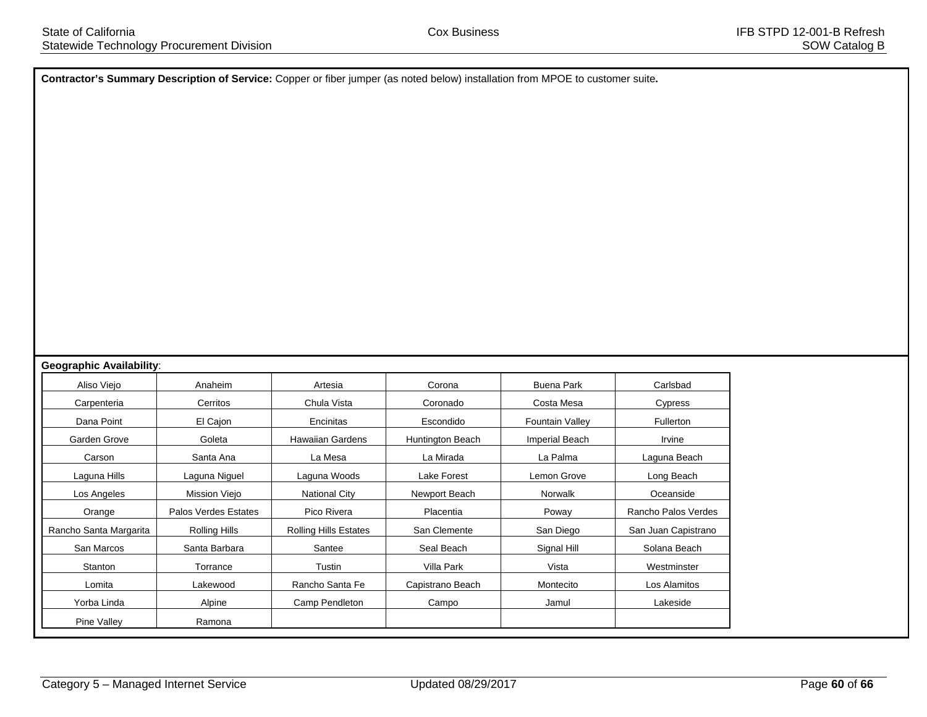**Contractor's Summary Description of Service:** Copper or fiber jumper (as noted below) installation from MPOE to customer suite**.**

#### **Geographic Availability**:

| Anaheim              | Artesia                      | Corona           | <b>Buena Park</b>      | Carlsbad            |
|----------------------|------------------------------|------------------|------------------------|---------------------|
| Cerritos             | Chula Vista                  | Coronado         | Costa Mesa             | Cypress             |
| El Cajon             | Encinitas                    | Escondido        | <b>Fountain Valley</b> | <b>Fullerton</b>    |
| Goleta               | <b>Hawaiian Gardens</b>      | Huntington Beach | <b>Imperial Beach</b>  | Irvine              |
| Santa Ana            | La Mesa                      | La Mirada        | La Palma               | Laguna Beach        |
| Laguna Niguel        | Laguna Woods                 | Lake Forest      | Lemon Grove            | Long Beach          |
| Mission Viejo        | <b>National City</b>         | Newport Beach    | <b>Norwalk</b>         | Oceanside           |
| Palos Verdes Estates | Pico Rivera                  | Placentia        | Poway                  | Rancho Palos Verdes |
| Rolling Hills        | <b>Rolling Hills Estates</b> | San Clemente     | San Diego              | San Juan Capistrano |
| Santa Barbara        | Santee                       | Seal Beach       | Signal Hill            | Solana Beach        |
| Torrance             | Tustin                       | Villa Park       | Vista                  | Westminster         |
| Lakewood             | Rancho Santa Fe              | Capistrano Beach | Montecito              | Los Alamitos        |
| Alpine               | Camp Pendleton               | Campo            | Jamul                  | Lakeside            |
| Ramona               |                              |                  |                        |                     |
|                      |                              |                  |                        |                     |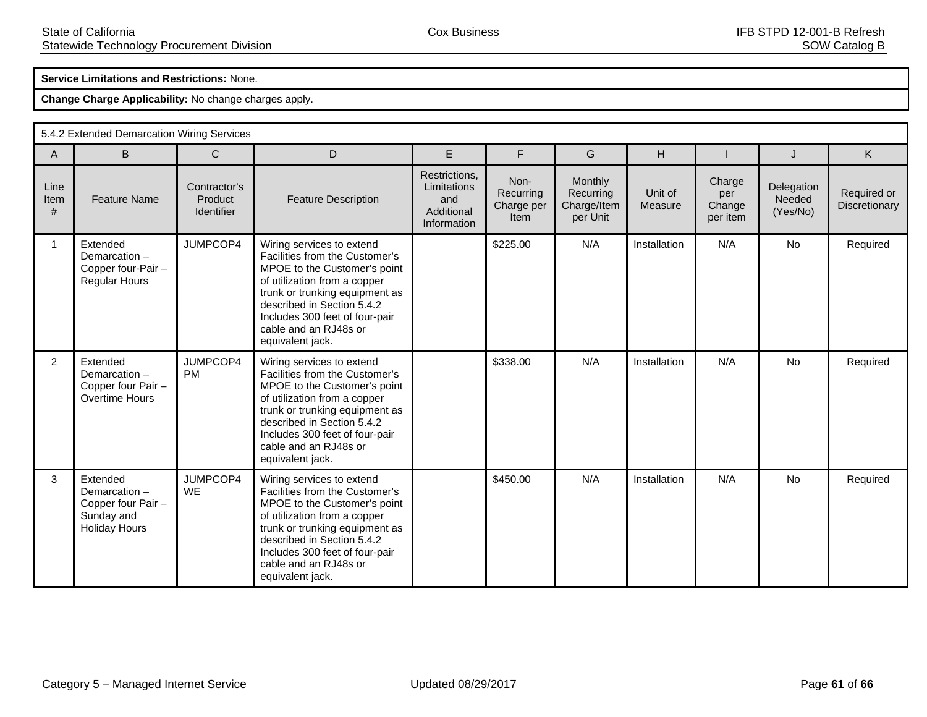## **Service Limitations and Restrictions:** None.

|                   | 5.4.2 Extended Demarcation Wiring Services                                           |                                       |                                                                                                                                                                                                                                                                            |                                                                  |                                         |                                                 |                    |                                     |                                  |                              |  |  |  |
|-------------------|--------------------------------------------------------------------------------------|---------------------------------------|----------------------------------------------------------------------------------------------------------------------------------------------------------------------------------------------------------------------------------------------------------------------------|------------------------------------------------------------------|-----------------------------------------|-------------------------------------------------|--------------------|-------------------------------------|----------------------------------|------------------------------|--|--|--|
| $\overline{A}$    | B                                                                                    | $\mathsf{C}$                          | D                                                                                                                                                                                                                                                                          | E                                                                | F                                       | G                                               | H                  |                                     | J                                | K                            |  |  |  |
| Line<br>Item<br># | <b>Feature Name</b>                                                                  | Contractor's<br>Product<br>Identifier | <b>Feature Description</b>                                                                                                                                                                                                                                                 | Restrictions,<br>Limitations<br>and<br>Additional<br>Information | Non-<br>Recurring<br>Charge per<br>Item | Monthly<br>Recurring<br>Charge/Item<br>per Unit | Unit of<br>Measure | Charge<br>per<br>Change<br>per item | Delegation<br>Needed<br>(Yes/No) | Required or<br>Discretionary |  |  |  |
| 1                 | Extended<br>Demarcation-<br>Copper four-Pair -<br><b>Regular Hours</b>               | JUMPCOP4                              | Wiring services to extend<br>Facilities from the Customer's<br>MPOE to the Customer's point<br>of utilization from a copper<br>trunk or trunking equipment as<br>described in Section 5.4.2<br>Includes 300 feet of four-pair<br>cable and an RJ48s or<br>equivalent jack. |                                                                  | \$225.00                                | N/A                                             | Installation       | N/A                                 | No                               | Required                     |  |  |  |
| $\overline{2}$    | Extended<br>Demarcation-<br>Copper four Pair -<br>Overtime Hours                     | JUMPCOP4<br><b>PM</b>                 | Wiring services to extend<br>Facilities from the Customer's<br>MPOE to the Customer's point<br>of utilization from a copper<br>trunk or trunking equipment as<br>described in Section 5.4.2<br>Includes 300 feet of four-pair<br>cable and an RJ48s or<br>equivalent jack. |                                                                  | \$338.00                                | N/A                                             | Installation       | N/A                                 | <b>No</b>                        | Required                     |  |  |  |
| 3                 | Extended<br>Demarcation-<br>Copper four Pair -<br>Sunday and<br><b>Holiday Hours</b> | JUMPCOP4<br><b>WE</b>                 | Wiring services to extend<br>Facilities from the Customer's<br>MPOE to the Customer's point<br>of utilization from a copper<br>trunk or trunking equipment as<br>described in Section 5.4.2<br>Includes 300 feet of four-pair<br>cable and an RJ48s or<br>equivalent jack. |                                                                  | \$450.00                                | N/A                                             | Installation       | N/A                                 | <b>No</b>                        | Required                     |  |  |  |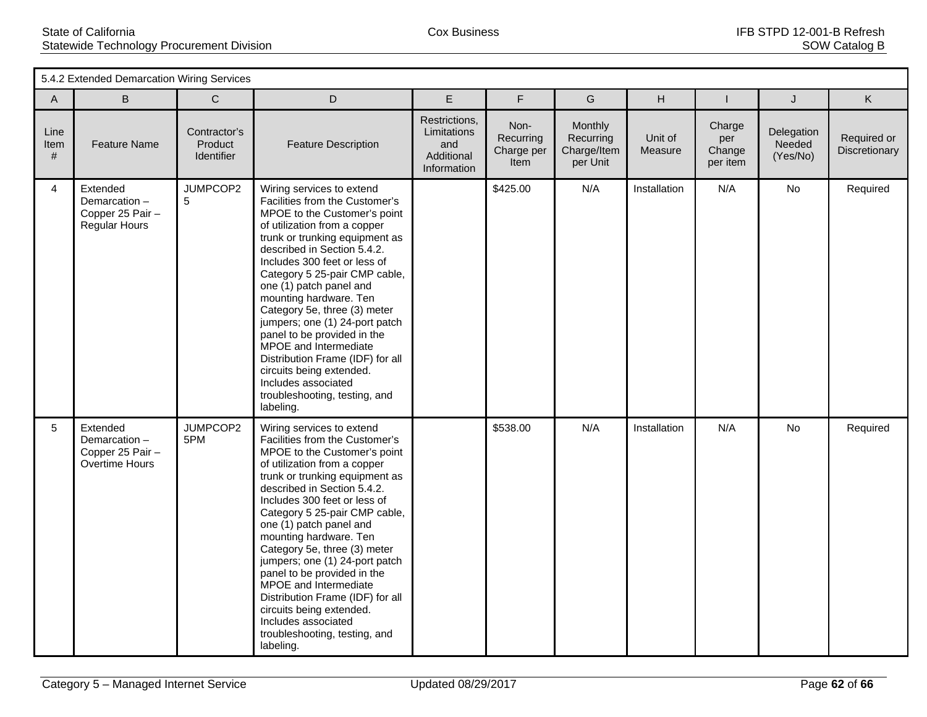| 5.4.2 Extended Demarcation Wiring Services |                                                                      |                                       |                                                                                                                                                                                                                                                                                                                                                                                                                                                                                                                                                                                   |                                                                  |                                         |                                                        |                    |                                     |                                  |                              |
|--------------------------------------------|----------------------------------------------------------------------|---------------------------------------|-----------------------------------------------------------------------------------------------------------------------------------------------------------------------------------------------------------------------------------------------------------------------------------------------------------------------------------------------------------------------------------------------------------------------------------------------------------------------------------------------------------------------------------------------------------------------------------|------------------------------------------------------------------|-----------------------------------------|--------------------------------------------------------|--------------------|-------------------------------------|----------------------------------|------------------------------|
| A                                          | B                                                                    | $\mathsf{C}$                          | $\mathsf D$                                                                                                                                                                                                                                                                                                                                                                                                                                                                                                                                                                       | E                                                                | F                                       | G                                                      | H                  |                                     | J                                | K                            |
| Line<br>Item<br>#                          | <b>Feature Name</b>                                                  | Contractor's<br>Product<br>Identifier | <b>Feature Description</b>                                                                                                                                                                                                                                                                                                                                                                                                                                                                                                                                                        | Restrictions,<br>Limitations<br>and<br>Additional<br>Information | Non-<br>Recurring<br>Charge per<br>Item | <b>Monthly</b><br>Recurring<br>Charge/Item<br>per Unit | Unit of<br>Measure | Charge<br>per<br>Change<br>per item | Delegation<br>Needed<br>(Yes/No) | Required or<br>Discretionary |
| $\overline{4}$                             | Extended<br>Demarcation-<br>Copper 25 Pair -<br><b>Regular Hours</b> | JUMPCOP2<br>5                         | Wiring services to extend<br>Facilities from the Customer's<br>MPOE to the Customer's point<br>of utilization from a copper<br>trunk or trunking equipment as<br>described in Section 5.4.2.<br>Includes 300 feet or less of<br>Category 5 25-pair CMP cable,<br>one (1) patch panel and<br>mounting hardware. Ten<br>Category 5e, three (3) meter<br>jumpers; one (1) 24-port patch<br>panel to be provided in the<br>MPOE and Intermediate<br>Distribution Frame (IDF) for all<br>circuits being extended.<br>Includes associated<br>troubleshooting, testing, and<br>labeling. |                                                                  | \$425.00                                | N/A                                                    | Installation       | N/A                                 | <b>No</b>                        | Required                     |
| $5\overline{)}$                            | Extended<br>Demarcation-<br>Copper 25 Pair -<br>Overtime Hours       | JUMPCOP2<br>5PM                       | Wiring services to extend<br>Facilities from the Customer's<br>MPOE to the Customer's point<br>of utilization from a copper<br>trunk or trunking equipment as<br>described in Section 5.4.2.<br>Includes 300 feet or less of<br>Category 5 25-pair CMP cable,<br>one (1) patch panel and<br>mounting hardware. Ten<br>Category 5e, three (3) meter<br>jumpers; one (1) 24-port patch<br>panel to be provided in the<br>MPOE and Intermediate<br>Distribution Frame (IDF) for all<br>circuits being extended.<br>Includes associated<br>troubleshooting, testing, and<br>labeling. |                                                                  | \$538.00                                | N/A                                                    | Installation       | N/A                                 | No                               | Required                     |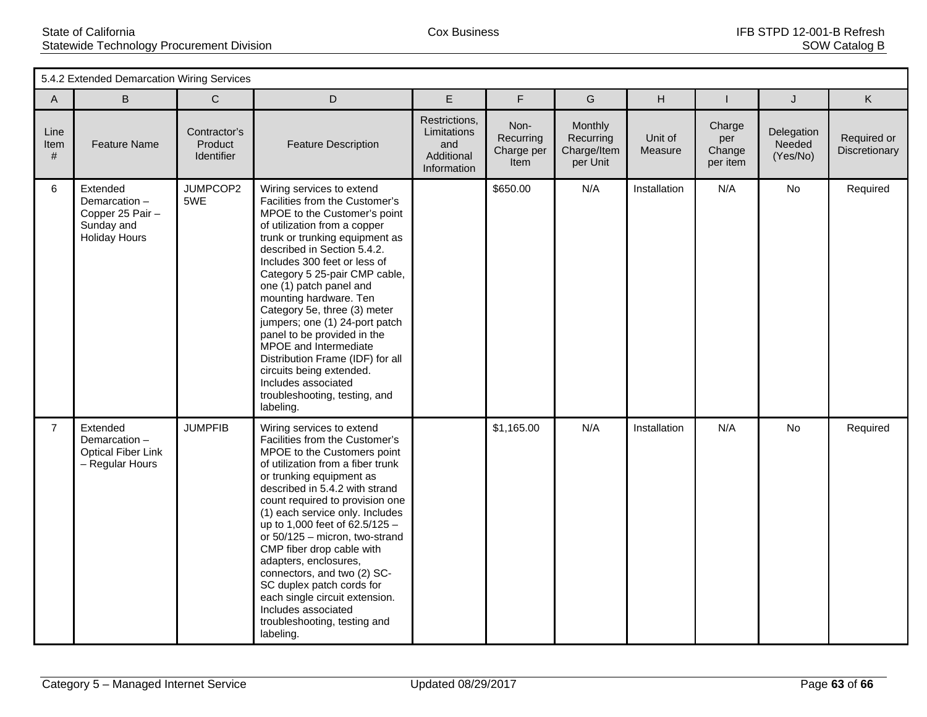| 5.4.2 Extended Demarcation Wiring Services |                                                                                    |                                       |                                                                                                                                                                                                                                                                                                                                                                                                                                                                                                                                                                                   |                                                                  |                                         |                                                 |                    |                                     |                                  |                              |
|--------------------------------------------|------------------------------------------------------------------------------------|---------------------------------------|-----------------------------------------------------------------------------------------------------------------------------------------------------------------------------------------------------------------------------------------------------------------------------------------------------------------------------------------------------------------------------------------------------------------------------------------------------------------------------------------------------------------------------------------------------------------------------------|------------------------------------------------------------------|-----------------------------------------|-------------------------------------------------|--------------------|-------------------------------------|----------------------------------|------------------------------|
| A                                          | B                                                                                  | $\mathsf C$                           | $\mathsf D$                                                                                                                                                                                                                                                                                                                                                                                                                                                                                                                                                                       | $\mathsf E$                                                      | F                                       | G                                               | H                  | ı                                   | J                                | K                            |
| Line<br>Item<br>#                          | <b>Feature Name</b>                                                                | Contractor's<br>Product<br>Identifier | <b>Feature Description</b>                                                                                                                                                                                                                                                                                                                                                                                                                                                                                                                                                        | Restrictions,<br>Limitations<br>and<br>Additional<br>Information | Non-<br>Recurring<br>Charge per<br>Item | Monthly<br>Recurring<br>Charge/Item<br>per Unit | Unit of<br>Measure | Charge<br>per<br>Change<br>per item | Delegation<br>Needed<br>(Yes/No) | Required or<br>Discretionary |
| 6                                          | Extended<br>Demarcation-<br>Copper 25 Pair -<br>Sunday and<br><b>Holiday Hours</b> | JUMPCOP2<br>5WE                       | Wiring services to extend<br>Facilities from the Customer's<br>MPOE to the Customer's point<br>of utilization from a copper<br>trunk or trunking equipment as<br>described in Section 5.4.2.<br>Includes 300 feet or less of<br>Category 5 25-pair CMP cable,<br>one (1) patch panel and<br>mounting hardware. Ten<br>Category 5e, three (3) meter<br>jumpers; one (1) 24-port patch<br>panel to be provided in the<br>MPOE and Intermediate<br>Distribution Frame (IDF) for all<br>circuits being extended.<br>Includes associated<br>troubleshooting, testing, and<br>labeling. |                                                                  | \$650.00                                | N/A                                             | Installation       | N/A                                 | No                               | Required                     |
| $\overline{7}$                             | Extended<br>Demarcation-<br><b>Optical Fiber Link</b><br>- Regular Hours           | <b>JUMPFIB</b>                        | Wiring services to extend<br>Facilities from the Customer's<br>MPOE to the Customers point<br>of utilization from a fiber trunk<br>or trunking equipment as<br>described in 5.4.2 with strand<br>count required to provision one<br>(1) each service only. Includes<br>up to 1,000 feet of 62.5/125 -<br>or 50/125 - micron, two-strand<br>CMP fiber drop cable with<br>adapters, enclosures,<br>connectors, and two (2) SC-<br>SC duplex patch cords for<br>each single circuit extension.<br>Includes associated<br>troubleshooting, testing and<br>labeling.                   |                                                                  | \$1,165.00                              | N/A                                             | Installation       | N/A                                 | No                               | Required                     |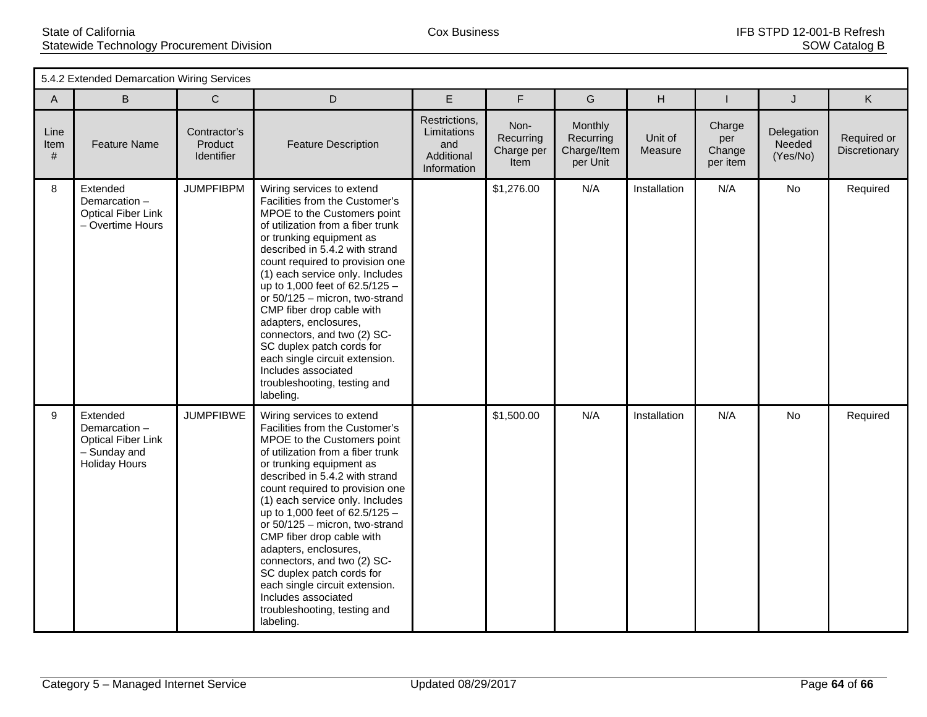| 5.4.2 Extended Demarcation Wiring Services |                                                                                               |                                       |                                                                                                                                                                                                                                                                                                                                                                                                                                                                                                                                                                 |                                                                  |                                         |                                                 |                    |                                     |                                  |                              |
|--------------------------------------------|-----------------------------------------------------------------------------------------------|---------------------------------------|-----------------------------------------------------------------------------------------------------------------------------------------------------------------------------------------------------------------------------------------------------------------------------------------------------------------------------------------------------------------------------------------------------------------------------------------------------------------------------------------------------------------------------------------------------------------|------------------------------------------------------------------|-----------------------------------------|-------------------------------------------------|--------------------|-------------------------------------|----------------------------------|------------------------------|
| $\mathsf{A}$                               | B                                                                                             | $\mathbf C$                           | D                                                                                                                                                                                                                                                                                                                                                                                                                                                                                                                                                               | E                                                                | F                                       | G                                               | H                  |                                     | J                                | K                            |
| Line<br>Item<br>#                          | <b>Feature Name</b>                                                                           | Contractor's<br>Product<br>Identifier | <b>Feature Description</b>                                                                                                                                                                                                                                                                                                                                                                                                                                                                                                                                      | Restrictions,<br>Limitations<br>and<br>Additional<br>Information | Non-<br>Recurring<br>Charge per<br>Item | Monthly<br>Recurring<br>Charge/Item<br>per Unit | Unit of<br>Measure | Charge<br>per<br>Change<br>per item | Delegation<br>Needed<br>(Yes/No) | Required or<br>Discretionary |
| 8                                          | Extended<br>Demarcation-<br><b>Optical Fiber Link</b><br>- Overtime Hours                     | <b>JUMPFIBPM</b>                      | Wiring services to extend<br>Facilities from the Customer's<br>MPOE to the Customers point<br>of utilization from a fiber trunk<br>or trunking equipment as<br>described in 5.4.2 with strand<br>count required to provision one<br>(1) each service only. Includes<br>up to 1,000 feet of 62.5/125 -<br>or 50/125 - micron, two-strand<br>CMP fiber drop cable with<br>adapters, enclosures,<br>connectors, and two (2) SC-<br>SC duplex patch cords for<br>each single circuit extension.<br>Includes associated<br>troubleshooting, testing and<br>labeling. |                                                                  | \$1,276.00                              | N/A                                             | Installation       | N/A                                 | No                               | Required                     |
| 9                                          | Extended<br>Demarcation-<br><b>Optical Fiber Link</b><br>- Sunday and<br><b>Holiday Hours</b> | <b>JUMPFIBWE</b>                      | Wiring services to extend<br>Facilities from the Customer's<br>MPOE to the Customers point<br>of utilization from a fiber trunk<br>or trunking equipment as<br>described in 5.4.2 with strand<br>count required to provision one<br>(1) each service only. Includes<br>up to 1,000 feet of 62.5/125 -<br>or 50/125 - micron, two-strand<br>CMP fiber drop cable with<br>adapters, enclosures,<br>connectors, and two (2) SC-<br>SC duplex patch cords for<br>each single circuit extension.<br>Includes associated<br>troubleshooting, testing and<br>labeling. |                                                                  | \$1,500.00                              | N/A                                             | Installation       | N/A                                 | <b>No</b>                        | Required                     |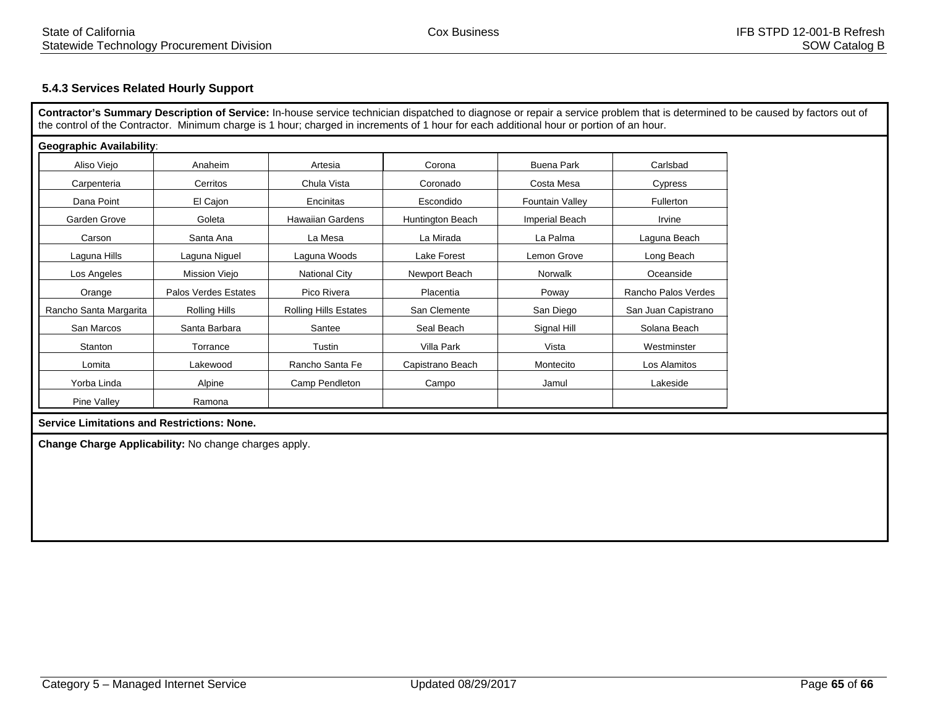## **5.4.3 Services Related Hourly Support**

**Contractor's Summary Description of Service:** In-house service technician dispatched to diagnose or repair a service problem that is determined to be caused by factors out of the control of the Contractor. Minimum charge is 1 hour; charged in increments of 1 hour for each additional hour or portion of an hour.

| <b>Geographic Availability:</b> |                      |                              |                  |                   |                     |  |
|---------------------------------|----------------------|------------------------------|------------------|-------------------|---------------------|--|
| Aliso Viejo                     | Anaheim              | Artesia                      | Corona           | <b>Buena Park</b> | Carlsbad            |  |
| Carpenteria                     | Cerritos             | Chula Vista                  | Coronado         | Costa Mesa        | Cypress             |  |
| Dana Point                      | El Cajon             | Encinitas                    | Escondido        | Fountain Valley   | Fullerton           |  |
| Garden Grove                    | Goleta               | <b>Hawaiian Gardens</b>      | Huntington Beach | Imperial Beach    |                     |  |
| Carson                          | Santa Ana            | La Mesa                      | La Mirada        | La Palma          | Laguna Beach        |  |
| Laguna Hills                    | Laguna Niguel        | Laguna Woods                 | Lake Forest      | Lemon Grove       | Long Beach          |  |
| Los Angeles                     | Mission Viejo        | <b>National City</b>         | Newport Beach    | Norwalk           | Oceanside           |  |
| Orange                          | Palos Verdes Estates | Pico Rivera                  | Placentia        | Poway             | Rancho Palos Verdes |  |
| Rancho Santa Margarita          | Rolling Hills        | <b>Rolling Hills Estates</b> | San Clemente     | San Diego         | San Juan Capistrano |  |
| San Marcos                      | Santa Barbara        | Santee                       | Seal Beach       | Signal Hill       | Solana Beach        |  |
| Stanton                         | Torrance             | Tustin                       | Villa Park       | Vista             | Westminster         |  |
| Lomita                          | Lakewood             | Rancho Santa Fe              | Capistrano Beach | Montecito         | Los Alamitos        |  |
| Yorba Linda                     | Alpine               | Camp Pendleton               | Campo            | Jamul             | Lakeside            |  |
| Pine Valley                     | Ramona               |                              |                  |                   |                     |  |

#### **Service Limitations and Restrictions: None.**